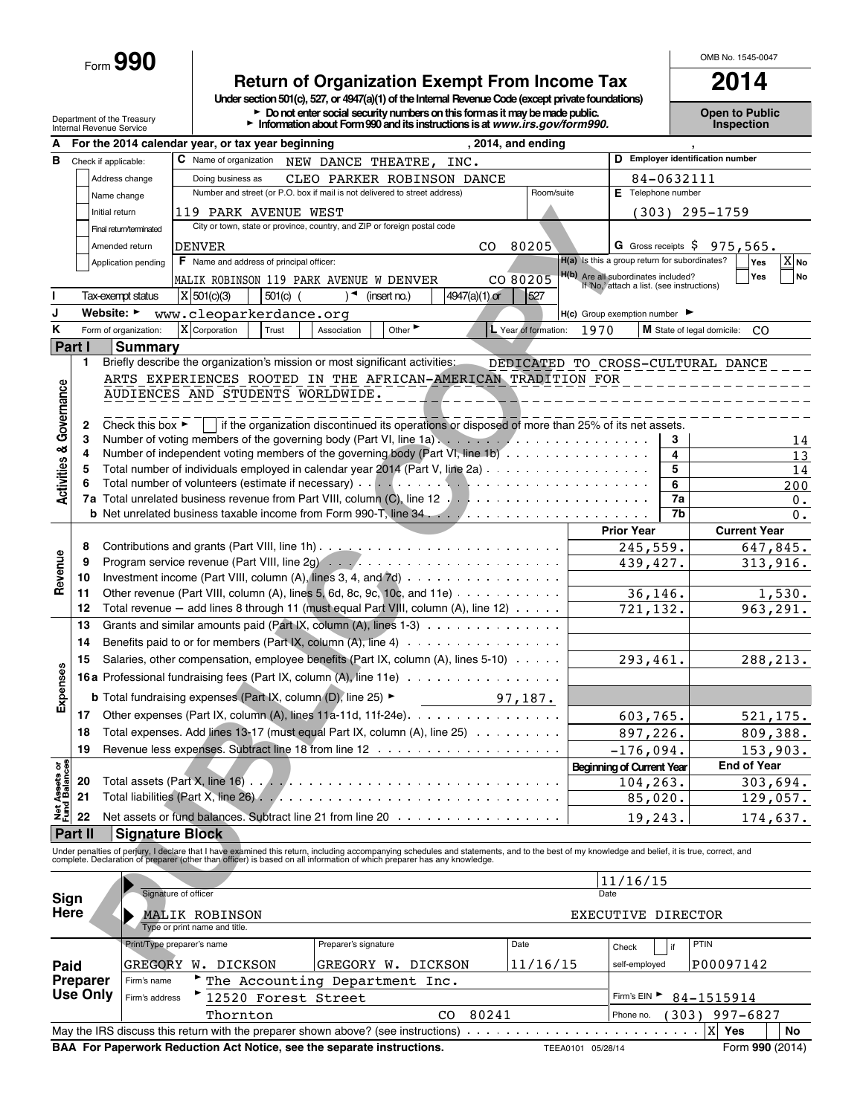Form **990**

# **Return of Organization Exempt From Income Tax 2014**

**Under section 501(c), 527, or 4947(a)(1) of the Internal Revenue Code (except private foundations)**

Department of the Treasury **Depen to Public Numbers Performance on the School School Public Mumbers on this form as it may be made public. Copen to Public Copen to Public Public Public Public Public Public Public Public** 

|                                    |                 |                                                                                                                                                        | For the 2014 calendar year, or tax year beginning                                                                                                                                                                                 |                      |                             |                    | , 2014, and ending   |      |                                                                                   |          |                                     |
|------------------------------------|-----------------|--------------------------------------------------------------------------------------------------------------------------------------------------------|-----------------------------------------------------------------------------------------------------------------------------------------------------------------------------------------------------------------------------------|----------------------|-----------------------------|--------------------|----------------------|------|-----------------------------------------------------------------------------------|----------|-------------------------------------|
| в                                  |                 | Check if applicable:                                                                                                                                   | C Name of organization                                                                                                                                                                                                            | NEW DANCE THEATRE,   |                             | INC.               |                      |      |                                                                                   |          | D Employer identification number    |
|                                    |                 | Address change                                                                                                                                         |                                                                                                                                                                                                                                   | 84-0632111           |                             |                    |                      |      |                                                                                   |          |                                     |
|                                    |                 | Name change                                                                                                                                            | CLEO PARKER ROBINSON DANCE<br>Number and street (or P.O. box if mail is not delivered to street address)                                                                                                                          | Room/suite           |                             | E Telephone number |                      |      |                                                                                   |          |                                     |
|                                    |                 | Initial return                                                                                                                                         | 119 PARK AVENUE WEST                                                                                                                                                                                                              |                      |                             |                    |                      |      | (303)                                                                             |          | 295-1759                            |
|                                    |                 | Final return/terminated                                                                                                                                | City or town, state or province, country, and ZIP or foreign postal code                                                                                                                                                          |                      |                             |                    |                      |      |                                                                                   |          |                                     |
|                                    |                 | Amended return                                                                                                                                         | <b>DENVER</b>                                                                                                                                                                                                                     |                      |                             | CO.                | 80205                |      | <b>G</b> Gross receipts S                                                         |          | $975,565$ .                         |
|                                    |                 | Application pending                                                                                                                                    | F Name and address of principal officer:                                                                                                                                                                                          |                      |                             |                    |                      |      | H(a) Is this a group return for subordinates?                                     |          | $\overline{X}$ <sub>No</sub><br>Yes |
|                                    |                 |                                                                                                                                                        |                                                                                                                                                                                                                                   |                      |                             |                    |                      |      |                                                                                   |          | Yes<br><b>No</b>                    |
|                                    |                 |                                                                                                                                                        | MALIK ROBINSON 119 PARK AVENUE W DENVER                                                                                                                                                                                           |                      |                             |                    | CO 80205             |      | H(b) Are all subordinates included?<br>If 'No,' attach a list. (see instructions) |          |                                     |
|                                    |                 | Tax-exempt status                                                                                                                                      | X   501(c)(3)<br>$501(c)$ (                                                                                                                                                                                                       |                      | (insert no.)                | 4947(a)(1) or      | 527                  |      |                                                                                   |          |                                     |
|                                    |                 | Website: ►                                                                                                                                             | www.cleoparkerdance.org                                                                                                                                                                                                           |                      |                             |                    |                      |      | H(c) Group exemption number                                                       |          |                                     |
| K                                  |                 | Form of organization:                                                                                                                                  | X Corporation<br>Trust                                                                                                                                                                                                            | Association          | Other $\blacktriangleright$ |                    | L Year of formation: | 1970 |                                                                                   |          | M State of legal domicile:<br>CO.   |
|                                    | Part I          | <b>Summary</b>                                                                                                                                         |                                                                                                                                                                                                                                   |                      |                             |                    |                      |      |                                                                                   |          |                                     |
|                                    | 1               |                                                                                                                                                        | Briefly describe the organization's mission or most significant activities:                                                                                                                                                       |                      |                             |                    |                      |      |                                                                                   |          | DEDICATED TO CROSS-CULTURAL DANCE   |
|                                    |                 |                                                                                                                                                        | ARTS EXPERIENCES ROOTED IN THE AFRICAN-AMERICAN TRADITION FOR                                                                                                                                                                     |                      |                             |                    |                      |      |                                                                                   |          |                                     |
| <b>Activities &amp; Governance</b> |                 |                                                                                                                                                        | AUDIENCES AND STUDENTS WORLDWIDE.                                                                                                                                                                                                 |                      |                             |                    |                      |      |                                                                                   |          |                                     |
|                                    |                 |                                                                                                                                                        |                                                                                                                                                                                                                                   |                      |                             |                    |                      |      |                                                                                   |          |                                     |
|                                    | 2               | Check this box $\blacktriangleright$                                                                                                                   | if the organization discontinued its operations or disposed of more than 25% of its net assets.                                                                                                                                   |                      |                             |                    |                      |      |                                                                                   |          |                                     |
|                                    | 3<br>4          |                                                                                                                                                        | Number of independent voting members of the governing body (Part VI, line 1b) $\cdots$                                                                                                                                            |                      |                             |                    |                      |      |                                                                                   | 3<br>4   | 14<br>13                            |
|                                    | 5               |                                                                                                                                                        | Total number of individuals employed in calendar year 2014 (Part V, line 2a)                                                                                                                                                      |                      |                             |                    |                      |      |                                                                                   | 5        | 14                                  |
|                                    |                 |                                                                                                                                                        |                                                                                                                                                                                                                                   |                      |                             |                    |                      |      |                                                                                   | 6        | 200                                 |
|                                    | 7a              |                                                                                                                                                        |                                                                                                                                                                                                                                   |                      |                             |                    |                      |      |                                                                                   | 7a       | 0.                                  |
|                                    |                 |                                                                                                                                                        |                                                                                                                                                                                                                                   |                      |                             |                    |                      |      |                                                                                   | 7b       | 0.                                  |
|                                    |                 |                                                                                                                                                        |                                                                                                                                                                                                                                   |                      |                             |                    |                      |      | <b>Prior Year</b>                                                                 |          | <b>Current Year</b>                 |
| Revenue                            | 8               |                                                                                                                                                        |                                                                                                                                                                                                                                   |                      |                             |                    |                      |      | 245,559.                                                                          |          | 647,845.                            |
|                                    | 9               |                                                                                                                                                        |                                                                                                                                                                                                                                   |                      |                             |                    |                      |      | 439,427.                                                                          |          | 313,916.                            |
|                                    | 10              |                                                                                                                                                        | Investment income (Part VIII, column (A), lines 3, 4, and 7d)                                                                                                                                                                     |                      |                             |                    |                      |      |                                                                                   |          |                                     |
|                                    | 11              |                                                                                                                                                        | Other revenue (Part VIII, column (A), lines 5, 6d, 8c, 9c, 10c, and 11e) $\cdots \cdots \cdots$                                                                                                                                   |                      |                             |                    |                      |      | 36,146.                                                                           |          | 1,530.                              |
|                                    | 12              |                                                                                                                                                        | Total revenue - add lines 8 through 11 (must equal Part VIII, column (A), line 12)                                                                                                                                                |                      |                             |                    |                      |      | 721,132.                                                                          |          | 963,291.                            |
|                                    | 13              |                                                                                                                                                        | Grants and similar amounts paid (Part IX, column (A), lines 1-3)                                                                                                                                                                  |                      |                             |                    |                      |      |                                                                                   |          |                                     |
|                                    | 14              |                                                                                                                                                        | Benefits paid to or for members (Part IX, column (A), line $4)$                                                                                                                                                                   |                      |                             |                    |                      |      |                                                                                   |          |                                     |
|                                    | 15              | Salaries, other compensation, employee benefits (Part IX, column (A), lines 5-10)<br>16a Professional fundraising fees (Part IX, column (A), line 11e) |                                                                                                                                                                                                                                   |                      |                             |                    |                      |      |                                                                                   |          | 288,213.                            |
| <b>Expenses</b>                    |                 |                                                                                                                                                        |                                                                                                                                                                                                                                   |                      |                             |                    |                      |      |                                                                                   | 293,461. |                                     |
|                                    |                 |                                                                                                                                                        |                                                                                                                                                                                                                                   |                      |                             |                    |                      |      |                                                                                   |          |                                     |
|                                    |                 |                                                                                                                                                        | <b>b</b> Total fundraising expenses (Part IX, column (D), line 25) ►                                                                                                                                                              |                      |                             |                    | 97,187.              |      |                                                                                   |          |                                     |
|                                    | 17              |                                                                                                                                                        | Other expenses (Part IX, column (A), lines 11a-11d, 11f-24e).                                                                                                                                                                     |                      | 603,765.                    |                    | 521, 175.            |      |                                                                                   |          |                                     |
|                                    | 18              |                                                                                                                                                        | Total expenses. Add lines 13-17 (must equal Part IX, column (A), line 25)                                                                                                                                                         |                      | 897,226.                    |                    | 809,388.             |      |                                                                                   |          |                                     |
|                                    | 19              |                                                                                                                                                        |                                                                                                                                                                                                                                   |                      |                             |                    |                      |      | $-176,094.$                                                                       |          | 153,903.                            |
| ਨ <u>8</u>                         |                 |                                                                                                                                                        |                                                                                                                                                                                                                                   |                      |                             |                    |                      |      | <b>Beginning of Current Year</b>                                                  |          | <b>End of Year</b>                  |
| <b>Net Assets</b><br>Fund Balanc   | 20              |                                                                                                                                                        | Total assets (Part X, line 16)                                                                                                                                                                                                    |                      |                             |                    |                      |      | 104, 263.                                                                         |          | 303,694.                            |
|                                    | 21              |                                                                                                                                                        | Total liabilities (Part X, line 26)                                                                                                                                                                                               |                      |                             |                    |                      |      | 85,020.                                                                           |          | 129,057.                            |
|                                    | 22              |                                                                                                                                                        | Net assets or fund balances. Subtract line 21 from line 20                                                                                                                                                                        |                      |                             |                    |                      |      | 19,243.                                                                           |          | 174,637.                            |
|                                    | Part II         |                                                                                                                                                        | <b>Signature Block</b>                                                                                                                                                                                                            |                      |                             |                    |                      |      |                                                                                   |          |                                     |
|                                    |                 |                                                                                                                                                        | Under penalties of perjury, I declare that I have examined this return, including accompanying schedules and statements, and to the best of my knowledge and belief, it is true, correct, and<br>complete. Declaration of prepare |                      |                             |                    |                      |      |                                                                                   |          |                                     |
|                                    |                 |                                                                                                                                                        |                                                                                                                                                                                                                                   |                      |                             |                    |                      |      |                                                                                   |          |                                     |
|                                    |                 |                                                                                                                                                        |                                                                                                                                                                                                                                   |                      |                             |                    |                      |      | 11/16/15                                                                          |          |                                     |
| Sign                               |                 |                                                                                                                                                        | Signature of officer                                                                                                                                                                                                              |                      |                             |                    |                      | Date |                                                                                   |          |                                     |
| Here                               |                 |                                                                                                                                                        | MALIK ROBINSON                                                                                                                                                                                                                    |                      |                             |                    |                      |      | EXECUTIVE DIRECTOR                                                                |          |                                     |
|                                    |                 |                                                                                                                                                        | Type or print name and title.                                                                                                                                                                                                     |                      |                             |                    |                      |      |                                                                                   |          |                                     |
|                                    |                 |                                                                                                                                                        | Print/Type preparer's name                                                                                                                                                                                                        | Preparer's signature |                             |                    | Date                 |      | Check                                                                             | if       | PTIN                                |
| Paid                               |                 |                                                                                                                                                        | GREGORY W. DICKSON                                                                                                                                                                                                                | GREGORY W. DICKSON   |                             |                    | 11/16/15             |      | self-employed                                                                     |          | P00097142                           |
|                                    | <b>Preparer</b> | Firm's name                                                                                                                                            | The Accounting Department Inc.                                                                                                                                                                                                    |                      |                             |                    |                      |      |                                                                                   |          |                                     |
|                                    | Use Only        | Firm's address                                                                                                                                         | 12520 Forest Street                                                                                                                                                                                                               |                      |                             |                    |                      |      | Firm's EIN                                                                        |          | 84-1515914                          |
|                                    |                 |                                                                                                                                                        | Thornton                                                                                                                                                                                                                          |                      |                             | 80241<br>CO        |                      |      | Phone no.                                                                         | 303)     | 997-6827                            |
|                                    |                 |                                                                                                                                                        |                                                                                                                                                                                                                                   |                      |                             |                    |                      |      |                                                                                   |          |                                     |

**BAA For Paperwork Reduction Act Notice, see the separate instructions.** TEEA0101 05/28/14 Form 990 (2014)

OMB No. 1545-0047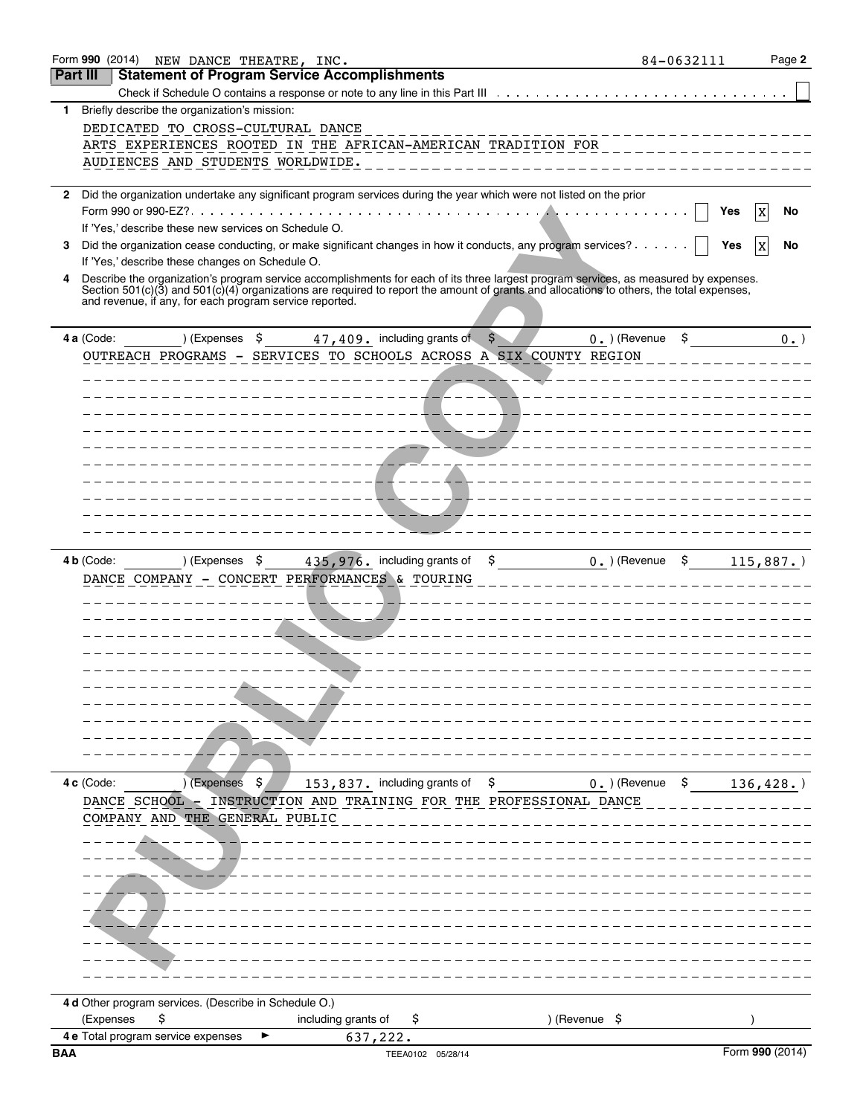|                 |            |                                    | Form 990 (2014) NEW DANCE THEATRE, INC.                 |                                                           |                                |                                                                                                                                          |                                     | 84-0632111 | Page 2            |
|-----------------|------------|------------------------------------|---------------------------------------------------------|-----------------------------------------------------------|--------------------------------|------------------------------------------------------------------------------------------------------------------------------------------|-------------------------------------|------------|-------------------|
| <b>Part III</b> |            |                                    |                                                         | <b>Statement of Program Service Accomplishments</b>       |                                |                                                                                                                                          |                                     |            |                   |
|                 |            |                                    |                                                         |                                                           |                                |                                                                                                                                          |                                     |            |                   |
| 1.              |            |                                    | Briefly describe the organization's mission:            |                                                           |                                |                                                                                                                                          |                                     |            |                   |
|                 |            |                                    | DEDICATED TO CROSS-CULTURAL DANCE                       |                                                           |                                |                                                                                                                                          |                                     |            |                   |
|                 |            |                                    |                                                         |                                                           |                                | ARTS EXPERIENCES ROOTED IN THE AFRICAN-AMERICAN TRADITION FOR _______                                                                    |                                     |            |                   |
|                 |            |                                    | AUDIENCES AND STUDENTS WORLDWIDE.                       |                                                           |                                |                                                                                                                                          |                                     |            |                   |
|                 |            |                                    |                                                         |                                                           |                                |                                                                                                                                          |                                     |            |                   |
| 2               |            |                                    |                                                         |                                                           |                                | Did the organization undertake any significant program services during the year which were not listed on the prior                       |                                     |            |                   |
|                 |            |                                    |                                                         |                                                           |                                |                                                                                                                                          |                                     | Yes        | No<br>X           |
|                 |            |                                    | If 'Yes,' describe these new services on Schedule O.    |                                                           |                                |                                                                                                                                          |                                     |            |                   |
| 3               |            |                                    |                                                         |                                                           |                                | Did the organization cease conducting, or make significant changes in how it conducts, any program services?                             |                                     | Yes        | No<br>$\mathbf x$ |
|                 |            |                                    | If 'Yes,' describe these changes on Schedule O.         |                                                           |                                |                                                                                                                                          |                                     |            |                   |
| 4               |            |                                    |                                                         |                                                           |                                | Describe the organization's program service accomplishments for each of its three largest program services, as measured by expenses.     |                                     |            |                   |
|                 |            |                                    | and revenue, if any, for each program service reported. |                                                           |                                | Section 501(c)(3) and 501(c)(4) organizations are required to report the amount of grants and allocations to others, the total expenses, |                                     |            |                   |
|                 |            |                                    |                                                         |                                                           |                                |                                                                                                                                          |                                     |            |                   |
|                 | 4 a (Code: |                                    |                                                         | ) (Expenses $\sin 47, 409$ , including grants of $\sin 5$ |                                |                                                                                                                                          | $0.$ ) (Revenue                     | \$         | $0.$ )            |
|                 |            |                                    |                                                         |                                                           |                                | OUTREACH PROGRAMS - SERVICES TO SCHOOLS ACROSS A SIX COUNTY REGION                                                                       |                                     |            |                   |
|                 |            |                                    |                                                         |                                                           |                                |                                                                                                                                          |                                     |            |                   |
|                 |            |                                    |                                                         |                                                           | ____ <b>_</b> ___ <b>_</b> ___ |                                                                                                                                          |                                     |            |                   |
|                 |            |                                    |                                                         |                                                           |                                |                                                                                                                                          |                                     |            |                   |
|                 |            |                                    |                                                         |                                                           |                                |                                                                                                                                          |                                     |            |                   |
|                 |            |                                    |                                                         |                                                           |                                |                                                                                                                                          |                                     |            |                   |
|                 |            |                                    |                                                         |                                                           | /_ _ _ <i>_ _ _ _ _</i> _      |                                                                                                                                          |                                     |            |                   |
|                 |            |                                    |                                                         |                                                           |                                |                                                                                                                                          |                                     |            |                   |
|                 |            |                                    |                                                         |                                                           |                                |                                                                                                                                          |                                     |            |                   |
|                 |            |                                    |                                                         |                                                           |                                |                                                                                                                                          |                                     |            |                   |
|                 |            |                                    |                                                         |                                                           |                                |                                                                                                                                          |                                     |            |                   |
|                 |            |                                    |                                                         |                                                           |                                |                                                                                                                                          |                                     |            |                   |
|                 |            |                                    |                                                         |                                                           |                                |                                                                                                                                          |                                     |            |                   |
|                 | 4 b (Code: |                                    | ) (Expenses \$                                          | 435, 976. including grants of                             |                                | $\mathsf{S}$                                                                                                                             | $0.$ ) (Revenue                     | \$         | $115,887.$ )      |
|                 |            |                                    |                                                         | DANCE COMPANY - CONCERT PERFORMANCES & TOURING            |                                |                                                                                                                                          |                                     |            |                   |
|                 |            |                                    |                                                         |                                                           |                                |                                                                                                                                          |                                     |            |                   |
|                 |            |                                    |                                                         |                                                           |                                |                                                                                                                                          |                                     |            |                   |
|                 |            |                                    |                                                         |                                                           |                                |                                                                                                                                          |                                     |            |                   |
|                 |            |                                    |                                                         |                                                           |                                |                                                                                                                                          |                                     |            |                   |
|                 |            |                                    |                                                         |                                                           |                                |                                                                                                                                          |                                     |            |                   |
|                 |            |                                    |                                                         |                                                           |                                |                                                                                                                                          |                                     |            |                   |
|                 |            |                                    |                                                         |                                                           |                                |                                                                                                                                          |                                     |            |                   |
|                 |            |                                    |                                                         |                                                           |                                |                                                                                                                                          |                                     |            |                   |
|                 |            |                                    |                                                         |                                                           |                                |                                                                                                                                          |                                     |            |                   |
|                 |            |                                    |                                                         |                                                           |                                |                                                                                                                                          |                                     |            |                   |
|                 |            |                                    |                                                         |                                                           |                                |                                                                                                                                          |                                     |            |                   |
|                 |            |                                    |                                                         |                                                           |                                |                                                                                                                                          |                                     |            |                   |
|                 | 4 c (Code: |                                    | ) (Expenses \$                                          | 153,837. including grants of \$                           |                                |                                                                                                                                          | 0. $($ Revenue $\,$ \$ 136,428. $)$ |            |                   |
|                 |            |                                    |                                                         |                                                           |                                | DANCE SCHOOL - INSTRUCTION AND TRAINING FOR THE PROFESSIONAL DANCE                                                                       |                                     |            |                   |
|                 |            |                                    | COMPANY AND THE GENERAL PUBLIC                          |                                                           |                                |                                                                                                                                          |                                     |            |                   |
|                 |            |                                    |                                                         |                                                           |                                |                                                                                                                                          |                                     |            |                   |
|                 |            |                                    |                                                         |                                                           |                                |                                                                                                                                          |                                     |            |                   |
|                 |            |                                    |                                                         |                                                           |                                |                                                                                                                                          |                                     |            |                   |
|                 |            |                                    |                                                         |                                                           |                                |                                                                                                                                          |                                     |            |                   |
|                 |            |                                    |                                                         |                                                           |                                |                                                                                                                                          |                                     |            |                   |
|                 |            |                                    |                                                         |                                                           |                                |                                                                                                                                          |                                     |            |                   |
|                 |            |                                    |                                                         |                                                           |                                |                                                                                                                                          |                                     |            |                   |
|                 |            |                                    |                                                         |                                                           |                                |                                                                                                                                          |                                     |            |                   |
|                 |            |                                    |                                                         |                                                           |                                |                                                                                                                                          |                                     |            |                   |
|                 |            |                                    |                                                         |                                                           |                                |                                                                                                                                          |                                     |            |                   |
|                 |            |                                    |                                                         |                                                           |                                |                                                                                                                                          |                                     |            |                   |
|                 |            |                                    | 4 d Other program services. (Describe in Schedule O.)   |                                                           |                                |                                                                                                                                          |                                     |            |                   |
|                 | (Expenses  | \$.                                |                                                         | including grants of                                       | Ş.                             |                                                                                                                                          | ) (Revenue \$                       |            |                   |
|                 |            | 4 e Total program service expenses |                                                         | 637,222.                                                  |                                |                                                                                                                                          |                                     |            |                   |
| <b>BAA</b>      |            |                                    |                                                         |                                                           | TEEA0102 05/28/14              |                                                                                                                                          |                                     |            | Form 990 (2014)   |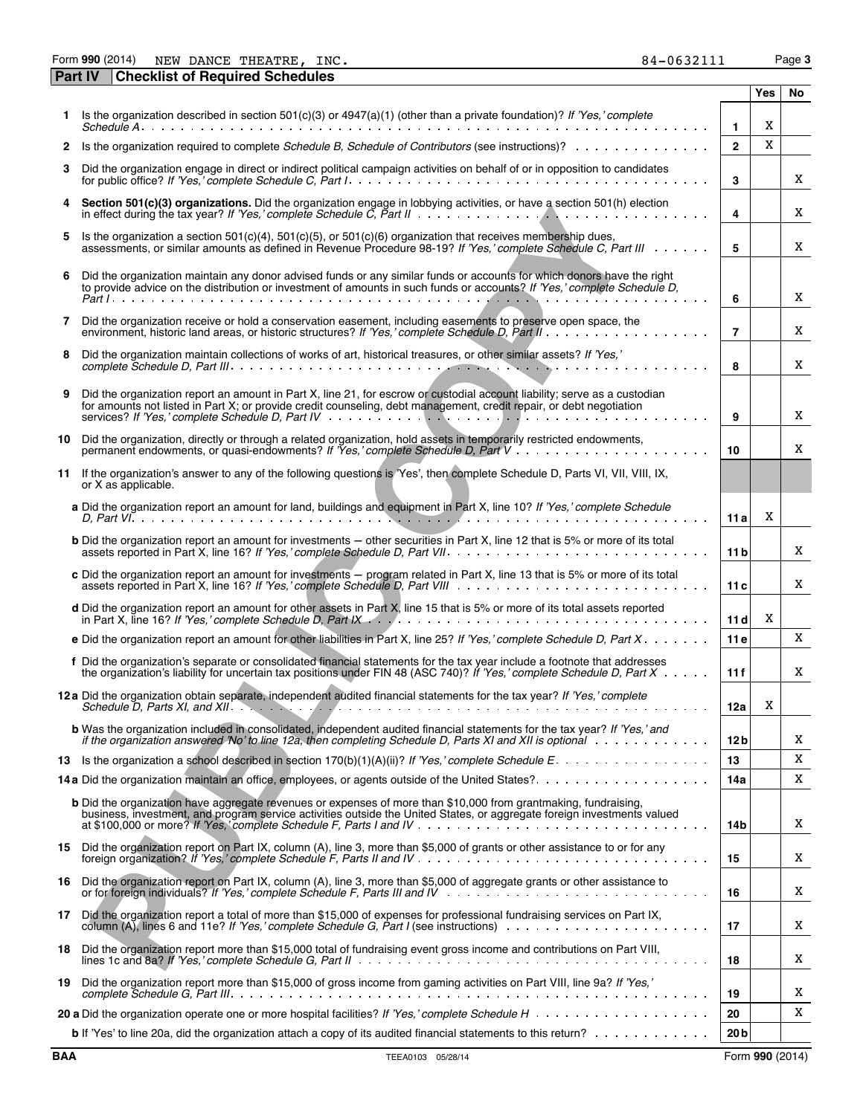Form **990** (2014) Page **3** NEW DANCE THEATRE, INC.  $84-0632111$ 

|     | <b>Checklist of Required Schedules</b><br><b>Part IV</b>                                                                                                                                                                                                                                                                                                                                                                    |                 |     |    |
|-----|-----------------------------------------------------------------------------------------------------------------------------------------------------------------------------------------------------------------------------------------------------------------------------------------------------------------------------------------------------------------------------------------------------------------------------|-----------------|-----|----|
|     |                                                                                                                                                                                                                                                                                                                                                                                                                             |                 | Yes | No |
|     | 1 Is the organization described in section $501(c)(3)$ or $4947(a)(1)$ (other than a private foundation)? If 'Yes,' complete                                                                                                                                                                                                                                                                                                | $\mathbf{1}$    | X   |    |
| 2   | Is the organization required to complete Schedule B, Schedule of Contributors (see instructions)?                                                                                                                                                                                                                                                                                                                           | $\overline{2}$  | X   |    |
| 3   | Did the organization engage in direct or indirect political campaign activities on behalf of or in opposition to candidates                                                                                                                                                                                                                                                                                                 | 3               |     | X  |
|     | Section 501(c)(3) organizations. Did the organization engage in lobbying activities, or have a section 501(h) election                                                                                                                                                                                                                                                                                                      | 4               |     | X  |
| 5   | Is the organization a section $501(c)(4)$ , $501(c)(5)$ , or $501(c)(6)$ organization that receives membership dues,<br>assessments, or similar amounts as defined in Revenue Procedure 98-19? If 'Yes,' complete Schedule C, Part III                                                                                                                                                                                      | 5               |     | X  |
| 6   | Did the organization maintain any donor advised funds or any similar funds or accounts for which donors have the right<br>to provide advice on the distribution or investment of amounts in such funds or accounts? If 'Yes,' complete Schedule D,                                                                                                                                                                          | 6               |     | X  |
| 7   | Did the organization receive or hold a conservation easement, including easements to preserve open space, the                                                                                                                                                                                                                                                                                                               | $\overline{7}$  |     | X  |
| 8   | Did the organization maintain collections of works of art, historical treasures, or other similar assets? If 'Yes,'                                                                                                                                                                                                                                                                                                         | 8               |     | X  |
| 9   | Did the organization report an amount in Part X, line 21, for escrow or custodial account liability; serve as a custodian<br>for amounts not listed in Part X; or provide credit counseling, debt management, credit repair, or debt negotiation<br>services? If 'Yes,' complete Schedule D, Part IV $\ldots$ , $\ldots$ , $\ldots$ , $\ldots$ , $\ldots$ , $\ldots$ , $\ldots$ , $\ldots$ , $\ldots$ , $\ldots$ , $\ldots$ | 9               |     | X  |
| 10  | Did the organization, directly or through a related organization, hold assets in temporarily restricted endowments,                                                                                                                                                                                                                                                                                                         | 10              |     | X  |
|     | 11 If the organization's answer to any of the following questions is 'Yes', then complete Schedule D, Parts VI, VII, VIII, IX,<br>or X as applicable.                                                                                                                                                                                                                                                                       |                 |     |    |
|     | a Did the organization report an amount for land, buildings and equipment in Part X, line 10? If 'Yes,' complete Schedule                                                                                                                                                                                                                                                                                                   | 11a             | X   |    |
|     | <b>b</b> Did the organization report an amount for investments – other securities in Part X, line 12 that is 5% or more of its total                                                                                                                                                                                                                                                                                        | 11 <sub>b</sub> |     | X  |
|     | c Did the organization report an amount for investments – program related in Part X, line 13 that is 5% or more of its total                                                                                                                                                                                                                                                                                                | 11c             |     | X  |
|     | d Did the organization report an amount for other assets in Part X, line 15 that is 5% or more of its total assets reported                                                                                                                                                                                                                                                                                                 | 11d             | X   |    |
|     | e Did the organization report an amount for other liabilities in Part X, line 25? If 'Yes,' complete Schedule D, Part $X_1, \ldots, X_n$                                                                                                                                                                                                                                                                                    | 11e             |     | X  |
|     | f Did the organization's separate or consolidated financial statements for the tax year include a footnote that addresses<br>the organization's liability for uncertain tax positions under FIN 48 (ASC 740)? If 'Yes,' complete Schedule D, Part $X \cdot \cdot \cdot$                                                                                                                                                     | 11f             |     | X  |
|     | 12 a Did the organization obtain separate, independent audited financial statements for the tax year? If 'Yes,' complete                                                                                                                                                                                                                                                                                                    | 12a             | X   |    |
|     | <b>b</b> Was the organization included in consolidated, independent audited financial statements for the tax year? If 'Yes,' and<br>if the organization answered 'No' to line 12a, then completing Schedule D, Parts XI and XII is optional with mean was alled                                                                                                                                                             | 12 b            |     | Χ  |
|     |                                                                                                                                                                                                                                                                                                                                                                                                                             | 13              |     | X  |
|     |                                                                                                                                                                                                                                                                                                                                                                                                                             | 14a             |     | X  |
|     | <b>b</b> Did the organization have aggregate revenues or expenses of more than \$10,000 from grantmaking, fundraising,<br>business, investment, and program service activities outside the United States, or aggregate foreign investments valued                                                                                                                                                                           | 14b             |     | X  |
|     | 15 Did the organization report on Part IX, column (A), line 3, more than \$5,000 of grants or other assistance to or for any                                                                                                                                                                                                                                                                                                | 15              |     | X  |
| 16  | Did the organization report on Part IX, column (A), line 3, more than \$5,000 of aggregate grants or other assistance to                                                                                                                                                                                                                                                                                                    | 16              |     | X  |
| 17  | Did the organization report a total of more than \$15,000 of expenses for professional fundraising services on Part IX,                                                                                                                                                                                                                                                                                                     | 17              |     | X  |
| 18. | Did the organization report more than \$15,000 total of fundraising event gross income and contributions on Part VIII,                                                                                                                                                                                                                                                                                                      | 18              |     | X  |
| 19  | Did the organization report more than \$15,000 of gross income from gaming activities on Part VIII, line 9a? If 'Yes,'                                                                                                                                                                                                                                                                                                      | 19              |     | X  |
|     |                                                                                                                                                                                                                                                                                                                                                                                                                             | 20              |     | X  |
|     | b If 'Yes' to line 20a, did the organization attach a copy of its audited financial statements to this return?                                                                                                                                                                                                                                                                                                              | 20 <sub>b</sub> |     |    |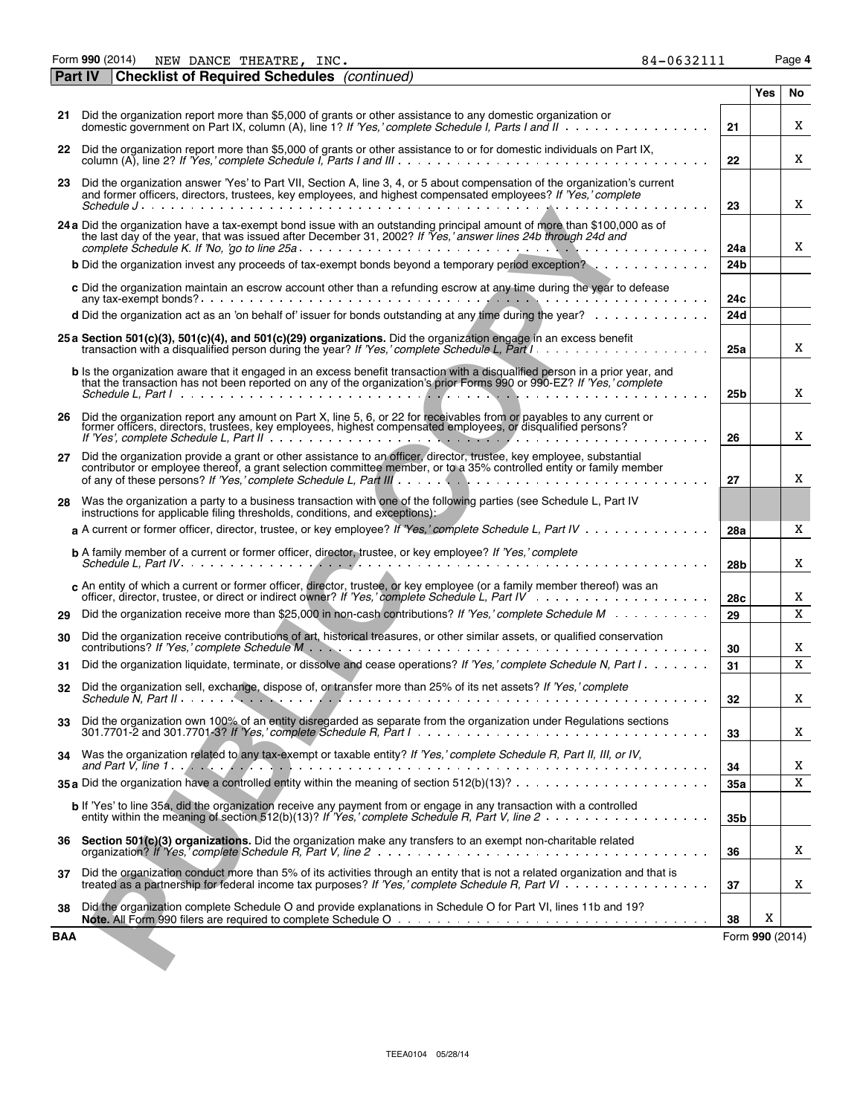Form **990** (2014) Page **4** NEW DANCE THEATRE, INC.  $84-0632111$ 

| 84-0632111 |
|------------|
|            |

| age | п |
|-----|---|
|     |   |

| <b>Part IV</b> | <b>Checklist of Required Schedules</b> (continued)                                                                                                                                                                                                                     |                 |                 |    |
|----------------|------------------------------------------------------------------------------------------------------------------------------------------------------------------------------------------------------------------------------------------------------------------------|-----------------|-----------------|----|
|                |                                                                                                                                                                                                                                                                        |                 | Yes             | No |
|                | 21 Did the organization report more than \$5,000 of grants or other assistance to any domestic organization or<br>domestic government on Part IX, column (A), line 1? If 'Yes,' complete Schedule I, Parts I and II                                                    | 21              |                 | X  |
|                | 22 Did the organization report more than \$5,000 of grants or other assistance to or for domestic individuals on Part IX,<br>column (A), line 2? If 'Yes,' complete Schedule I, Parts I and III.                                                                       | 22              |                 | X  |
| 23.            | Did the organization answer 'Yes' to Part VII, Section A, line 3, 4, or 5 about compensation of the organization's current<br>and former officers, directors, trustees, key employees, and highest compensated employees? If 'Yes,' complete                           | 23              |                 | X  |
|                | 24 a Did the organization have a tax-exempt bond issue with an outstanding principal amount of more than \$100,000 as of<br>the last day of the year, that was issued after December 31, 2002? If Yes, answer lines 24b through 24d and                                | 24a             |                 | X  |
|                | <b>b</b> Did the organization invest any proceeds of tax-exempt bonds beyond a temporary period exception?                                                                                                                                                             | 24b             |                 |    |
|                | c Did the organization maintain an escrow account other than a refunding escrow at any time during the year to defease                                                                                                                                                 | 24с             |                 |    |
|                | <b>d</b> Did the organization act as an 'on behalf of' issuer for bonds outstanding at any time during the year? $\ldots \ldots \ldots$                                                                                                                                | 24d             |                 |    |
|                | 25 a Section 501(c)(3), 501(c)(4), and 501(c)(29) organizations. Did the organization engage in an excess benefit                                                                                                                                                      | 25a             |                 | X  |
|                | b Is the organization aware that it engaged in an excess benefit transaction with a disgualified person in a prior year, and<br>that the transaction has not been reported on any of the organization's prior Forms 990 or 990-EZ? If 'Yes,' complete                  | 25b             |                 | X  |
|                | 26 Did the organization report any amount on Part X, line 5, 6, or 22 for receivables from or payables to any current or former officers, directors, trustees, key employees, highest compensated employees, or disqualified p                                         | 26              |                 | X  |
| 27             | Did the organization provide a grant or other assistance to an officer, director, trustee, key employee, substantial<br>contributor or employee thereof, a grant selection committee member, or to a 35% controlled entity or family member                            | 27              |                 | X  |
| 28             | Was the organization a party to a business transaction with one of the following parties (see Schedule L, Part IV<br>instructions for applicable filing thresholds, conditions, and exceptions):                                                                       |                 |                 |    |
|                | a A current or former officer, director, trustee, or key employee? If 'Yes,' complete Schedule L, Part IV                                                                                                                                                              | 28a             |                 | X  |
|                |                                                                                                                                                                                                                                                                        | 28 <sub>b</sub> |                 | X  |
|                | c An entity of which a current or former officer, director, trustee, or key employee (or a family member thereof) was an                                                                                                                                               | 28c             |                 | X  |
| 29             | Did the organization receive more than \$25,000 in non-cash contributions? If 'Yes,' complete Schedule M                                                                                                                                                               | 29              |                 | X  |
| 30             | Did the organization receive contributions of art, historical treasures, or other similar assets, or qualified conservation                                                                                                                                            | 30              |                 | X  |
| 31             | Did the organization liquidate, terminate, or dissolve and cease operations? If 'Yes,' complete Schedule N, Part I                                                                                                                                                     | 31              |                 | X  |
| 32             | Did the organization sell, exchange, dispose of, or transfer more than 25% of its net assets? If 'Yes,' complete                                                                                                                                                       | 32              |                 | X  |
| 33             | Did the organization own 100% of an entity disregarded as separate from the organization under Regulations sections<br>301.7701-2 and 301.7701-3? If 'Yes,' complete Schedule R, Part $1 \ldots \ldots \ldots \ldots \ldots \ldots \ldots \ldots \ldots \ldots \ldots$ | 33              |                 | X  |
| 34             | Was the organization related to any tax-exempt or taxable entity? If 'Yes,' complete Schedule R, Part II, III, or IV,                                                                                                                                                  | 34              |                 | Χ  |
|                |                                                                                                                                                                                                                                                                        | 35a             |                 | X  |
|                | b If 'Yes' to line 35a, did the organization receive any payment from or engage in any transaction with a controlled                                                                                                                                                   | 35b             |                 |    |
| 36             | Section 501(c)(3) organizations. Did the organization make any transfers to an exempt non-charitable related                                                                                                                                                           | 36              |                 | X  |
| 37             | Did the organization conduct more than 5% of its activities through an entity that is not a related organization and that is<br>treated as a partnership for federal income tax purposes? If 'Yes,' complete Schedule R, Part VI                                       | 37              |                 | X  |
| 38             | Did the organization complete Schedule O and provide explanations in Schedule O for Part VI, lines 11b and 19?                                                                                                                                                         | 38              | X               |    |
| BAA            |                                                                                                                                                                                                                                                                        |                 | Form 990 (2014) |    |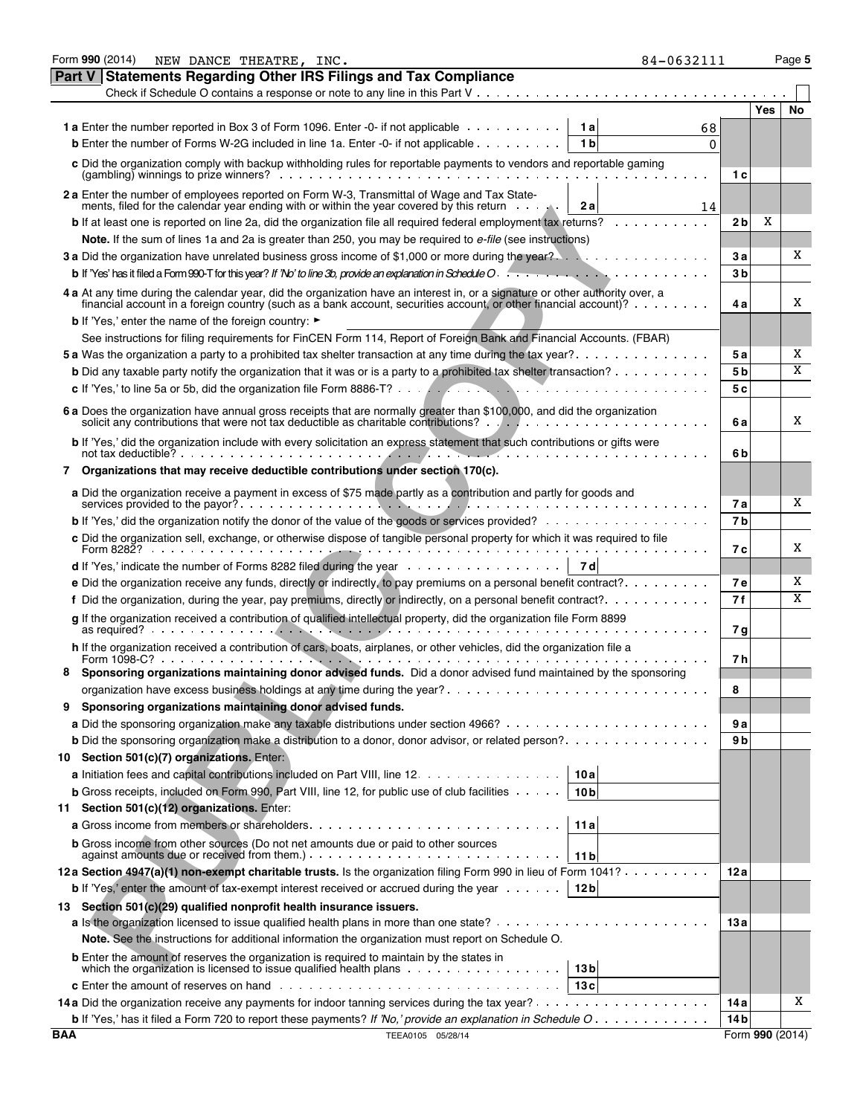|        | Form 990 (2014)<br>NEW DANCE THEATRE, INC.<br>84-0632111                                                                                                                                                                                                                                        |                |                 | Page 5                  |
|--------|-------------------------------------------------------------------------------------------------------------------------------------------------------------------------------------------------------------------------------------------------------------------------------------------------|----------------|-----------------|-------------------------|
| Part V | <b>Statements Regarding Other IRS Filings and Tax Compliance</b>                                                                                                                                                                                                                                |                |                 |                         |
|        | Check if Schedule O contains a response or note to any line in this Part $V_1, \ldots, V_k, \ldots, V_k, \ldots, V_k, \ldots, V_k$                                                                                                                                                              |                |                 |                         |
|        |                                                                                                                                                                                                                                                                                                 |                | <b>Yes</b>      | No                      |
|        | <b>1a</b> Enter the number reported in Box 3 of Form 1096. Enter -0- if not applicable<br>1 al<br>68                                                                                                                                                                                            |                |                 |                         |
|        | <b>b</b> Enter the number of Forms W-2G included in line 1a. Enter -0- if not applicable<br>1 <sub>b</sub><br>$\Omega$                                                                                                                                                                          |                |                 |                         |
|        | c Did the organization comply with backup withholding rules for reportable payments to vendors and reportable gaming<br>$(gambling)$ winnings to prize winners? $\ldots$ , $\ldots$ , $\ldots$ , $\ldots$ , $\ldots$ , $\ldots$ , $\ldots$ , $\ldots$                                           | 1 c            |                 |                         |
|        | 2 a Enter the number of employees reported on Form W-3, Transmittal of Wage and Tax State-<br>ments, filed for the calendar year ending with or within the year covered by this return<br>2a<br>14                                                                                              |                |                 |                         |
|        | <b>b</b> If at least one is reported on line 2a, did the organization file all required federal employment tax returns? $\ldots \ldots$                                                                                                                                                         | 2 b            | Χ               |                         |
|        | Note. If the sum of lines 1a and 2a is greater than 250, you may be required to e-file (see instructions)                                                                                                                                                                                       |                |                 |                         |
|        |                                                                                                                                                                                                                                                                                                 | 3 а            |                 | X                       |
|        |                                                                                                                                                                                                                                                                                                 | 3 <sub>b</sub> |                 |                         |
|        | 4 a At any time during the calendar year, did the organization have an interest in, or a signature or other authority over, a<br>financial account in a foreign country (such as a bank account, securities account, or other financial account)?                                               | 4 a            |                 | X                       |
|        | <b>b</b> If 'Yes,' enter the name of the foreign country: ►                                                                                                                                                                                                                                     |                |                 |                         |
|        | See instructions for filing requirements for FinCEN Form 114, Report of Foreign Bank and Financial Accounts. (FBAR)                                                                                                                                                                             |                |                 |                         |
|        | 5 a Was the organization a party to a prohibited tax shelter transaction at any time during the tax year?                                                                                                                                                                                       | <b>5a</b>      |                 | X                       |
|        | <b>b</b> Did any taxable party notify the organization that it was or is a party to a prohibited tax shelter transaction?                                                                                                                                                                       | 5 <sub>b</sub> |                 | $\overline{\mathbf{X}}$ |
|        |                                                                                                                                                                                                                                                                                                 | 5с             |                 |                         |
|        |                                                                                                                                                                                                                                                                                                 |                |                 |                         |
|        | 6 a Does the organization have annual gross receipts that are normally greater than \$100,000, and did the organization                                                                                                                                                                         | 6a             |                 | X                       |
|        | b If 'Yes,' did the organization include with every solicitation an express statement that such contributions or gifts were<br>not tax deductible? $\ldots$ , $\ldots$ , $\ldots$ , $\ldots$ , $\ldots$ , $\ldots$ , $\ldots$ , $\ldots$ , $\ldots$ , $\ldots$ , $\ldots$ , $\ldots$ , $\ldots$ | 6 b            |                 |                         |
| 7      | Organizations that may receive deductible contributions under section 170(c).                                                                                                                                                                                                                   |                |                 |                         |
|        | a Did the organization receive a payment in excess of \$75 made partly as a contribution and partly for goods and                                                                                                                                                                               |                |                 |                         |
|        |                                                                                                                                                                                                                                                                                                 | 7а             |                 | X                       |
|        | <b>b</b> If 'Yes,' did the organization notify the donor of the value of the goods or services provided?                                                                                                                                                                                        | 7b             |                 |                         |
|        | c Did the organization sell, exchange, or otherwise dispose of tangible personal property for which it was required to file                                                                                                                                                                     | 7 с            |                 | X                       |
|        | <b>d</b> If 'Yes,' indicate the number of Forms 8282 filed during the year $\ldots \ldots \ldots \ldots \ldots$<br>7 d                                                                                                                                                                          |                |                 |                         |
|        |                                                                                                                                                                                                                                                                                                 | <b>7e</b>      |                 | X                       |
|        | f Did the organization, during the year, pay premiums, directly or indirectly, on a personal benefit contract?. $\dots \dots \dots$                                                                                                                                                             | 7f             |                 | $\overline{\mathbf{X}}$ |
|        | g If the organization received a contribution of qualified intellectual property, did the organization file Form 8899                                                                                                                                                                           |                |                 |                         |
|        |                                                                                                                                                                                                                                                                                                 | 7 g            |                 |                         |
|        | h If the organization received a contribution of cars, boats, airplanes, or other vehicles, did the organization file a                                                                                                                                                                         | 7 h            |                 |                         |
|        | Sponsoring organizations maintaining donor advised funds. Did a donor advised fund maintained by the sponsoring                                                                                                                                                                                 |                |                 |                         |
|        |                                                                                                                                                                                                                                                                                                 | 8              |                 |                         |
| 9      | Sponsoring organizations maintaining donor advised funds.                                                                                                                                                                                                                                       |                |                 |                         |
|        |                                                                                                                                                                                                                                                                                                 | 9 a            |                 |                         |
|        | <b>b</b> Did the sponsoring organization make a distribution to a donor, donor advisor, or related person?.                                                                                                                                                                                     | 9 b            |                 |                         |
| 10     | Section 501(c)(7) organizations. Enter:                                                                                                                                                                                                                                                         |                |                 |                         |
|        | a Initiation fees and capital contributions included on Part VIII, line 12.<br>10 a                                                                                                                                                                                                             |                |                 |                         |
|        | <b>b</b> Gross receipts, included on Form 990, Part VIII, line 12, for public use of club facilities $\cdots$ .<br>10 <sub>b</sub>                                                                                                                                                              |                |                 |                         |
| 11     | Section 501(c)(12) organizations. Enter:                                                                                                                                                                                                                                                        |                |                 |                         |
|        | 11 a                                                                                                                                                                                                                                                                                            |                |                 |                         |
|        | <b>b</b> Gross income from other sources (Do not net amounts due or paid to other sources<br>11 <sub>b</sub>                                                                                                                                                                                    |                |                 |                         |
|        | 12a Section 4947(a)(1) non-exempt charitable trusts. Is the organization filing Form 990 in lieu of Form 1041?                                                                                                                                                                                  | 12 a           |                 |                         |
|        | <b>b</b> If 'Yes,' enter the amount of tax-exempt interest received or accrued during the year $\dots \dots$<br>12 <sub>b</sub>                                                                                                                                                                 |                |                 |                         |
|        | 13 Section 501(c)(29) qualified nonprofit health insurance issuers.                                                                                                                                                                                                                             |                |                 |                         |
|        |                                                                                                                                                                                                                                                                                                 | 13a            |                 |                         |
|        | Note. See the instructions for additional information the organization must report on Schedule O.                                                                                                                                                                                               |                |                 |                         |
|        | <b>b</b> Enter the amount of reserves the organization is required to maintain by the states in                                                                                                                                                                                                 |                |                 |                         |
|        | which the organization is licensed to issue qualified health plans $\dots \dots \dots \dots \dots \dots$<br>13 <sub>b</sub>                                                                                                                                                                     |                |                 |                         |
|        | 13c                                                                                                                                                                                                                                                                                             |                |                 |                         |
|        |                                                                                                                                                                                                                                                                                                 | 14 a           |                 | X                       |
|        | <b>b</b> If 'Yes,' has it filed a Form 720 to report these payments? If 'No,' provide an explanation in Schedule O                                                                                                                                                                              | 14 bl          |                 |                         |
| BAA    | TEEA0105 05/28/14                                                                                                                                                                                                                                                                               |                | Form 990 (2014) |                         |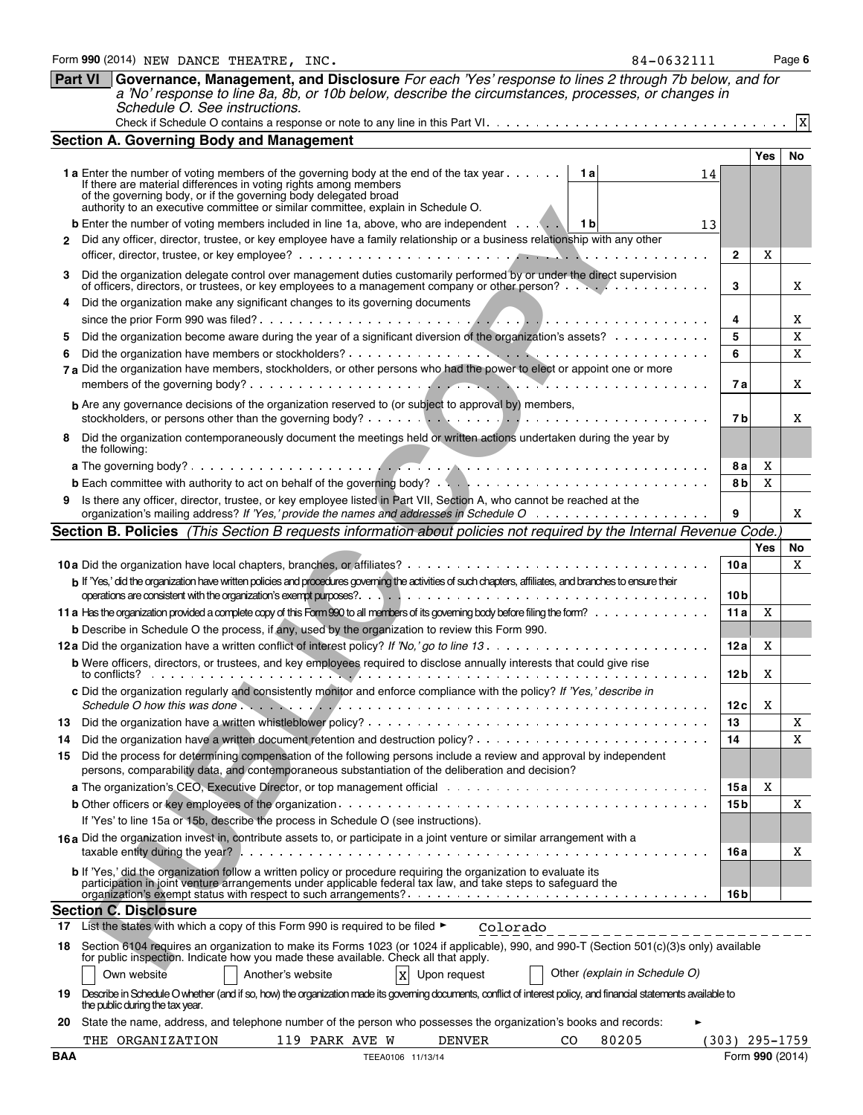|            | Governance, Management, and Disclosure For each 'Yes' response to lines 2 through 7b below, and for<br><b>Part VI</b><br>a 'No' response to line 8a, 8b, or 10b below, describe the circumstances, processes, or changes in<br>Schedule O. See instructions.                                                                            |                         |             |                 |  |  |  |  |  |  |  |  |
|------------|-----------------------------------------------------------------------------------------------------------------------------------------------------------------------------------------------------------------------------------------------------------------------------------------------------------------------------------------|-------------------------|-------------|-----------------|--|--|--|--|--|--|--|--|
|            |                                                                                                                                                                                                                                                                                                                                         |                         |             | $\mathbf x$     |  |  |  |  |  |  |  |  |
|            | <b>Section A. Governing Body and Management</b>                                                                                                                                                                                                                                                                                         |                         |             |                 |  |  |  |  |  |  |  |  |
|            | <b>1 a</b> Enter the number of voting members of the governing body at the end of the tax year<br>1 al<br>14<br>If there are material differences in voting rights among members<br>of the governing body, or if the governing body delegated broad<br>authority to an executive committee or similar committee, explain in Schedule O. |                         | Yes         | No              |  |  |  |  |  |  |  |  |
| 2          | <b>b</b> Enter the number of voting members included in line 1a, above, who are independent $\cdots$<br>1 b<br>13<br>Did any officer, director, trustee, or key employee have a family relationship or a business relationship with any other                                                                                           | $\mathbf{2}$            | X           |                 |  |  |  |  |  |  |  |  |
| 3          | Did the organization delegate control over management duties customarily performed by or under the direct supervision<br>of officers, directors, or trustees, or key employees to a management company or other person?                                                                                                                 | 3                       |             | X               |  |  |  |  |  |  |  |  |
| 4          | Did the organization make any significant changes to its governing documents                                                                                                                                                                                                                                                            |                         |             |                 |  |  |  |  |  |  |  |  |
|            |                                                                                                                                                                                                                                                                                                                                         | 4                       |             | X               |  |  |  |  |  |  |  |  |
| 5          | Did the organization become aware during the year of a significant diversion of the organization's assets?                                                                                                                                                                                                                              | 5                       |             | X               |  |  |  |  |  |  |  |  |
| 6          |                                                                                                                                                                                                                                                                                                                                         | 6                       |             | X               |  |  |  |  |  |  |  |  |
|            | 7 a Did the organization have members, stockholders, or other persons who had the power to elect or appoint one or more                                                                                                                                                                                                                 | 7 a                     |             | X               |  |  |  |  |  |  |  |  |
|            | <b>b</b> Are any governance decisions of the organization reserved to (or subject to approval by) members,                                                                                                                                                                                                                              |                         |             |                 |  |  |  |  |  |  |  |  |
|            |                                                                                                                                                                                                                                                                                                                                         | 7 b                     |             | X               |  |  |  |  |  |  |  |  |
| 8          | Did the organization contemporaneously document the meetings held or written actions undertaken during the year by<br>the following:                                                                                                                                                                                                    |                         |             |                 |  |  |  |  |  |  |  |  |
|            |                                                                                                                                                                                                                                                                                                                                         | 8а                      | Χ           |                 |  |  |  |  |  |  |  |  |
|            |                                                                                                                                                                                                                                                                                                                                         | 8 b                     | $\mathbf X$ |                 |  |  |  |  |  |  |  |  |
| 9          | Is there any officer, director, trustee, or key employee listed in Part VII, Section A, who cannot be reached at the                                                                                                                                                                                                                    | 9                       |             | X               |  |  |  |  |  |  |  |  |
|            | Section B. Policies (This Section B requests information about policies not required by the Internal Revenue Code.                                                                                                                                                                                                                      |                         |             |                 |  |  |  |  |  |  |  |  |
|            |                                                                                                                                                                                                                                                                                                                                         |                         | Yes         | No              |  |  |  |  |  |  |  |  |
|            |                                                                                                                                                                                                                                                                                                                                         | 10a                     |             | X               |  |  |  |  |  |  |  |  |
|            | b If 'Yes,' did the organization have written policies and procedures governing the activities of such chapters, affiliates, and branches to ensure their                                                                                                                                                                               | 10 <sub>b</sub>         |             |                 |  |  |  |  |  |  |  |  |
|            |                                                                                                                                                                                                                                                                                                                                         | 11a                     | X           |                 |  |  |  |  |  |  |  |  |
|            | <b>b</b> Describe in Schedule O the process, if any, used by the organization to review this Form 990.                                                                                                                                                                                                                                  |                         |             |                 |  |  |  |  |  |  |  |  |
|            |                                                                                                                                                                                                                                                                                                                                         | 12a                     | X           |                 |  |  |  |  |  |  |  |  |
|            | b Were officers, directors, or trustees, and key employees required to disclose annually interests that could give rise<br>to conflicts? $\cdots$ , $\cdots$ , $\cdots$                                                                                                                                                                 | 12 <sub>b</sub>         | X           |                 |  |  |  |  |  |  |  |  |
|            | c Did the organization regularly and consistently monitor and enforce compliance with the policy? If 'Yes,' describe in<br>Schedule O how this was done. $\ldots$ , $\ldots$ , $\ldots$ , $\ldots$ , $\ldots$ , $\ldots$ , $\ldots$ , $\ldots$ , $\ldots$ , $\ldots$ , $\ldots$ , $\ldots$ , $\ldots$                                   | 12c                     | Χ           |                 |  |  |  |  |  |  |  |  |
| 13         |                                                                                                                                                                                                                                                                                                                                         | 13                      |             | X               |  |  |  |  |  |  |  |  |
| 14<br>15   | Did the process for determining compensation of the following persons include a review and approval by independent                                                                                                                                                                                                                      | 14                      |             | X               |  |  |  |  |  |  |  |  |
|            | persons, comparability data, and contemporaneous substantiation of the deliberation and decision?                                                                                                                                                                                                                                       |                         |             |                 |  |  |  |  |  |  |  |  |
|            |                                                                                                                                                                                                                                                                                                                                         | 15 a<br>15 <sub>b</sub> | X           | X               |  |  |  |  |  |  |  |  |
|            | If 'Yes' to line 15a or 15b, describe the process in Schedule O (see instructions).                                                                                                                                                                                                                                                     |                         |             |                 |  |  |  |  |  |  |  |  |
|            | 16a Did the organization invest in, contribute assets to, or participate in a joint venture or similar arrangement with a                                                                                                                                                                                                               | 16 a                    |             | X               |  |  |  |  |  |  |  |  |
|            | b If 'Yes,' did the organization follow a written policy or procedure requiring the organization to evaluate its<br>participation in joint venture arrangements under applicable federal tax law, and take steps to safeguard the                                                                                                       | 16 b                    |             |                 |  |  |  |  |  |  |  |  |
|            | <b>Section C. Disclosure</b>                                                                                                                                                                                                                                                                                                            |                         |             |                 |  |  |  |  |  |  |  |  |
| 17         | List the states with which a copy of this Form 990 is required to be filed ►<br>Colorado<br>_______________________                                                                                                                                                                                                                     |                         |             |                 |  |  |  |  |  |  |  |  |
| 18.        | Section 6104 requires an organization to make its Forms 1023 (or 1024 if applicable), 990, and 990-T (Section 501(c)(3)s only) available<br>for public inspection. Indicate how you made these available. Check all that apply.                                                                                                         |                         |             |                 |  |  |  |  |  |  |  |  |
|            | Other (explain in Schedule O)<br>$\boldsymbol{\mathrm{x}}$<br>Own website<br>Another's website<br>Upon request                                                                                                                                                                                                                          |                         |             |                 |  |  |  |  |  |  |  |  |
| 19.        | Describe in Schedule O whether (and if so, how) the organization made its governing documents, conflict of interest policy, and financial statements available to<br>the public during the tax year.                                                                                                                                    |                         |             |                 |  |  |  |  |  |  |  |  |
| 20         | State the name, address, and telephone number of the person who possesses the organization's books and records:                                                                                                                                                                                                                         |                         |             |                 |  |  |  |  |  |  |  |  |
|            | 80205<br>THE ORGANIZATION<br>119 PARK AVE W<br><b>DENVER</b><br>CO.                                                                                                                                                                                                                                                                     |                         |             | (303) 295-1759  |  |  |  |  |  |  |  |  |
| <b>BAA</b> | TEEA0106 11/13/14                                                                                                                                                                                                                                                                                                                       |                         |             | Form 990 (2014) |  |  |  |  |  |  |  |  |

Form **990** (2014) Page **6** NEW DANCE THEATRE, INC. 84-0632111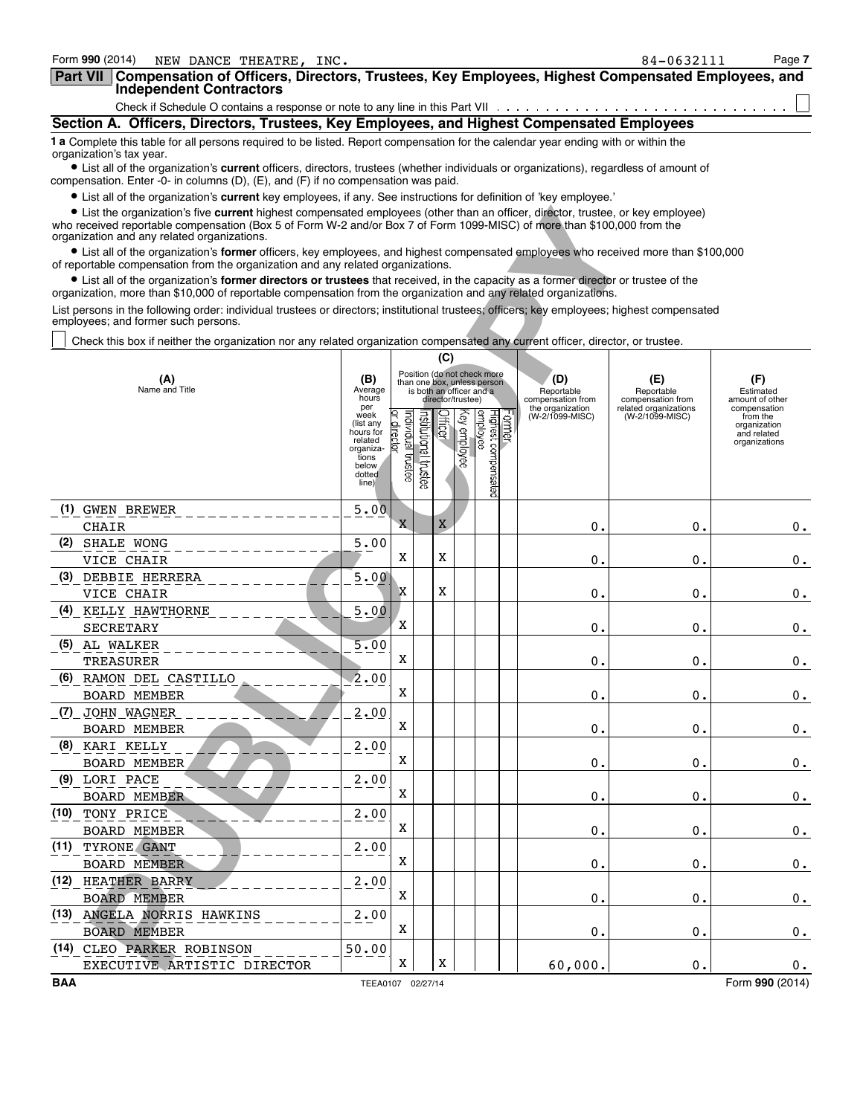| Form 990 (2014)<br>NEW DANCE THEATRE, INC.                                                                                                                                                                                          | 84-0632111 | Page 7 |  |  |  |  |  |
|-------------------------------------------------------------------------------------------------------------------------------------------------------------------------------------------------------------------------------------|------------|--------|--|--|--|--|--|
| <b>Part VII</b><br>Compensation of Officers, Directors, Trustees, Key Employees, Highest Compensated Employees, and<br><b>Independent Contractors</b>                                                                               |            |        |  |  |  |  |  |
|                                                                                                                                                                                                                                     |            |        |  |  |  |  |  |
| Section A. Officers, Directors, Trustees, Key Employees, and Highest Compensated Employees                                                                                                                                          |            |        |  |  |  |  |  |
| 1 a Complete this table for all persons required to be listed. Report compensation for the calendar year ending with or within the<br>organization's tax year.                                                                      |            |        |  |  |  |  |  |
| • List all of the organization's current officers, directors, trustees (whether individuals or organizations), regardless of amount of<br>compensation. Enter -0- in columns $(D)$ , $(E)$ , and $(F)$ if no compensation was paid. |            |        |  |  |  |  |  |
|                                                                                                                                                                                                                                     |            |        |  |  |  |  |  |

? List all of the organization's **current** key employees, if any. See instructions for definition of 'key employee.'

| • List the organization's five current highest compensated employees (other than an officer, director, trustee, or key employee)<br>who received reportable compensation (Box 5 of Form W-2 and/or Box 7 of Form 1099-MISC) of more than \$100,000 from the<br>organization and any related organizations. |                                                                                                                                |                        |                              |                      |                      |              |                                 |        |                                       |                                            |                                         |  |
|------------------------------------------------------------------------------------------------------------------------------------------------------------------------------------------------------------------------------------------------------------------------------------------------------------|--------------------------------------------------------------------------------------------------------------------------------|------------------------|------------------------------|----------------------|----------------------|--------------|---------------------------------|--------|---------------------------------------|--------------------------------------------|-----------------------------------------|--|
| • List all of the organization's former officers, key employees, and highest compensated employees who received more than \$100,000<br>of reportable compensation from the organization and any related organizations.                                                                                     |                                                                                                                                |                        |                              |                      |                      |              |                                 |        |                                       |                                            |                                         |  |
| • List all of the organization's former directors or trustees that received, in the capacity as a former director or trustee of the<br>organization, more than \$10,000 of reportable compensation from the organization and any related organizations.                                                    |                                                                                                                                |                        |                              |                      |                      |              |                                 |        |                                       |                                            |                                         |  |
| List persons in the following order: individual trustees or directors; institutional trustees; officers; key employees; highest compensated<br>employees; and former such persons.                                                                                                                         |                                                                                                                                |                        |                              |                      |                      |              |                                 |        |                                       |                                            |                                         |  |
|                                                                                                                                                                                                                                                                                                            | Check this box if neither the organization nor any related organization compensated any current officer, director, or trustee. |                        |                              |                      |                      |              |                                 |        |                                       |                                            |                                         |  |
|                                                                                                                                                                                                                                                                                                            |                                                                                                                                |                        |                              |                      | (C)                  |              |                                 |        |                                       |                                            |                                         |  |
| Position (do not check more<br>(D)<br>(B)<br>(E)<br>(F)<br>(A)<br>than one box, unless person                                                                                                                                                                                                              |                                                                                                                                |                        |                              |                      |                      |              |                                 |        |                                       |                                            |                                         |  |
|                                                                                                                                                                                                                                                                                                            | Name and Title                                                                                                                 | Average<br>hours       |                              |                      |                      |              | is both an officer and a        |        | Reportable                            | Reportable                                 | Estimated                               |  |
|                                                                                                                                                                                                                                                                                                            |                                                                                                                                | per<br>week            |                              |                      | director/trustee)    |              |                                 |        | compensation from<br>the organization | compensation from<br>related organizations | amount of other<br>compensation         |  |
|                                                                                                                                                                                                                                                                                                            |                                                                                                                                | (list any<br>hours for | Individual trustee<br>direct | hstitutional trustee | <b><i>Afteer</i></b> | (ey employee | Highest compensated<br>employee | Former | (W-2/1099-MISC)                       | (W-2/1099-MISC)                            | from the<br>organization<br>and related |  |
|                                                                                                                                                                                                                                                                                                            |                                                                                                                                | related<br>organiza-   | হ                            |                      |                      |              |                                 |        |                                       |                                            | organizations                           |  |
|                                                                                                                                                                                                                                                                                                            |                                                                                                                                | tions<br>below         |                              |                      |                      |              |                                 |        |                                       |                                            |                                         |  |
|                                                                                                                                                                                                                                                                                                            |                                                                                                                                | dotted<br>line)        |                              |                      |                      |              |                                 |        |                                       |                                            |                                         |  |
|                                                                                                                                                                                                                                                                                                            |                                                                                                                                |                        |                              |                      |                      |              |                                 |        |                                       |                                            |                                         |  |
|                                                                                                                                                                                                                                                                                                            | (1) GWEN BREWER                                                                                                                | 5.00                   | X                            |                      | X                    |              |                                 |        |                                       |                                            |                                         |  |
|                                                                                                                                                                                                                                                                                                            | <b>CHAIR</b>                                                                                                                   |                        |                              |                      |                      |              |                                 |        | 0.                                    | 0.                                         | $0$ .                                   |  |
|                                                                                                                                                                                                                                                                                                            | (2) SHALE WONG<br>VICE CHAIR                                                                                                   | 5.00                   | X                            |                      | X                    |              |                                 |        | 0.                                    | 0.                                         | $\boldsymbol{0}$ .                      |  |
|                                                                                                                                                                                                                                                                                                            | (3) DEBBIE HERRERA                                                                                                             | 5.00                   |                              |                      |                      |              |                                 |        |                                       |                                            |                                         |  |
|                                                                                                                                                                                                                                                                                                            | VICE CHAIR                                                                                                                     |                        | X                            |                      | X                    |              |                                 |        | 0.                                    | 0.                                         | $\boldsymbol{0}$ .                      |  |
|                                                                                                                                                                                                                                                                                                            | (4) KELLY HAWTHORNE                                                                                                            | 5.00                   |                              |                      |                      |              |                                 |        |                                       |                                            |                                         |  |
|                                                                                                                                                                                                                                                                                                            | SECRETARY                                                                                                                      |                        | X                            |                      |                      |              |                                 |        | 0.                                    | 0.                                         | $\boldsymbol{0}$ .                      |  |
|                                                                                                                                                                                                                                                                                                            | (5) AL WALKER                                                                                                                  | 5.00                   |                              |                      |                      |              |                                 |        |                                       |                                            |                                         |  |
|                                                                                                                                                                                                                                                                                                            | TREASURER                                                                                                                      |                        | X                            |                      |                      |              |                                 |        | 0.                                    | 0.                                         | $\boldsymbol{0}$ .                      |  |
|                                                                                                                                                                                                                                                                                                            | (6) RAMON DEL CASTILLO                                                                                                         | 2.00                   |                              |                      |                      |              |                                 |        |                                       |                                            |                                         |  |
|                                                                                                                                                                                                                                                                                                            | <b>BOARD MEMBER</b>                                                                                                            |                        | X                            |                      |                      |              |                                 |        | 0.                                    | 0.                                         | $\boldsymbol{0}$ .                      |  |
|                                                                                                                                                                                                                                                                                                            | <u>(7) JOHN WAGNER</u>                                                                                                         | 2.00                   |                              |                      |                      |              |                                 |        |                                       |                                            |                                         |  |
|                                                                                                                                                                                                                                                                                                            | <b>BOARD MEMBER</b>                                                                                                            |                        | X                            |                      |                      |              |                                 |        | 0.                                    | 0.                                         | $\boldsymbol{0}$ .                      |  |
|                                                                                                                                                                                                                                                                                                            | (8) KARI KELLY                                                                                                                 | 2.00                   | X                            |                      |                      |              |                                 |        |                                       |                                            |                                         |  |
|                                                                                                                                                                                                                                                                                                            | <b>BOARD MEMBER</b>                                                                                                            |                        |                              |                      |                      |              |                                 |        | 0.                                    | 0.                                         | $\boldsymbol{0}$ .                      |  |
|                                                                                                                                                                                                                                                                                                            | (9) LORI PACE<br><b>BOARD MEMBER</b>                                                                                           | 2.00                   | X                            |                      |                      |              |                                 |        | 0.                                    | 0.                                         |                                         |  |
| (10)                                                                                                                                                                                                                                                                                                       | TONY PRICE                                                                                                                     | 2.00                   |                              |                      |                      |              |                                 |        |                                       |                                            | 0.                                      |  |
|                                                                                                                                                                                                                                                                                                            | <b>BOARD MEMBER</b>                                                                                                            |                        | X                            |                      |                      |              |                                 |        | 0.                                    | 0.                                         | $0$ .                                   |  |
|                                                                                                                                                                                                                                                                                                            | (11) TYRONE GANT                                                                                                               | 2.00                   |                              |                      |                      |              |                                 |        |                                       |                                            |                                         |  |
|                                                                                                                                                                                                                                                                                                            | <b>BOARD MEMBER</b>                                                                                                            |                        | X                            |                      |                      |              |                                 |        | 0.                                    | 0.                                         | $\boldsymbol{0}$ .                      |  |
|                                                                                                                                                                                                                                                                                                            | (12) HEATHER BARRY                                                                                                             | 2.00                   |                              |                      |                      |              |                                 |        |                                       |                                            |                                         |  |
|                                                                                                                                                                                                                                                                                                            | <b>BOARD MEMBER</b>                                                                                                            |                        | X                            |                      |                      |              |                                 |        | 0.                                    | 0.                                         | $\boldsymbol{0}$ .                      |  |
|                                                                                                                                                                                                                                                                                                            | (13) ANGELA NORRIS HAWKINS                                                                                                     | 2.00                   |                              |                      |                      |              |                                 |        |                                       |                                            |                                         |  |
|                                                                                                                                                                                                                                                                                                            | <b>BOARD MEMBER</b>                                                                                                            |                        | X                            |                      |                      |              |                                 |        | 0.                                    | 0.                                         | $\boldsymbol{0}$ .                      |  |
|                                                                                                                                                                                                                                                                                                            | (14) CLEO PARKER ROBINSON                                                                                                      | 50.00                  |                              |                      |                      |              |                                 |        |                                       |                                            |                                         |  |
|                                                                                                                                                                                                                                                                                                            | EXECUTIVE ARTISTIC DIRECTOR                                                                                                    |                        | X                            |                      | X                    |              |                                 |        | 60,000.                               | 0.                                         | $0$ .                                   |  |
| BAA                                                                                                                                                                                                                                                                                                        |                                                                                                                                | TEEA0107 02/27/14      |                              |                      |                      |              |                                 |        |                                       |                                            | Form 990 (2014)                         |  |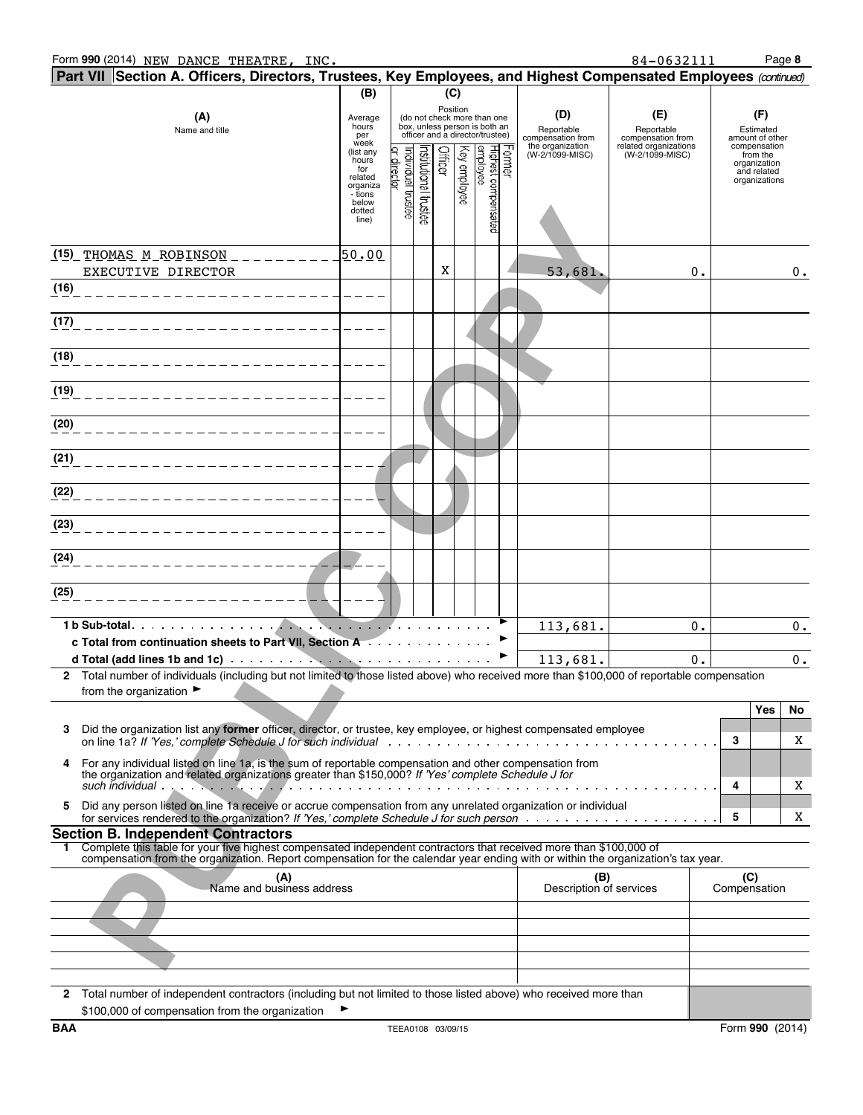| (B)<br>(C)<br>Position<br>(D)<br>(E)<br>(F)<br>(A)<br>(do not check more than one<br>Average<br>hours<br>box, unless person is both an<br>Reportable<br>Reportable<br>Estimated<br>Name and title<br>officer and a director/trustee)<br>per<br>compensation from<br>compensation from<br>amount of other<br>week<br>the organization<br>(W-2/1099-MISC)<br>related organizations<br>compensation<br>Highest compensated<br>employee<br><b>Officer</b><br>Key employee<br>ar directar<br>ndividual trustee<br>(list any<br>nstitutional trustee<br>crmer<br>(W-2/1099-MISC)<br>from the<br>hours<br>organization<br>for<br>and related<br>related<br>organizations<br>organiza<br>- tions<br>below<br>dotted<br>line)<br>50.00<br><u>(15) THOMAS M ROBINSON _ _ _ _ _ _ _ _ _</u><br>X<br>EXECUTIVE DIRECTOR<br>53,681.<br>0.<br>0.<br>(16)<br>(17)<br>(18)<br>________________________<br>(19)<br>(20)<br>________________________<br>(21)<br>(22)<br>________________________<br>(23)<br>(24)<br>(25)<br>. <i>.</i> .<br>113,681.<br>0.<br>c Total from continuation sheets to Part VII, Section A<br>d Total (add lines 1b and 1c) and the contract of the contract of the contract of the contract of the contract of the contract of the contract of the contract of the contract of the contract of the contract of the contract<br>113,681.<br>0.<br>$0$ .<br>2 Total number of individuals (including but not limited to those listed above) who received more than \$100,000 of reportable compensation<br>from the organization $\blacktriangleright$<br>Yes<br>No<br>3<br>Did the organization list any former officer, director, or trustee, key employee, or highest compensated employee<br>3<br>X<br>For any individual listed on line 1a, is the sum of reportable compensation and other compensation from<br>4<br>the organization and related organizations greater than \$150,000? If 'Yes' complete Schedule J for<br>4<br>X<br>Did any person listed on line 1a receive or accrue compensation from any unrelated organization or individual<br>5<br>5<br>X<br><b>Section B. Independent Contractors</b><br>Complete this table for your five highest compensated independent contractors that received more than \$100,000 of<br>1.<br>compensation from the organization. Report compensation for the calendar year ending with or within the organization's tax year.<br>(C)<br>(A)<br>(B)<br>Name and business address<br>Description of services<br>Compensation<br>2 Total number of independent contractors (including but not limited to those listed above) who received more than | Part VII Section A. Officers, Directors, Trustees, Key Employees, and Highest Compensated Employees (continued) |                                                 |  |  |  |  |  |  |  |  |  |    |
|------------------------------------------------------------------------------------------------------------------------------------------------------------------------------------------------------------------------------------------------------------------------------------------------------------------------------------------------------------------------------------------------------------------------------------------------------------------------------------------------------------------------------------------------------------------------------------------------------------------------------------------------------------------------------------------------------------------------------------------------------------------------------------------------------------------------------------------------------------------------------------------------------------------------------------------------------------------------------------------------------------------------------------------------------------------------------------------------------------------------------------------------------------------------------------------------------------------------------------------------------------------------------------------------------------------------------------------------------------------------------------------------------------------------------------------------------------------------------------------------------------------------------------------------------------------------------------------------------------------------------------------------------------------------------------------------------------------------------------------------------------------------------------------------------------------------------------------------------------------------------------------------------------------------------------------------------------------------------------------------------------------------------------------------------------------------------------------------------------------------------------------------------------------------------------------------------------------------------------------------------------------------------------------------------------------------------------------------------------------------------------------------------------------------------------------------------------------------------------------------------------------------------------------------------------------------------------------------------------------|-----------------------------------------------------------------------------------------------------------------|-------------------------------------------------|--|--|--|--|--|--|--|--|--|----|
|                                                                                                                                                                                                                                                                                                                                                                                                                                                                                                                                                                                                                                                                                                                                                                                                                                                                                                                                                                                                                                                                                                                                                                                                                                                                                                                                                                                                                                                                                                                                                                                                                                                                                                                                                                                                                                                                                                                                                                                                                                                                                                                                                                                                                                                                                                                                                                                                                                                                                                                                                                                                                  |                                                                                                                 |                                                 |  |  |  |  |  |  |  |  |  |    |
|                                                                                                                                                                                                                                                                                                                                                                                                                                                                                                                                                                                                                                                                                                                                                                                                                                                                                                                                                                                                                                                                                                                                                                                                                                                                                                                                                                                                                                                                                                                                                                                                                                                                                                                                                                                                                                                                                                                                                                                                                                                                                                                                                                                                                                                                                                                                                                                                                                                                                                                                                                                                                  |                                                                                                                 |                                                 |  |  |  |  |  |  |  |  |  |    |
|                                                                                                                                                                                                                                                                                                                                                                                                                                                                                                                                                                                                                                                                                                                                                                                                                                                                                                                                                                                                                                                                                                                                                                                                                                                                                                                                                                                                                                                                                                                                                                                                                                                                                                                                                                                                                                                                                                                                                                                                                                                                                                                                                                                                                                                                                                                                                                                                                                                                                                                                                                                                                  |                                                                                                                 |                                                 |  |  |  |  |  |  |  |  |  |    |
|                                                                                                                                                                                                                                                                                                                                                                                                                                                                                                                                                                                                                                                                                                                                                                                                                                                                                                                                                                                                                                                                                                                                                                                                                                                                                                                                                                                                                                                                                                                                                                                                                                                                                                                                                                                                                                                                                                                                                                                                                                                                                                                                                                                                                                                                                                                                                                                                                                                                                                                                                                                                                  |                                                                                                                 |                                                 |  |  |  |  |  |  |  |  |  |    |
|                                                                                                                                                                                                                                                                                                                                                                                                                                                                                                                                                                                                                                                                                                                                                                                                                                                                                                                                                                                                                                                                                                                                                                                                                                                                                                                                                                                                                                                                                                                                                                                                                                                                                                                                                                                                                                                                                                                                                                                                                                                                                                                                                                                                                                                                                                                                                                                                                                                                                                                                                                                                                  |                                                                                                                 |                                                 |  |  |  |  |  |  |  |  |  |    |
|                                                                                                                                                                                                                                                                                                                                                                                                                                                                                                                                                                                                                                                                                                                                                                                                                                                                                                                                                                                                                                                                                                                                                                                                                                                                                                                                                                                                                                                                                                                                                                                                                                                                                                                                                                                                                                                                                                                                                                                                                                                                                                                                                                                                                                                                                                                                                                                                                                                                                                                                                                                                                  |                                                                                                                 |                                                 |  |  |  |  |  |  |  |  |  |    |
|                                                                                                                                                                                                                                                                                                                                                                                                                                                                                                                                                                                                                                                                                                                                                                                                                                                                                                                                                                                                                                                                                                                                                                                                                                                                                                                                                                                                                                                                                                                                                                                                                                                                                                                                                                                                                                                                                                                                                                                                                                                                                                                                                                                                                                                                                                                                                                                                                                                                                                                                                                                                                  |                                                                                                                 |                                                 |  |  |  |  |  |  |  |  |  |    |
|                                                                                                                                                                                                                                                                                                                                                                                                                                                                                                                                                                                                                                                                                                                                                                                                                                                                                                                                                                                                                                                                                                                                                                                                                                                                                                                                                                                                                                                                                                                                                                                                                                                                                                                                                                                                                                                                                                                                                                                                                                                                                                                                                                                                                                                                                                                                                                                                                                                                                                                                                                                                                  |                                                                                                                 |                                                 |  |  |  |  |  |  |  |  |  |    |
|                                                                                                                                                                                                                                                                                                                                                                                                                                                                                                                                                                                                                                                                                                                                                                                                                                                                                                                                                                                                                                                                                                                                                                                                                                                                                                                                                                                                                                                                                                                                                                                                                                                                                                                                                                                                                                                                                                                                                                                                                                                                                                                                                                                                                                                                                                                                                                                                                                                                                                                                                                                                                  |                                                                                                                 |                                                 |  |  |  |  |  |  |  |  |  |    |
|                                                                                                                                                                                                                                                                                                                                                                                                                                                                                                                                                                                                                                                                                                                                                                                                                                                                                                                                                                                                                                                                                                                                                                                                                                                                                                                                                                                                                                                                                                                                                                                                                                                                                                                                                                                                                                                                                                                                                                                                                                                                                                                                                                                                                                                                                                                                                                                                                                                                                                                                                                                                                  |                                                                                                                 |                                                 |  |  |  |  |  |  |  |  |  |    |
|                                                                                                                                                                                                                                                                                                                                                                                                                                                                                                                                                                                                                                                                                                                                                                                                                                                                                                                                                                                                                                                                                                                                                                                                                                                                                                                                                                                                                                                                                                                                                                                                                                                                                                                                                                                                                                                                                                                                                                                                                                                                                                                                                                                                                                                                                                                                                                                                                                                                                                                                                                                                                  |                                                                                                                 |                                                 |  |  |  |  |  |  |  |  |  |    |
|                                                                                                                                                                                                                                                                                                                                                                                                                                                                                                                                                                                                                                                                                                                                                                                                                                                                                                                                                                                                                                                                                                                                                                                                                                                                                                                                                                                                                                                                                                                                                                                                                                                                                                                                                                                                                                                                                                                                                                                                                                                                                                                                                                                                                                                                                                                                                                                                                                                                                                                                                                                                                  |                                                                                                                 |                                                 |  |  |  |  |  |  |  |  |  |    |
|                                                                                                                                                                                                                                                                                                                                                                                                                                                                                                                                                                                                                                                                                                                                                                                                                                                                                                                                                                                                                                                                                                                                                                                                                                                                                                                                                                                                                                                                                                                                                                                                                                                                                                                                                                                                                                                                                                                                                                                                                                                                                                                                                                                                                                                                                                                                                                                                                                                                                                                                                                                                                  |                                                                                                                 |                                                 |  |  |  |  |  |  |  |  |  |    |
|                                                                                                                                                                                                                                                                                                                                                                                                                                                                                                                                                                                                                                                                                                                                                                                                                                                                                                                                                                                                                                                                                                                                                                                                                                                                                                                                                                                                                                                                                                                                                                                                                                                                                                                                                                                                                                                                                                                                                                                                                                                                                                                                                                                                                                                                                                                                                                                                                                                                                                                                                                                                                  |                                                                                                                 |                                                 |  |  |  |  |  |  |  |  |  |    |
|                                                                                                                                                                                                                                                                                                                                                                                                                                                                                                                                                                                                                                                                                                                                                                                                                                                                                                                                                                                                                                                                                                                                                                                                                                                                                                                                                                                                                                                                                                                                                                                                                                                                                                                                                                                                                                                                                                                                                                                                                                                                                                                                                                                                                                                                                                                                                                                                                                                                                                                                                                                                                  |                                                                                                                 |                                                 |  |  |  |  |  |  |  |  |  |    |
|                                                                                                                                                                                                                                                                                                                                                                                                                                                                                                                                                                                                                                                                                                                                                                                                                                                                                                                                                                                                                                                                                                                                                                                                                                                                                                                                                                                                                                                                                                                                                                                                                                                                                                                                                                                                                                                                                                                                                                                                                                                                                                                                                                                                                                                                                                                                                                                                                                                                                                                                                                                                                  |                                                                                                                 |                                                 |  |  |  |  |  |  |  |  |  |    |
|                                                                                                                                                                                                                                                                                                                                                                                                                                                                                                                                                                                                                                                                                                                                                                                                                                                                                                                                                                                                                                                                                                                                                                                                                                                                                                                                                                                                                                                                                                                                                                                                                                                                                                                                                                                                                                                                                                                                                                                                                                                                                                                                                                                                                                                                                                                                                                                                                                                                                                                                                                                                                  |                                                                                                                 |                                                 |  |  |  |  |  |  |  |  |  |    |
|                                                                                                                                                                                                                                                                                                                                                                                                                                                                                                                                                                                                                                                                                                                                                                                                                                                                                                                                                                                                                                                                                                                                                                                                                                                                                                                                                                                                                                                                                                                                                                                                                                                                                                                                                                                                                                                                                                                                                                                                                                                                                                                                                                                                                                                                                                                                                                                                                                                                                                                                                                                                                  |                                                                                                                 |                                                 |  |  |  |  |  |  |  |  |  |    |
|                                                                                                                                                                                                                                                                                                                                                                                                                                                                                                                                                                                                                                                                                                                                                                                                                                                                                                                                                                                                                                                                                                                                                                                                                                                                                                                                                                                                                                                                                                                                                                                                                                                                                                                                                                                                                                                                                                                                                                                                                                                                                                                                                                                                                                                                                                                                                                                                                                                                                                                                                                                                                  |                                                                                                                 |                                                 |  |  |  |  |  |  |  |  |  |    |
|                                                                                                                                                                                                                                                                                                                                                                                                                                                                                                                                                                                                                                                                                                                                                                                                                                                                                                                                                                                                                                                                                                                                                                                                                                                                                                                                                                                                                                                                                                                                                                                                                                                                                                                                                                                                                                                                                                                                                                                                                                                                                                                                                                                                                                                                                                                                                                                                                                                                                                                                                                                                                  |                                                                                                                 |                                                 |  |  |  |  |  |  |  |  |  |    |
|                                                                                                                                                                                                                                                                                                                                                                                                                                                                                                                                                                                                                                                                                                                                                                                                                                                                                                                                                                                                                                                                                                                                                                                                                                                                                                                                                                                                                                                                                                                                                                                                                                                                                                                                                                                                                                                                                                                                                                                                                                                                                                                                                                                                                                                                                                                                                                                                                                                                                                                                                                                                                  |                                                                                                                 |                                                 |  |  |  |  |  |  |  |  |  |    |
|                                                                                                                                                                                                                                                                                                                                                                                                                                                                                                                                                                                                                                                                                                                                                                                                                                                                                                                                                                                                                                                                                                                                                                                                                                                                                                                                                                                                                                                                                                                                                                                                                                                                                                                                                                                                                                                                                                                                                                                                                                                                                                                                                                                                                                                                                                                                                                                                                                                                                                                                                                                                                  |                                                                                                                 |                                                 |  |  |  |  |  |  |  |  |  |    |
|                                                                                                                                                                                                                                                                                                                                                                                                                                                                                                                                                                                                                                                                                                                                                                                                                                                                                                                                                                                                                                                                                                                                                                                                                                                                                                                                                                                                                                                                                                                                                                                                                                                                                                                                                                                                                                                                                                                                                                                                                                                                                                                                                                                                                                                                                                                                                                                                                                                                                                                                                                                                                  |                                                                                                                 |                                                 |  |  |  |  |  |  |  |  |  |    |
|                                                                                                                                                                                                                                                                                                                                                                                                                                                                                                                                                                                                                                                                                                                                                                                                                                                                                                                                                                                                                                                                                                                                                                                                                                                                                                                                                                                                                                                                                                                                                                                                                                                                                                                                                                                                                                                                                                                                                                                                                                                                                                                                                                                                                                                                                                                                                                                                                                                                                                                                                                                                                  |                                                                                                                 |                                                 |  |  |  |  |  |  |  |  |  | 0. |
|                                                                                                                                                                                                                                                                                                                                                                                                                                                                                                                                                                                                                                                                                                                                                                                                                                                                                                                                                                                                                                                                                                                                                                                                                                                                                                                                                                                                                                                                                                                                                                                                                                                                                                                                                                                                                                                                                                                                                                                                                                                                                                                                                                                                                                                                                                                                                                                                                                                                                                                                                                                                                  |                                                                                                                 |                                                 |  |  |  |  |  |  |  |  |  |    |
|                                                                                                                                                                                                                                                                                                                                                                                                                                                                                                                                                                                                                                                                                                                                                                                                                                                                                                                                                                                                                                                                                                                                                                                                                                                                                                                                                                                                                                                                                                                                                                                                                                                                                                                                                                                                                                                                                                                                                                                                                                                                                                                                                                                                                                                                                                                                                                                                                                                                                                                                                                                                                  |                                                                                                                 |                                                 |  |  |  |  |  |  |  |  |  |    |
|                                                                                                                                                                                                                                                                                                                                                                                                                                                                                                                                                                                                                                                                                                                                                                                                                                                                                                                                                                                                                                                                                                                                                                                                                                                                                                                                                                                                                                                                                                                                                                                                                                                                                                                                                                                                                                                                                                                                                                                                                                                                                                                                                                                                                                                                                                                                                                                                                                                                                                                                                                                                                  |                                                                                                                 |                                                 |  |  |  |  |  |  |  |  |  |    |
|                                                                                                                                                                                                                                                                                                                                                                                                                                                                                                                                                                                                                                                                                                                                                                                                                                                                                                                                                                                                                                                                                                                                                                                                                                                                                                                                                                                                                                                                                                                                                                                                                                                                                                                                                                                                                                                                                                                                                                                                                                                                                                                                                                                                                                                                                                                                                                                                                                                                                                                                                                                                                  |                                                                                                                 |                                                 |  |  |  |  |  |  |  |  |  |    |
|                                                                                                                                                                                                                                                                                                                                                                                                                                                                                                                                                                                                                                                                                                                                                                                                                                                                                                                                                                                                                                                                                                                                                                                                                                                                                                                                                                                                                                                                                                                                                                                                                                                                                                                                                                                                                                                                                                                                                                                                                                                                                                                                                                                                                                                                                                                                                                                                                                                                                                                                                                                                                  |                                                                                                                 |                                                 |  |  |  |  |  |  |  |  |  |    |
|                                                                                                                                                                                                                                                                                                                                                                                                                                                                                                                                                                                                                                                                                                                                                                                                                                                                                                                                                                                                                                                                                                                                                                                                                                                                                                                                                                                                                                                                                                                                                                                                                                                                                                                                                                                                                                                                                                                                                                                                                                                                                                                                                                                                                                                                                                                                                                                                                                                                                                                                                                                                                  |                                                                                                                 |                                                 |  |  |  |  |  |  |  |  |  |    |
|                                                                                                                                                                                                                                                                                                                                                                                                                                                                                                                                                                                                                                                                                                                                                                                                                                                                                                                                                                                                                                                                                                                                                                                                                                                                                                                                                                                                                                                                                                                                                                                                                                                                                                                                                                                                                                                                                                                                                                                                                                                                                                                                                                                                                                                                                                                                                                                                                                                                                                                                                                                                                  |                                                                                                                 |                                                 |  |  |  |  |  |  |  |  |  |    |
|                                                                                                                                                                                                                                                                                                                                                                                                                                                                                                                                                                                                                                                                                                                                                                                                                                                                                                                                                                                                                                                                                                                                                                                                                                                                                                                                                                                                                                                                                                                                                                                                                                                                                                                                                                                                                                                                                                                                                                                                                                                                                                                                                                                                                                                                                                                                                                                                                                                                                                                                                                                                                  |                                                                                                                 |                                                 |  |  |  |  |  |  |  |  |  |    |
|                                                                                                                                                                                                                                                                                                                                                                                                                                                                                                                                                                                                                                                                                                                                                                                                                                                                                                                                                                                                                                                                                                                                                                                                                                                                                                                                                                                                                                                                                                                                                                                                                                                                                                                                                                                                                                                                                                                                                                                                                                                                                                                                                                                                                                                                                                                                                                                                                                                                                                                                                                                                                  |                                                                                                                 |                                                 |  |  |  |  |  |  |  |  |  |    |
|                                                                                                                                                                                                                                                                                                                                                                                                                                                                                                                                                                                                                                                                                                                                                                                                                                                                                                                                                                                                                                                                                                                                                                                                                                                                                                                                                                                                                                                                                                                                                                                                                                                                                                                                                                                                                                                                                                                                                                                                                                                                                                                                                                                                                                                                                                                                                                                                                                                                                                                                                                                                                  |                                                                                                                 |                                                 |  |  |  |  |  |  |  |  |  |    |
|                                                                                                                                                                                                                                                                                                                                                                                                                                                                                                                                                                                                                                                                                                                                                                                                                                                                                                                                                                                                                                                                                                                                                                                                                                                                                                                                                                                                                                                                                                                                                                                                                                                                                                                                                                                                                                                                                                                                                                                                                                                                                                                                                                                                                                                                                                                                                                                                                                                                                                                                                                                                                  |                                                                                                                 |                                                 |  |  |  |  |  |  |  |  |  |    |
|                                                                                                                                                                                                                                                                                                                                                                                                                                                                                                                                                                                                                                                                                                                                                                                                                                                                                                                                                                                                                                                                                                                                                                                                                                                                                                                                                                                                                                                                                                                                                                                                                                                                                                                                                                                                                                                                                                                                                                                                                                                                                                                                                                                                                                                                                                                                                                                                                                                                                                                                                                                                                  |                                                                                                                 |                                                 |  |  |  |  |  |  |  |  |  |    |
|                                                                                                                                                                                                                                                                                                                                                                                                                                                                                                                                                                                                                                                                                                                                                                                                                                                                                                                                                                                                                                                                                                                                                                                                                                                                                                                                                                                                                                                                                                                                                                                                                                                                                                                                                                                                                                                                                                                                                                                                                                                                                                                                                                                                                                                                                                                                                                                                                                                                                                                                                                                                                  |                                                                                                                 |                                                 |  |  |  |  |  |  |  |  |  |    |
|                                                                                                                                                                                                                                                                                                                                                                                                                                                                                                                                                                                                                                                                                                                                                                                                                                                                                                                                                                                                                                                                                                                                                                                                                                                                                                                                                                                                                                                                                                                                                                                                                                                                                                                                                                                                                                                                                                                                                                                                                                                                                                                                                                                                                                                                                                                                                                                                                                                                                                                                                                                                                  |                                                                                                                 |                                                 |  |  |  |  |  |  |  |  |  |    |
|                                                                                                                                                                                                                                                                                                                                                                                                                                                                                                                                                                                                                                                                                                                                                                                                                                                                                                                                                                                                                                                                                                                                                                                                                                                                                                                                                                                                                                                                                                                                                                                                                                                                                                                                                                                                                                                                                                                                                                                                                                                                                                                                                                                                                                                                                                                                                                                                                                                                                                                                                                                                                  |                                                                                                                 |                                                 |  |  |  |  |  |  |  |  |  |    |
|                                                                                                                                                                                                                                                                                                                                                                                                                                                                                                                                                                                                                                                                                                                                                                                                                                                                                                                                                                                                                                                                                                                                                                                                                                                                                                                                                                                                                                                                                                                                                                                                                                                                                                                                                                                                                                                                                                                                                                                                                                                                                                                                                                                                                                                                                                                                                                                                                                                                                                                                                                                                                  |                                                                                                                 |                                                 |  |  |  |  |  |  |  |  |  |    |
|                                                                                                                                                                                                                                                                                                                                                                                                                                                                                                                                                                                                                                                                                                                                                                                                                                                                                                                                                                                                                                                                                                                                                                                                                                                                                                                                                                                                                                                                                                                                                                                                                                                                                                                                                                                                                                                                                                                                                                                                                                                                                                                                                                                                                                                                                                                                                                                                                                                                                                                                                                                                                  |                                                                                                                 | \$100,000 of compensation from the organization |  |  |  |  |  |  |  |  |  |    |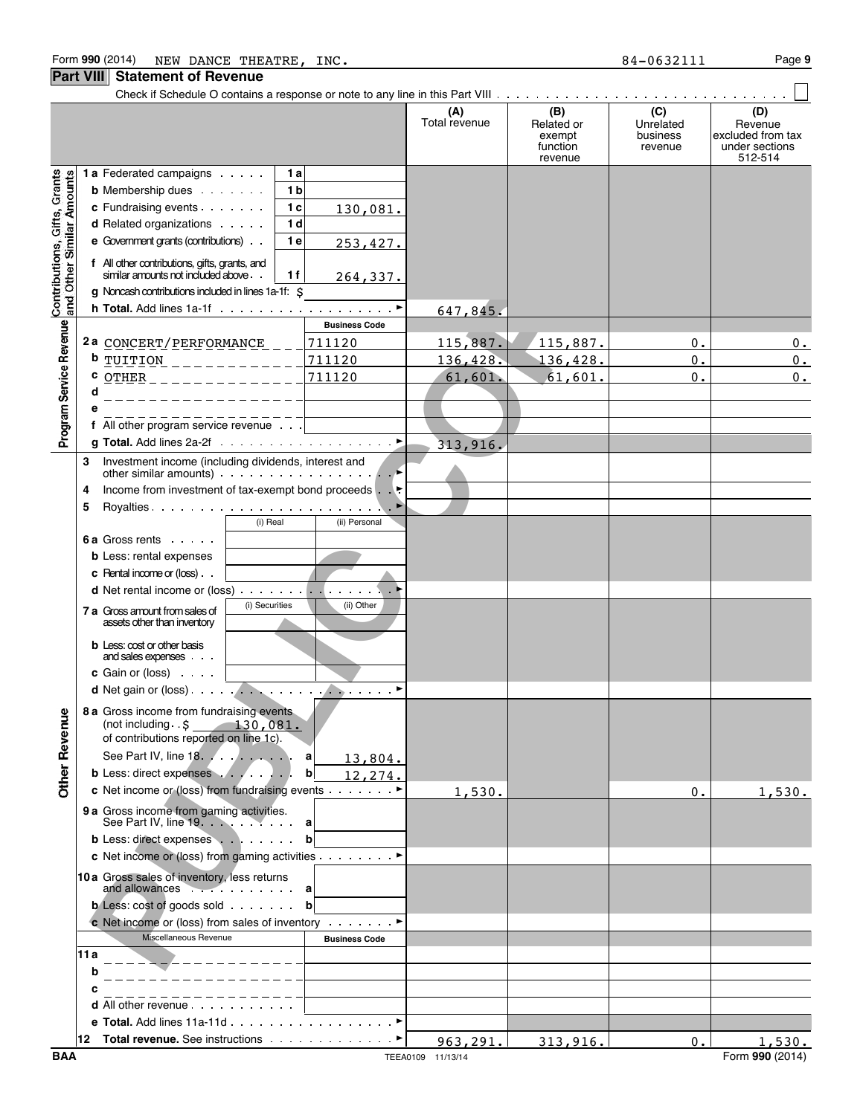**Part VIII Statement of Revenue**

#### **(A) (B) (C) (D)** Total revenue Related or Unrelated Revenue<br>exempt business excluded from exempt business excluded from tax<br>function the revenue under sections function revenue under sections revenue 512-514 Contributions, Gifts, Grants<br>and Other Similar Amounts **1 a** Federated campaigns **1 a b** Membership dues **1 b c** Fundraising events **1 c PUBLIC COPY** 130,081. **d** Related organizations **1 d e** Government grants (contributions) **1 e** 253,427. **f** All other contributions, gifts, grants, and similar amounts not included above **1 f** 264,337. **g** Noncash contributions included in lines 1a-1f: \$ **h Total.** Add lines 1a-1f (a) and a contract of a part of a part of a part of a part of a part of a part of a part of  $\triangleright$ 647,845. Program Service Revenue **Business Code 2 a** CONCERT/PERFORMANCE 711120 115,887. 115,887. 0. 0. **b** TUITION 711120 136,428. 136,428. 0. 0. **c** <u>OTHER \_\_\_\_\_\_\_\_\_\_\_\_\_\_ 711120 61,601. 61,601. 0. 0.</u> **d e f** All other program service revenue **g Total.** Add lines 2a-2f  $\ldots \ldots \ldots \ldots \ldots \ldots \ldots \ldots$ 313,916. **3** Investment income (including dividends, interest and other similar amounts)  $\ldots$   $\ldots$   $\ldots$   $\ldots$   $\ldots$ **4** Income from investment of tax-exempt bond proceeds . G **5** Royalties Government Construction of the Lines of the Lines of Lines of Lines of Lines of Lines of Lines of Lines of Lines of Lines of Lines of Lines of Lines of Lines of Lines of Lines of Lines of Lines of Lines of Li (i) Real (ii) Personal **6 a** Gross rents **b** Less: rental expenses **c** Rental income or (loss) ... **d** Net rental income or (loss) God Contains God Contains a later of  $\mathbb{R}$ **7 a** Gross amount from sales of (ii) Securities (iii) Other assets other than inventory **b** Less: cost or other basis and sales expenses **c** Gain or (loss) **d** Net gain or (loss) God Contains God Contains Contains Contains Contains Contains Contains Contains Contains Contains Contains Contains Contains Contains Contains Contains Contains Contains Contains Contains Contains Co **8 a** Gross income from fundraising events **Other Revenue** (not including .\$ 130,081. of contributions reported on line 1c). See Part IV, line 18 *a* **a a a a** 13,804. **b** Less: direct expenses **bb** 12,274. **c** Net income or (loss) from fundraising events  $\dots$  ∴ ∴ ∴ ►  $1,530.$  0. 1,530. **9 a** Gross income from gaming activities. See Part IV, line 19. **. . . . . . . . . . a b** Less: direct expenses **b b c** Net income or (loss) from gaming activities . . . . . . . . ▶ **10a** Gross sales of inventory, less returns and allowances **a b** Less: cost of goods sold **bc bc b c** Net income or (loss) from sales of inventory Consults P Miscellaneous Revenue **Business Code 11a b**  $- - - -$ **c d** All other revenue **e Total.** Add lines 11a-11d . . . . . . . . . . . . . . . . . ▶ **12 Total revenue.** See instructions Constructions of Construction 963,291. 313,916. 0. 1,530

Check if Schedule O contains a response or note to any line in this Part VIII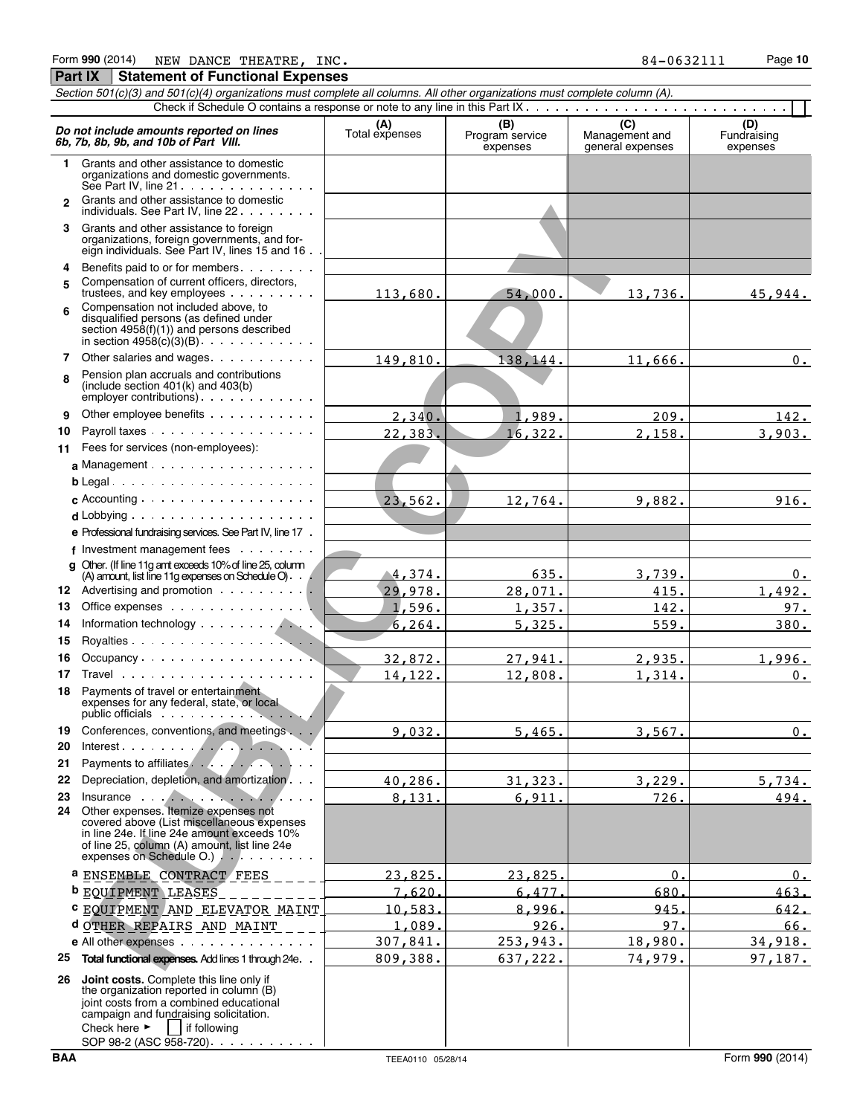| Section 501(c)(3) and 501(c)(4) organizations must complete all columns. All other organizations must complete column (A). |                                                                                                                                                                                                                                                                          |                       |                                    |                                           |                                |  |  |  |  |  |  |
|----------------------------------------------------------------------------------------------------------------------------|--------------------------------------------------------------------------------------------------------------------------------------------------------------------------------------------------------------------------------------------------------------------------|-----------------------|------------------------------------|-------------------------------------------|--------------------------------|--|--|--|--|--|--|
|                                                                                                                            |                                                                                                                                                                                                                                                                          |                       |                                    |                                           |                                |  |  |  |  |  |  |
|                                                                                                                            | Do not include amounts reported on lines<br>6b, 7b, 8b, 9b, and 10b of Part VIII.                                                                                                                                                                                        | (A)<br>Total expenses | (B)<br>Program service<br>expenses | (C)<br>Management and<br>general expenses | (D)<br>Fundraising<br>expenses |  |  |  |  |  |  |
| 1.                                                                                                                         | Grants and other assistance to domestic<br>organizations and domestic governments.<br>See Part IV, line 21                                                                                                                                                               |                       |                                    |                                           |                                |  |  |  |  |  |  |
| $\mathbf{p}$                                                                                                               | Grants and other assistance to domestic<br>individuals. See Part IV, line 22                                                                                                                                                                                             |                       |                                    |                                           |                                |  |  |  |  |  |  |
|                                                                                                                            | 3 Grants and other assistance to foreign<br>organizations, foreign governments, and for-<br>eign individuals. See Part IV, lines 15 and 16                                                                                                                               |                       |                                    |                                           |                                |  |  |  |  |  |  |
| 4<br>5                                                                                                                     | Benefits paid to or for members<br>Compensation of current officers, directors,                                                                                                                                                                                          |                       |                                    |                                           |                                |  |  |  |  |  |  |
| 6                                                                                                                          | trustees, and key employees<br>Compensation not included above, to<br>disqualified persons (as defined under                                                                                                                                                             | 113,680.              | 54,000.                            | 13,736.                                   | 45,944.                        |  |  |  |  |  |  |
|                                                                                                                            | section $4958(f)(1)$ and persons described<br>in section $4958(c)(3)(B)$                                                                                                                                                                                                 |                       |                                    |                                           |                                |  |  |  |  |  |  |
| 7                                                                                                                          | Other salaries and wages.                                                                                                                                                                                                                                                | 149,810.              | 138,144.                           | 11,666.                                   | $0$ .                          |  |  |  |  |  |  |
| 8                                                                                                                          | Pension plan accruals and contributions<br>(include section $401(k)$ and $403(b)$<br>$\epsilon$ mployer contributions). $\ldots$ $\ldots$                                                                                                                                |                       |                                    |                                           |                                |  |  |  |  |  |  |
| 9                                                                                                                          | Other employee benefits                                                                                                                                                                                                                                                  | 2,340.                | 1,989.                             | 209.                                      | 142.                           |  |  |  |  |  |  |
| 10                                                                                                                         | Payroll taxes                                                                                                                                                                                                                                                            | 22,383.               | 16,322.                            | 2,158.                                    | 3,903.                         |  |  |  |  |  |  |
| 11                                                                                                                         | Fees for services (non-employees):                                                                                                                                                                                                                                       |                       |                                    |                                           |                                |  |  |  |  |  |  |
|                                                                                                                            | a Management $\cdots$ $\cdots$ $\cdots$ $\cdots$ $\cdots$                                                                                                                                                                                                                |                       |                                    |                                           |                                |  |  |  |  |  |  |
|                                                                                                                            | $b$ Legal                                                                                                                                                                                                                                                                |                       |                                    |                                           |                                |  |  |  |  |  |  |
|                                                                                                                            |                                                                                                                                                                                                                                                                          | 23,562.               | 12,764.                            | 9,882.                                    | 916.                           |  |  |  |  |  |  |
|                                                                                                                            |                                                                                                                                                                                                                                                                          |                       |                                    |                                           |                                |  |  |  |  |  |  |
|                                                                                                                            | e Professional fundraising services. See Part IV, line 17.                                                                                                                                                                                                               |                       |                                    |                                           |                                |  |  |  |  |  |  |
|                                                                                                                            | $f$ Investment management fees $\ldots$                                                                                                                                                                                                                                  |                       |                                    |                                           |                                |  |  |  |  |  |  |
|                                                                                                                            | q Other. (If line 11g ant exceeds 10% of line 25, column                                                                                                                                                                                                                 | 4,374.                | 635.                               | 3,739.                                    |                                |  |  |  |  |  |  |
|                                                                                                                            | (A) amount, list line 11g expenses on Schedule $O$ .<br>12 Advertising and promotion                                                                                                                                                                                     | 29,978.               | 28,071.                            | 415.                                      | 0.<br>1,492.                   |  |  |  |  |  |  |
| 13                                                                                                                         |                                                                                                                                                                                                                                                                          | 1,596.                | 1,357.                             | 142.                                      | 97.                            |  |  |  |  |  |  |
| 14                                                                                                                         |                                                                                                                                                                                                                                                                          | 6, 264.               | 5,325.                             | 559.                                      | 380.                           |  |  |  |  |  |  |
| 15                                                                                                                         |                                                                                                                                                                                                                                                                          |                       |                                    |                                           |                                |  |  |  |  |  |  |
| 16                                                                                                                         |                                                                                                                                                                                                                                                                          | 32,872.               | 27,941.                            | 2,935.                                    | 1,996.                         |  |  |  |  |  |  |
| 17                                                                                                                         |                                                                                                                                                                                                                                                                          | 14,122.               | 12,808.                            | 1,314.                                    | $0$ .                          |  |  |  |  |  |  |
| 18                                                                                                                         | Payments of travel or entertainment<br>expenses for any federal, state, or local<br>public officials experience of the set of the set of the set of the set of the set of the set of the set of the                                                                      |                       |                                    |                                           |                                |  |  |  |  |  |  |
| 19<br>20                                                                                                                   | Conferences, conventions, and meetings                                                                                                                                                                                                                                   | 9,032.                | 5,465.                             | 3,567.                                    | 0.                             |  |  |  |  |  |  |
| 21                                                                                                                         | Payments to affiliates.                                                                                                                                                                                                                                                  |                       |                                    |                                           |                                |  |  |  |  |  |  |
| 22                                                                                                                         | Depreciation, depletion, and amortization                                                                                                                                                                                                                                | 40,286.               | 31,323.                            | 3,229.                                    | 5,734.                         |  |  |  |  |  |  |
| 23                                                                                                                         | Insurance the contract of the contract of the contract of the contract of the contract of the contract of the contract of the contract of the contract of the contract of the contract of the contract of the contract of the<br>24 Other expenses. Itemize expenses not | 8,131.                | 6,911.                             | 726.                                      | 494.                           |  |  |  |  |  |  |
|                                                                                                                            | covered above (List miscellaneous expenses<br>in line 24e. If line 24e amount exceeds 10%<br>of line 25, column (A) amount, list line 24e<br>expenses on Schedule O.).                                                                                                   |                       |                                    |                                           |                                |  |  |  |  |  |  |
|                                                                                                                            | <sup>a</sup> ENSEMBLE CONTRACT FEES                                                                                                                                                                                                                                      | 23,825                | 23,825                             | $\Omega$                                  | 0.                             |  |  |  |  |  |  |
|                                                                                                                            | <b>b</b> EQUIPMENT LEASES                                                                                                                                                                                                                                                | 7.620                 | 6.477                              | 680                                       | 463.                           |  |  |  |  |  |  |
|                                                                                                                            | C EQUIPMENT AND ELEVATOR MAINT                                                                                                                                                                                                                                           | 10,583                | 8,996                              | 945.                                      | 642.                           |  |  |  |  |  |  |
|                                                                                                                            | d OTHER REPAIRS AND MAINT                                                                                                                                                                                                                                                | 1.089                 | 926                                | 97                                        | 66.                            |  |  |  |  |  |  |
|                                                                                                                            | e All other expenses.                                                                                                                                                                                                                                                    | 307,841.              | 253,943.                           | 18,980.                                   | 34,918.                        |  |  |  |  |  |  |
| 25                                                                                                                         | Total functional expenses. Add lines 1 through 24e. .                                                                                                                                                                                                                    | 809,388.              | 637,222.                           | 74,979.                                   | 97,187.                        |  |  |  |  |  |  |
| 26                                                                                                                         | Joint costs. Complete this line only if<br>the organization reported in column (B)<br>joint costs from a combined educational<br>campaign and fundraising solicitation.<br>Check here $\blacktriangleright$<br>if following                                              |                       |                                    |                                           |                                |  |  |  |  |  |  |

SOP 98-2 (ASC 958-720)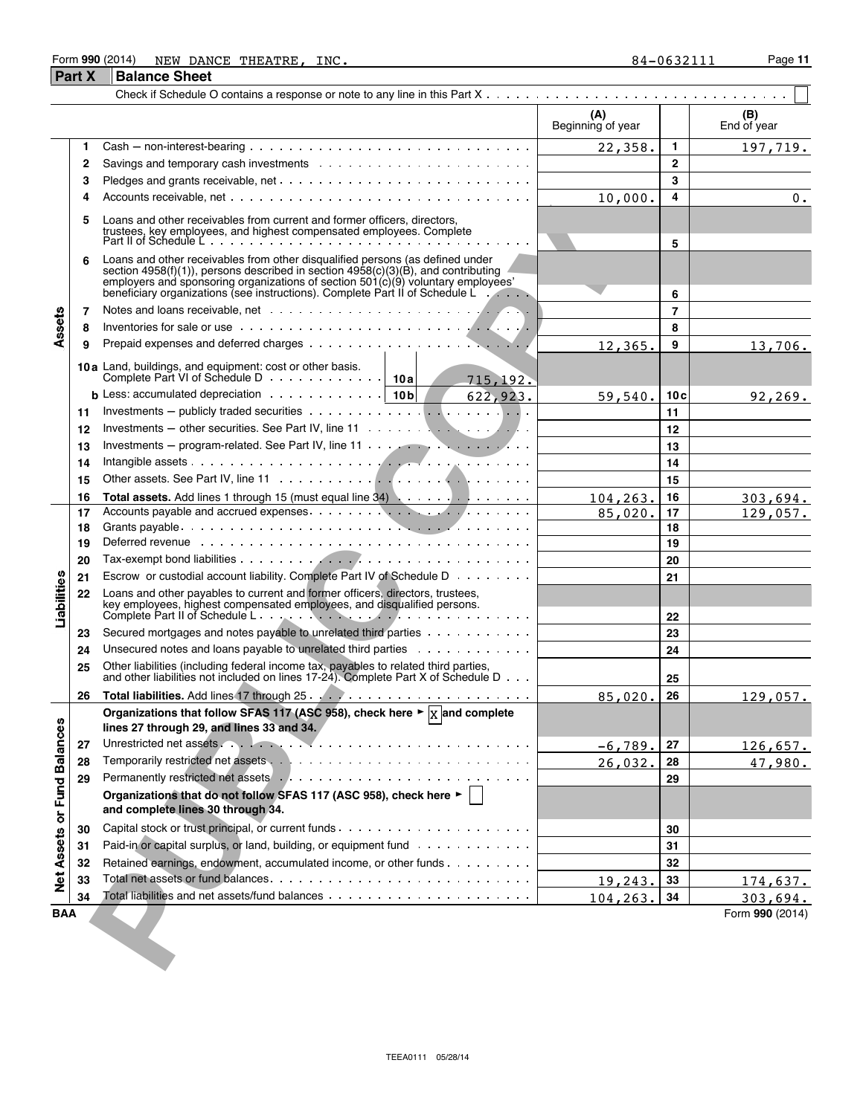#### Form **990** (2014) Page **11** NEW DANCE THEATRE, INC. 84-0632111

#### **Part X Balance Sheet** Check if Schedule O contains a response or note to any line in this Part X **Service** State **(A) (B)** Beginning of year  $\parallel$   $\parallel$  End of year **1** Cash ' non-interest-bearing **1** 197,719. **2** Savings and temporary cash investments **2 3** Pledges and grants receivable, net **3 4** Accounts receivable, net **4**  $10,000.$  | 4 | 0. Liques and chief resolution that components and former officers, allowing the components and control the components components (and only a component of the component of the component of the component of the component of th **5** Loans and other receivables from current and former officers, directors, trustees, key employees, and highest compensated employees. Complete Part II of Schedule L **5 6** Loans and other receivables from other disqualified persons (as defined under section 4958(f)(1)), persons described in section 4958(c)(3)(B), and contributing employers and sponsoring organizations of section 501(c)(9) voluntary employees' beneficiary organizations (see instructions). Complete Part II of Schedule L **6 7** Notes and loans receivable, net **7** Assets **8** Inventories for sale or use **8 9** Prepaid expenses and deferred charges **9 9 9 9 9 9 12,365, 9** 12,365. 13,706. **10a** Land, buildings, and equipment: cost or other basis. Complete Part VI of Schedule D **10a** 715,192. **b** Less: accumulated depreciation **10c 10c 10c 10c 10c 10c 10c 10c 10c 10c 10c 10c 10c 10c 10c 10c 10c 10c 10c 10c 10c 10c 10c 10c 10c 10c 10c 10c 10c 10c 10c** 92,269. **11** Investments ' publicly traded securities **11 12** Investments ' other securities. See Part IV, line 11 **12 13** Investments – program-related. See Part IV, line 11 **13 13 13 14** Intangible assets **14** Intangible assets **14** Interventional **14** Interventional **14** Interventional **14** Interventional **14 15** Other assets. See Part IV, line 11 **15 16 Total assets.** Add lines 1 through 15 (must equal line 34) **16** 104,263. 303,694. **17** Accounts payable and accrued expenses **17** 85,020. 129,057. **18** Grants payable **18 19** Deferred revenue **19 20** Tax-exempt bond liabilities **20 21** Escrow or custodial account liability. Complete Part IV of Schedule D **21** Liabilities **22** Loans and other payables to current and former officers, directors, trustees, key employees, highest compensated employees, and disqualified persons.<br>Complete Part II of Schedule L Complete Part II of Schedule L **22 23** Secured mortgages and notes payable to unrelated third parties  $\ldots$ ,  $\ldots$ ,  $\ldots$ **24** Unsecured notes and loans payable to unrelated third parties **24 25** Other liabilities (including federal income tax, payables to related third parties, and other liabilities not included on lines 17-24). Complete Part X of Schedule D **25 26 Total liabilities.** Add lines 17 through 25 **26** 85,020. 129,057. Organizations that follow SFAS 117 (ASC 958), check here ►  $\vert$ <sub>X</sub> and complete **Balances lines 27 through 29, and lines 33 and 34. 27** Unrestricted net assets **27** 126,657. **28** Temporarily restricted net assets **28** 26,032. 47,980. **29** Permanently restricted net assets **29** or Fund **Organizations that do not follow SFAS 117 (ASC 958), check here** G **and complete lines 30 through 34. 30** Capital stock or trust principal, or current funds **30 Net Assets 31** Paid-in or capital surplus, or land, building, or equipment fund **31 31 21 31 31 32** Retained earnings, endowment, accumulated income, or other funds  $\ldots$ ,  $\ldots$ ,  $\vdots$ **33** Total net assets or fund balances **33** 174,637. **34** Total liabilities and net assets/fund balances **34** 104,263. 303,694.

**BAA** Form **990** (2014)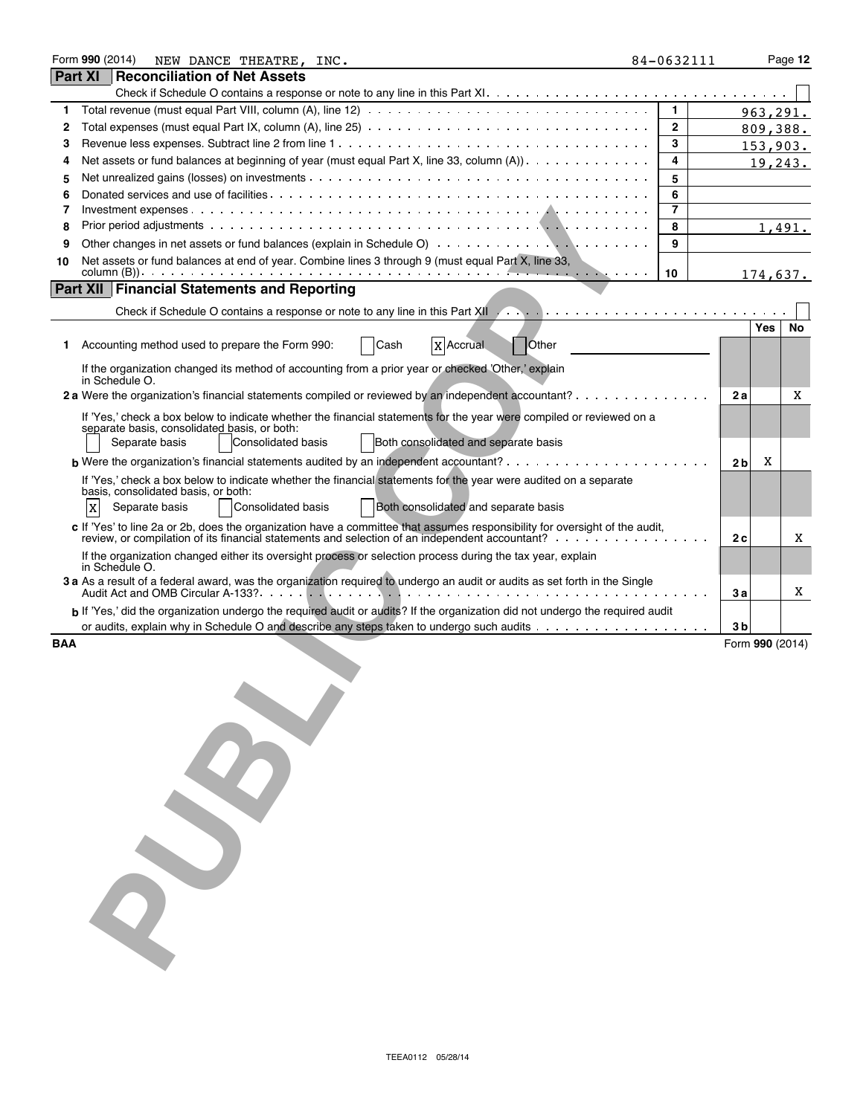| Form 990 (2014)<br>NEW DANCE THEATRE, INC.                                                                 |                                                                                                                                                                                                                                                                                                                                                                  |                                                                                                                                                                                                                                                                                                                                                                                                                                                                                                                                                                                                                                                                                                                                                                                                                                                                                                                                                                                                                                                                                        | Page 12                                                                                                                                                                                                                                                                                                                 |
|------------------------------------------------------------------------------------------------------------|------------------------------------------------------------------------------------------------------------------------------------------------------------------------------------------------------------------------------------------------------------------------------------------------------------------------------------------------------------------|----------------------------------------------------------------------------------------------------------------------------------------------------------------------------------------------------------------------------------------------------------------------------------------------------------------------------------------------------------------------------------------------------------------------------------------------------------------------------------------------------------------------------------------------------------------------------------------------------------------------------------------------------------------------------------------------------------------------------------------------------------------------------------------------------------------------------------------------------------------------------------------------------------------------------------------------------------------------------------------------------------------------------------------------------------------------------------------|-------------------------------------------------------------------------------------------------------------------------------------------------------------------------------------------------------------------------------------------------------------------------------------------------------------------------|
| Reconciliation of Net Assets                                                                               |                                                                                                                                                                                                                                                                                                                                                                  |                                                                                                                                                                                                                                                                                                                                                                                                                                                                                                                                                                                                                                                                                                                                                                                                                                                                                                                                                                                                                                                                                        |                                                                                                                                                                                                                                                                                                                         |
|                                                                                                            |                                                                                                                                                                                                                                                                                                                                                                  |                                                                                                                                                                                                                                                                                                                                                                                                                                                                                                                                                                                                                                                                                                                                                                                                                                                                                                                                                                                                                                                                                        |                                                                                                                                                                                                                                                                                                                         |
|                                                                                                            | $\mathbf{1}$                                                                                                                                                                                                                                                                                                                                                     |                                                                                                                                                                                                                                                                                                                                                                                                                                                                                                                                                                                                                                                                                                                                                                                                                                                                                                                                                                                                                                                                                        |                                                                                                                                                                                                                                                                                                                         |
|                                                                                                            | $\mathbf{2}$                                                                                                                                                                                                                                                                                                                                                     |                                                                                                                                                                                                                                                                                                                                                                                                                                                                                                                                                                                                                                                                                                                                                                                                                                                                                                                                                                                                                                                                                        |                                                                                                                                                                                                                                                                                                                         |
|                                                                                                            | 3                                                                                                                                                                                                                                                                                                                                                                |                                                                                                                                                                                                                                                                                                                                                                                                                                                                                                                                                                                                                                                                                                                                                                                                                                                                                                                                                                                                                                                                                        |                                                                                                                                                                                                                                                                                                                         |
|                                                                                                            | 4                                                                                                                                                                                                                                                                                                                                                                |                                                                                                                                                                                                                                                                                                                                                                                                                                                                                                                                                                                                                                                                                                                                                                                                                                                                                                                                                                                                                                                                                        |                                                                                                                                                                                                                                                                                                                         |
|                                                                                                            | 5                                                                                                                                                                                                                                                                                                                                                                |                                                                                                                                                                                                                                                                                                                                                                                                                                                                                                                                                                                                                                                                                                                                                                                                                                                                                                                                                                                                                                                                                        |                                                                                                                                                                                                                                                                                                                         |
|                                                                                                            | 6                                                                                                                                                                                                                                                                                                                                                                |                                                                                                                                                                                                                                                                                                                                                                                                                                                                                                                                                                                                                                                                                                                                                                                                                                                                                                                                                                                                                                                                                        |                                                                                                                                                                                                                                                                                                                         |
|                                                                                                            | 7                                                                                                                                                                                                                                                                                                                                                                |                                                                                                                                                                                                                                                                                                                                                                                                                                                                                                                                                                                                                                                                                                                                                                                                                                                                                                                                                                                                                                                                                        |                                                                                                                                                                                                                                                                                                                         |
|                                                                                                            | 8                                                                                                                                                                                                                                                                                                                                                                |                                                                                                                                                                                                                                                                                                                                                                                                                                                                                                                                                                                                                                                                                                                                                                                                                                                                                                                                                                                                                                                                                        | 1,491.                                                                                                                                                                                                                                                                                                                  |
|                                                                                                            | 9                                                                                                                                                                                                                                                                                                                                                                |                                                                                                                                                                                                                                                                                                                                                                                                                                                                                                                                                                                                                                                                                                                                                                                                                                                                                                                                                                                                                                                                                        |                                                                                                                                                                                                                                                                                                                         |
| Net assets or fund balances at end of year. Combine lines 3 through 9 (must equal Part X, line 33,         | 10                                                                                                                                                                                                                                                                                                                                                               | 174,637.                                                                                                                                                                                                                                                                                                                                                                                                                                                                                                                                                                                                                                                                                                                                                                                                                                                                                                                                                                                                                                                                               |                                                                                                                                                                                                                                                                                                                         |
|                                                                                                            |                                                                                                                                                                                                                                                                                                                                                                  |                                                                                                                                                                                                                                                                                                                                                                                                                                                                                                                                                                                                                                                                                                                                                                                                                                                                                                                                                                                                                                                                                        |                                                                                                                                                                                                                                                                                                                         |
|                                                                                                            |                                                                                                                                                                                                                                                                                                                                                                  |                                                                                                                                                                                                                                                                                                                                                                                                                                                                                                                                                                                                                                                                                                                                                                                                                                                                                                                                                                                                                                                                                        |                                                                                                                                                                                                                                                                                                                         |
|                                                                                                            |                                                                                                                                                                                                                                                                                                                                                                  | Yes                                                                                                                                                                                                                                                                                                                                                                                                                                                                                                                                                                                                                                                                                                                                                                                                                                                                                                                                                                                                                                                                                    | No                                                                                                                                                                                                                                                                                                                      |
| 1 Accounting method used to prepare the Form 990:<br>Cash<br>Other                                         |                                                                                                                                                                                                                                                                                                                                                                  |                                                                                                                                                                                                                                                                                                                                                                                                                                                                                                                                                                                                                                                                                                                                                                                                                                                                                                                                                                                                                                                                                        |                                                                                                                                                                                                                                                                                                                         |
| If the organization changed its method of accounting from a prior year or checked 'Other,' explain         |                                                                                                                                                                                                                                                                                                                                                                  |                                                                                                                                                                                                                                                                                                                                                                                                                                                                                                                                                                                                                                                                                                                                                                                                                                                                                                                                                                                                                                                                                        |                                                                                                                                                                                                                                                                                                                         |
|                                                                                                            |                                                                                                                                                                                                                                                                                                                                                                  |                                                                                                                                                                                                                                                                                                                                                                                                                                                                                                                                                                                                                                                                                                                                                                                                                                                                                                                                                                                                                                                                                        | X                                                                                                                                                                                                                                                                                                                       |
|                                                                                                            |                                                                                                                                                                                                                                                                                                                                                                  |                                                                                                                                                                                                                                                                                                                                                                                                                                                                                                                                                                                                                                                                                                                                                                                                                                                                                                                                                                                                                                                                                        |                                                                                                                                                                                                                                                                                                                         |
| separate basis, consolidated basis, or both:                                                               |                                                                                                                                                                                                                                                                                                                                                                  |                                                                                                                                                                                                                                                                                                                                                                                                                                                                                                                                                                                                                                                                                                                                                                                                                                                                                                                                                                                                                                                                                        |                                                                                                                                                                                                                                                                                                                         |
|                                                                                                            |                                                                                                                                                                                                                                                                                                                                                                  |                                                                                                                                                                                                                                                                                                                                                                                                                                                                                                                                                                                                                                                                                                                                                                                                                                                                                                                                                                                                                                                                                        |                                                                                                                                                                                                                                                                                                                         |
|                                                                                                            |                                                                                                                                                                                                                                                                                                                                                                  |                                                                                                                                                                                                                                                                                                                                                                                                                                                                                                                                                                                                                                                                                                                                                                                                                                                                                                                                                                                                                                                                                        |                                                                                                                                                                                                                                                                                                                         |
|                                                                                                            |                                                                                                                                                                                                                                                                                                                                                                  |                                                                                                                                                                                                                                                                                                                                                                                                                                                                                                                                                                                                                                                                                                                                                                                                                                                                                                                                                                                                                                                                                        |                                                                                                                                                                                                                                                                                                                         |
| Both consolidated and separate basis<br><b>Consolidated basis</b><br>X<br>Separate basis                   |                                                                                                                                                                                                                                                                                                                                                                  |                                                                                                                                                                                                                                                                                                                                                                                                                                                                                                                                                                                                                                                                                                                                                                                                                                                                                                                                                                                                                                                                                        |                                                                                                                                                                                                                                                                                                                         |
|                                                                                                            |                                                                                                                                                                                                                                                                                                                                                                  |                                                                                                                                                                                                                                                                                                                                                                                                                                                                                                                                                                                                                                                                                                                                                                                                                                                                                                                                                                                                                                                                                        | Χ                                                                                                                                                                                                                                                                                                                       |
| If the organization changed either its oversight process or selection process during the tax year, explain |                                                                                                                                                                                                                                                                                                                                                                  |                                                                                                                                                                                                                                                                                                                                                                                                                                                                                                                                                                                                                                                                                                                                                                                                                                                                                                                                                                                                                                                                                        |                                                                                                                                                                                                                                                                                                                         |
|                                                                                                            |                                                                                                                                                                                                                                                                                                                                                                  |                                                                                                                                                                                                                                                                                                                                                                                                                                                                                                                                                                                                                                                                                                                                                                                                                                                                                                                                                                                                                                                                                        |                                                                                                                                                                                                                                                                                                                         |
|                                                                                                            |                                                                                                                                                                                                                                                                                                                                                                  |                                                                                                                                                                                                                                                                                                                                                                                                                                                                                                                                                                                                                                                                                                                                                                                                                                                                                                                                                                                                                                                                                        | X                                                                                                                                                                                                                                                                                                                       |
|                                                                                                            |                                                                                                                                                                                                                                                                                                                                                                  | 3b                                                                                                                                                                                                                                                                                                                                                                                                                                                                                                                                                                                                                                                                                                                                                                                                                                                                                                                                                                                                                                                                                     |                                                                                                                                                                                                                                                                                                                         |
| <b>BAA</b>                                                                                                 |                                                                                                                                                                                                                                                                                                                                                                  | Form 990 (2014)                                                                                                                                                                                                                                                                                                                                                                                                                                                                                                                                                                                                                                                                                                                                                                                                                                                                                                                                                                                                                                                                        |                                                                                                                                                                                                                                                                                                                         |
|                                                                                                            |                                                                                                                                                                                                                                                                                                                                                                  |                                                                                                                                                                                                                                                                                                                                                                                                                                                                                                                                                                                                                                                                                                                                                                                                                                                                                                                                                                                                                                                                                        |                                                                                                                                                                                                                                                                                                                         |
|                                                                                                            | Part XI<br><b>Part XII Financial Statements and Reporting</b><br><b>X</b> Accrual<br>in Schedule O.<br>Consolidated basis<br>Both consolidated and separate basis<br>Separate basis<br>If 'Yes,' check a box below to indicate whether the financial statements for the year were audited on a separate<br>basis, consolidated basis, or both:<br>in Schedule O. | 84-0632111<br>Net assets or fund balances at beginning of year (must equal Part X, line 33, column (A))<br>2a Were the organization's financial statements compiled or reviewed by an independent accountant?<br>If 'Yes,' check a box below to indicate whether the financial statements for the year were compiled or reviewed on a<br><b>b</b> Were the organization's financial statements audited by an independent accountant? $\cdots$ $\cdots$ $\cdots$ $\cdots$ $\cdots$ $\cdots$<br>c If 'Yes' to line 2a or 2b, does the organization have a committee that assumes responsibility for oversight of the audit,<br>review, or compilation of its financial statements and selection of an independent accountant?<br>3 a As a result of a federal award, was the organization required to undergo an audit or audits as set forth in the Single<br>b If 'Yes,' did the organization undergo the required audit or audits? If the organization did not undergo the required audit<br>or audits, explain why in Schedule O and describe any steps taken to undergo such audits | 963,291.<br>809,388.<br>153,903.<br>19,243.<br>Check if Schedule O contains a response or note to any line in this Part XII. And a contact of Schedule O contains a response or note to any line in this Part XII. And a contact of the state of the state of the Schedule of<br>2a<br>X<br>2 <sub>b</sub><br>2 с<br>3a |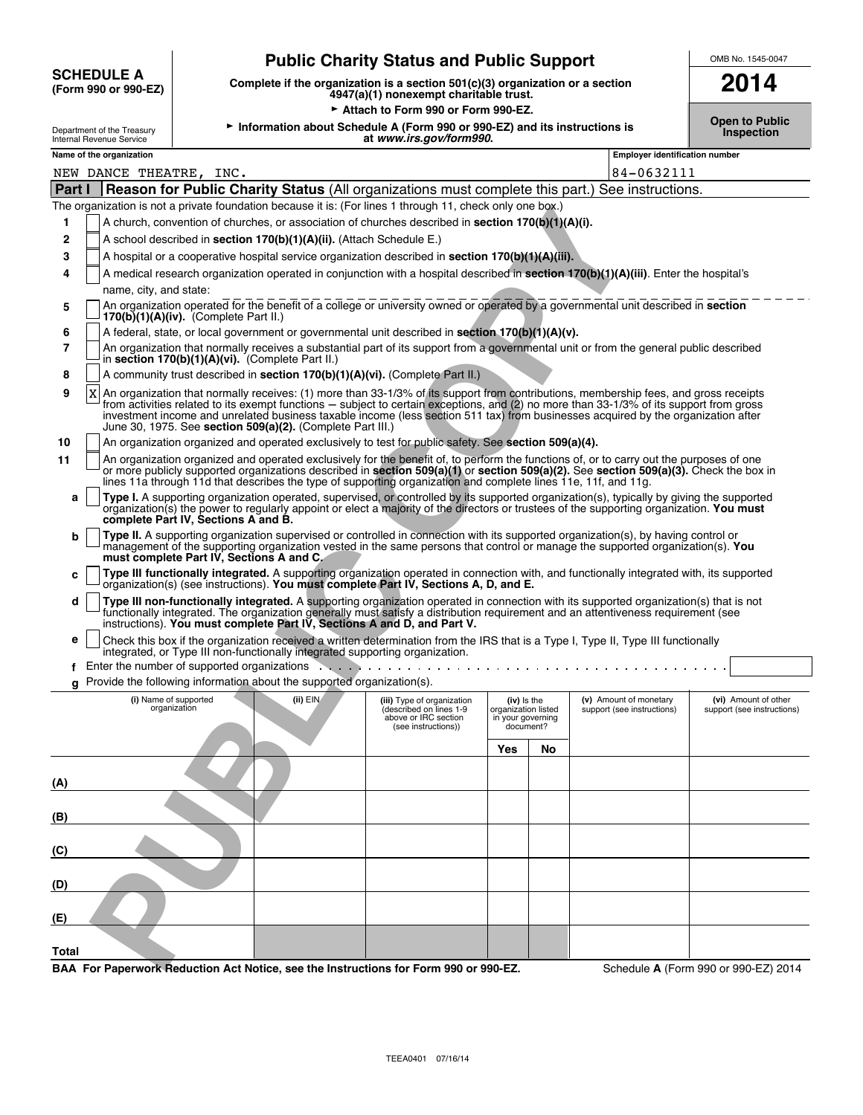|                                           | <b>Public Charity Status and Public Support</b>                                                                            | OMB No. 1545-0047 |
|-------------------------------------------|----------------------------------------------------------------------------------------------------------------------------|-------------------|
| <b>SCHEDULE A</b><br>(Form 990 or 990-EZ) | Complete if the organization is a section $501(c)(3)$ organization or a section<br>$1047(a)(1)$ nonovomnt oboritoble truot | 2014              |

**(Form 990 or 990-EZ) Complete if the organization is a section 501(c)(3) organization or a section 4947(a)(1) nonexempt charitable trust. 2014**

Attach to Form 990 or Form 990-EZ.

**Open to Public Comment of the Treasury Mathemation about Schedule A (Form 990 or 990-EZ) and its instructions is<br>Inspection about Schedule A (Form 990 or 990-EZ) and its instructions is<br>Inspection at** *www.irs.gov/form99* 

|  | UMB No. 1545-0047 |
|--|-------------------|

| Internal Revenue Service |  |
|--------------------------|--|
| Name of the organization |  |
|                          |  |

| Internal Revenue Service | ~<br>www.irs.aov/torm990.<br>aı       | ----- |
|--------------------------|---------------------------------------|-------|
| Name of the organization | <b>Employer identification number</b> |       |

| NEW DANCE THEATRE, INC.                                                                                                                                                                                                                                                                                                                                                                                                                                                                      |                                                                                                                                                                              | 84-0632111                                           |                                                    |
|----------------------------------------------------------------------------------------------------------------------------------------------------------------------------------------------------------------------------------------------------------------------------------------------------------------------------------------------------------------------------------------------------------------------------------------------------------------------------------------------|------------------------------------------------------------------------------------------------------------------------------------------------------------------------------|------------------------------------------------------|----------------------------------------------------|
| Reason for Public Charity Status (All organizations must complete this part.) See instructions.<br>Part I                                                                                                                                                                                                                                                                                                                                                                                    |                                                                                                                                                                              |                                                      |                                                    |
| The organization is not a private foundation because it is: (For lines 1 through 11, check only one box.)                                                                                                                                                                                                                                                                                                                                                                                    |                                                                                                                                                                              |                                                      |                                                    |
| A church, convention of churches, or association of churches described in <b>section 170(b)(1)(A)(i).</b><br>1                                                                                                                                                                                                                                                                                                                                                                               |                                                                                                                                                                              |                                                      |                                                    |
| A school described in section 170(b)(1)(A)(ii). (Attach Schedule E.)<br>2                                                                                                                                                                                                                                                                                                                                                                                                                    |                                                                                                                                                                              |                                                      |                                                    |
| A hospital or a cooperative hospital service organization described in section $170(b)(1)(A)(iii)$ .<br>3                                                                                                                                                                                                                                                                                                                                                                                    |                                                                                                                                                                              |                                                      |                                                    |
| A medical research organization operated in conjunction with a hospital described in section 170(b)(1)(A)(iii). Enter the hospital's<br>4                                                                                                                                                                                                                                                                                                                                                    |                                                                                                                                                                              |                                                      |                                                    |
| name, city, and state:                                                                                                                                                                                                                                                                                                                                                                                                                                                                       |                                                                                                                                                                              |                                                      |                                                    |
| An organization operated for the benefit of a college or university owned or operated by a governmental unit described in section<br>5<br>$170(b)(1)(A)(iv)$ . (Complete Part II.)                                                                                                                                                                                                                                                                                                           |                                                                                                                                                                              |                                                      |                                                    |
| A federal, state, or local government or governmental unit described in section 170(b)(1)(A)(v).<br>6                                                                                                                                                                                                                                                                                                                                                                                        |                                                                                                                                                                              |                                                      |                                                    |
| 7<br>An organization that normally receives a substantial part of its support from a governmental unit or from the general public described<br>in section 170(b)(1)(A)(vi). (Complete Part II.)                                                                                                                                                                                                                                                                                              |                                                                                                                                                                              |                                                      |                                                    |
| A community trust described in section 170(b)(1)(A)(vi). (Complete Part II.)<br>8                                                                                                                                                                                                                                                                                                                                                                                                            |                                                                                                                                                                              |                                                      |                                                    |
| An organization that normally receives: (1) more than 33-1/3% of its support from contributions, membership fees, and gross receipts<br>9<br>X<br>from activities related to its exempt functions – subject to certain exceptions, and (2) no more than 33-1/3% of its support from gross<br>investment income and unrelated business taxable income (less section 511 tax) from businesses acquired by the organization after<br>June 30, 1975. See section 509(a)(2). (Complete Part III.) |                                                                                                                                                                              |                                                      |                                                    |
| An organization organized and operated exclusively to test for public safety. See section 509(a)(4).<br>10                                                                                                                                                                                                                                                                                                                                                                                   |                                                                                                                                                                              |                                                      |                                                    |
| An organization organized and operated exclusively for the benefit of, to perform the functions of, or to carry out the purposes of one<br>11<br>or more publicly supported organizations described in section 509(a)(1) or section 509(a)(2). See section 509(a)(3). Check the box in<br>lines 11a through 11d that describes the type of supporting organization and complete lines 11e, 11f, and 11g.                                                                                     |                                                                                                                                                                              |                                                      |                                                    |
| Type I. A supporting organization operated, supervised, or controlled by its supported organization(s), typically by giving the supported<br>a<br>organization(s) the power to regularly appoint or elect a majority of the directors or trustees of the supporting organization. You must<br>complete Part IV, Sections A and B.                                                                                                                                                            |                                                                                                                                                                              |                                                      |                                                    |
| Type II. A supporting organization supervised or controlled in connection with its supported organization(s), by having control or<br>b<br>management of the supporting organization vested in the same persons that control or manage the supported organization(s). You<br>must complete Part IV, Sections A and C.                                                                                                                                                                        |                                                                                                                                                                              |                                                      |                                                    |
| Type III functionally integrated. A supporting organization operated in connection with, and functionally integrated with, its supported<br>c<br>organization(s) (see instructions). You must complete Part IV, Sections A, D, and E.                                                                                                                                                                                                                                                        |                                                                                                                                                                              |                                                      |                                                    |
| Type III non-functionally integrated. A supporting organization operated in connection with its supported organization(s) that is not<br>d<br>functionally integrated. The organization generally must satisfy a distribution requirement and an attentiveness requirement (see<br>instructions). You must complete Part IV, Sections A and D, and Part V.                                                                                                                                   |                                                                                                                                                                              |                                                      |                                                    |
| Check this box if the organization received a written determination from the IRS that is a Type I, Type II, Type III functionally<br>е<br>integrated, or Type III non-functionally integrated supporting organization.                                                                                                                                                                                                                                                                       |                                                                                                                                                                              |                                                      |                                                    |
| Enter the number of supported organizations enterstation of the number of supported organizations<br>f                                                                                                                                                                                                                                                                                                                                                                                       |                                                                                                                                                                              |                                                      |                                                    |
| g Provide the following information about the supported organization(s).                                                                                                                                                                                                                                                                                                                                                                                                                     |                                                                                                                                                                              |                                                      |                                                    |
| (ii) EIN<br>(i) Name of supported<br>organization                                                                                                                                                                                                                                                                                                                                                                                                                                            | (iii) Type of organization<br>(iv) is the<br>(described on lines 1-9<br>organization listed<br>above or IRC section<br>in your governing<br>document?<br>(see instructions)) | (v) Amount of monetary<br>support (see instructions) | (vi) Amount of other<br>support (see instructions) |
|                                                                                                                                                                                                                                                                                                                                                                                                                                                                                              | Yes                                                                                                                                                                          | No                                                   |                                                    |
|                                                                                                                                                                                                                                                                                                                                                                                                                                                                                              |                                                                                                                                                                              |                                                      |                                                    |
| (A)                                                                                                                                                                                                                                                                                                                                                                                                                                                                                          |                                                                                                                                                                              |                                                      |                                                    |
| (B)                                                                                                                                                                                                                                                                                                                                                                                                                                                                                          |                                                                                                                                                                              |                                                      |                                                    |
| (C)                                                                                                                                                                                                                                                                                                                                                                                                                                                                                          |                                                                                                                                                                              |                                                      |                                                    |
| (D)                                                                                                                                                                                                                                                                                                                                                                                                                                                                                          |                                                                                                                                                                              |                                                      |                                                    |
| (E)                                                                                                                                                                                                                                                                                                                                                                                                                                                                                          |                                                                                                                                                                              |                                                      |                                                    |
| Total<br><b>RAA</b> For Panerwork Reduction Act Notice see the Instructions for Form 990 or 990-FZ                                                                                                                                                                                                                                                                                                                                                                                           |                                                                                                                                                                              |                                                      | Schedule A (Form 990 or 990-F7) 2014               |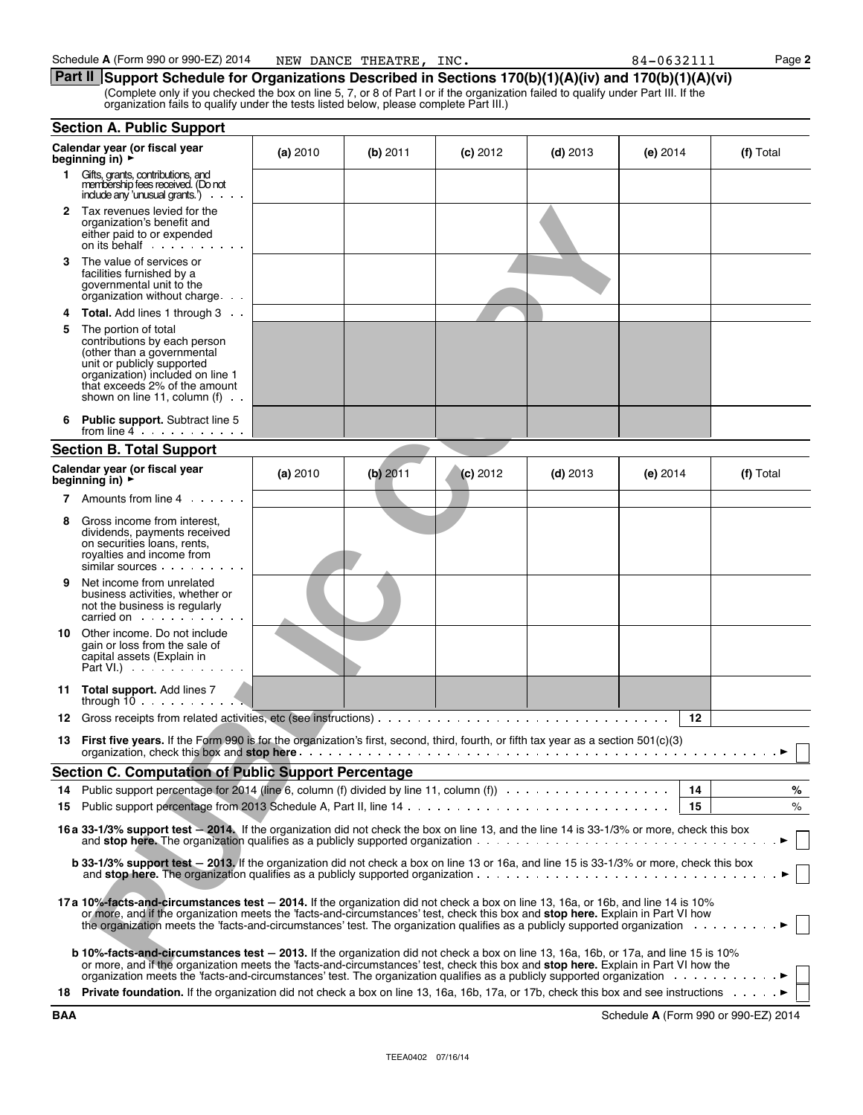**Part II** Support Schedule for Organizations Described in Sections 170(b)(1)(A)(iv) and 170(b)(1)(A)(vi) (Complete only if you checked the box on line 5, 7, or 8 of Part I or if the organization failed to qualify under Part III. If the organization fails to qualify under the tests listed below, please complete Part III.)

|     | <b>Section A. Public Support</b>                                                                                                                                                                                                                                                                                                                                                                  |          |            |            |            |            |                                      |
|-----|---------------------------------------------------------------------------------------------------------------------------------------------------------------------------------------------------------------------------------------------------------------------------------------------------------------------------------------------------------------------------------------------------|----------|------------|------------|------------|------------|--------------------------------------|
|     | Calendar year (or fiscal year<br>beginning in) $\rightarrow$                                                                                                                                                                                                                                                                                                                                      | (a) 2010 | $(b)$ 2011 | $(c)$ 2012 | $(d)$ 2013 | (e) 2014   | (f) Total                            |
| 1.  | Gifts, grants, contributions, and<br>membership fees received. (Do not<br>include any 'unusual grants.')<br>$\mathbf{r}$ , $\mathbf{r}$ , $\mathbf{r}$ , $\mathbf{r}$ , $\mathbf{r}$                                                                                                                                                                                                              |          |            |            |            |            |                                      |
|     | 2 Tax revenues levied for the<br>organization's benefit and<br>either paid to or expended                                                                                                                                                                                                                                                                                                         |          |            |            |            |            |                                      |
| 3   | The value of services or<br>facilities furnished by a<br>governmental unit to the<br>organization without charge                                                                                                                                                                                                                                                                                  |          |            |            |            |            |                                      |
| 4   | Total. Add lines 1 through 3                                                                                                                                                                                                                                                                                                                                                                      |          |            |            |            |            |                                      |
| 5   | The portion of total<br>contributions by each person<br>(other than a governmental<br>unit or publicly supported<br>organization) included on line 1<br>that exceeds 2% of the amount<br>shown on line 11, column $(f)$ .                                                                                                                                                                         |          |            |            |            |            |                                      |
|     | <b>Public support.</b> Subtract line 5<br>from line $4$                                                                                                                                                                                                                                                                                                                                           |          |            |            |            |            |                                      |
|     | <b>Section B. Total Support</b>                                                                                                                                                                                                                                                                                                                                                                   |          |            |            |            |            |                                      |
|     | Calendar year (or fiscal year<br>beginning in) $\rightarrow$                                                                                                                                                                                                                                                                                                                                      | (a) 2010 | (b) 2011   | (c) 2012   | $(d)$ 2013 | $(e)$ 2014 | (f) Total                            |
| 7   | Amounts from line 4                                                                                                                                                                                                                                                                                                                                                                               |          |            |            |            |            |                                      |
| 8   | Gross income from interest,<br>dividends, payments received<br>on securities loans, rents,<br>royalties and income from<br>similar sources                                                                                                                                                                                                                                                        |          |            |            |            |            |                                      |
| 9   | Net income from unrelated<br>business activities, whether or<br>not the business is regularly<br>carried on example.                                                                                                                                                                                                                                                                              |          |            |            |            |            |                                      |
| 10  | Other income. Do not include<br>gain or loss from the sale of<br>capital assets (Explain in<br>Part VI.) $\cdots$                                                                                                                                                                                                                                                                                 |          |            |            |            |            |                                      |
|     | 11 Total support. Add lines 7<br>through $10 \ldots \ldots$                                                                                                                                                                                                                                                                                                                                       |          |            |            |            |            |                                      |
| 12  |                                                                                                                                                                                                                                                                                                                                                                                                   |          |            |            |            | 12         |                                      |
| 13  | First five years. If the Form 990 is for the organization's first, second, third, fourth, or fifth tax year as a section 501(c)(3)                                                                                                                                                                                                                                                                |          |            |            |            |            |                                      |
|     | <b>Section C. Computation of Public Support Percentage</b>                                                                                                                                                                                                                                                                                                                                        |          |            |            |            |            |                                      |
| 14  |                                                                                                                                                                                                                                                                                                                                                                                                   |          |            |            |            | - 14       | %                                    |
| 15  |                                                                                                                                                                                                                                                                                                                                                                                                   |          |            |            |            | 15         | $\%$                                 |
|     | 16 a 33-1/3% support test - 2014. If the organization did not check the box on line 13, and the line 14 is 33-1/3% or more, check this box<br>and stop here. The organization qualifies as a publicly supported organization $\cdots$ , $\cdots$ , $\cdots$ , $\cdots$ , $\cdots$ , $\cdots$ , $\cdots$ , $\cdots$                                                                                |          |            |            |            |            |                                      |
|     | <b>b 33-1/3% support test</b> – 2013. If the organization did not check a box on line 13 or 16a, and line 15 is 33-1/3% or more, check this box                                                                                                                                                                                                                                                   |          |            |            |            |            |                                      |
|     | 17a 10%-facts-and-circumstances test - 2014. If the organization did not check a box on line 13, 16a, or 16b, and line 14 is 10%<br>or more, and if the organization meets the 'facts-and-circumstances' test, check this box and stop here. Explain in Part VI how<br>the organization meets the 'facts-and-circumstances' test. The organization qualifies as a publicly supported organization |          |            |            |            |            |                                      |
|     | <b>b 10%-facts-and-circumstances test - 2013.</b> If the organization did not check a box on line 13, 16a, 16b, or 17a, and line 15 is 10%<br>or more, and if the organization meets the 'facts-and-circumstances' test, check this box and <b>stop here.</b> Explain in Part VI how the                                                                                                          |          |            |            |            |            |                                      |
| 18  | <b>Private foundation.</b> If the organization did not check a box on line 13, 16a, 16b, 17a, or 17b, check this box and see instructions ▶                                                                                                                                                                                                                                                       |          |            |            |            |            |                                      |
| BAA |                                                                                                                                                                                                                                                                                                                                                                                                   |          |            |            |            |            | Schedule A (Form 990 or 990-EZ) 2014 |

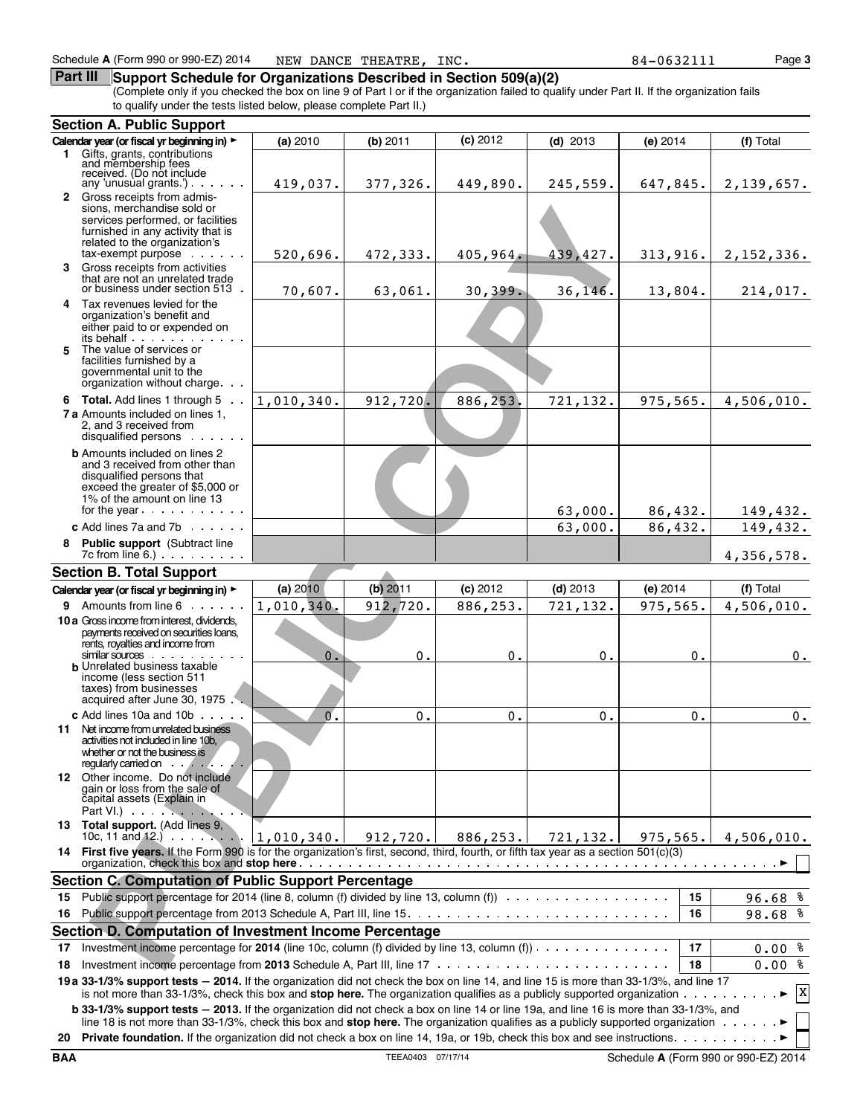## **Part III** Support Schedule for Organizations Described in Section 509(a)(2)

(Complete only if you checked the box on line 9 of Part I or if the organization failed to qualify under Part II. If the organization fails to qualify under the tests listed below, please complete Part II.)

|    | <b>Section A. Public Support</b>                                                                                                                                                                                                                                                         |            |                |            |            |           |       |              |
|----|------------------------------------------------------------------------------------------------------------------------------------------------------------------------------------------------------------------------------------------------------------------------------------------|------------|----------------|------------|------------|-----------|-------|--------------|
|    | Calendar year (or fiscal yr beginning in) >                                                                                                                                                                                                                                              | (a) 2010   | (b) 2011       | $(c)$ 2012 | $(d)$ 2013 | (e) 2014  |       | (f) Total    |
|    | 1 Gifts, grants, contributions<br>and membership fees<br>received. (Do not include                                                                                                                                                                                                       |            |                |            |            |           |       |              |
|    | any 'unusual grants'). $\cdots$                                                                                                                                                                                                                                                          | 419,037.   | 377,326.       | 449,890.   | 245,559.   | 647,845.  |       | 2,139,657.   |
|    | 2 Gross receipts from admis-<br>sions, merchandise sold or<br>services performed, or facilities<br>furnished in any activity that is<br>related to the organization's<br>$tax$ -exempt purpose $\cdots$                                                                                  | 520,696.   | 472,333.       | 405,964.   | 439,427.   | 313,916.  |       | 2, 152, 336. |
| 3. | Gross receipts from activities                                                                                                                                                                                                                                                           |            |                |            |            |           |       |              |
|    | that are not an unrelated trade<br>or business under section 513.                                                                                                                                                                                                                        | 70,607.    | 63,061.        | 30,399.    | 36, 146.   | 13,804.   |       | 214,017.     |
| 5  | 4 Tax revenues levied for the<br>organization's benefit and<br>either paid to or expended on<br>its behalf<br>The value of services or                                                                                                                                                   |            |                |            |            |           |       |              |
|    | facilities furnished by a<br>governmental unit to the<br>organization without charge.                                                                                                                                                                                                    |            |                |            |            |           |       |              |
|    | 6 Total. Add lines 1 through 5                                                                                                                                                                                                                                                           | 1,010,340. | 912,720.       | 886,253.   | 721,132.   | 975,565.  |       | 4,506,010.   |
|    | <b>7 a</b> Amounts included on lines 1,<br>2, and 3 received from<br>disqualified persons                                                                                                                                                                                                |            |                |            |            |           |       |              |
|    | <b>b</b> Amounts included on lines 2<br>and 3 received from other than<br>disqualified persons that<br>exceed the greater of \$5,000 or<br>1% of the amount on line 13                                                                                                                   |            |                |            |            |           |       |              |
|    | for the year                                                                                                                                                                                                                                                                             |            |                |            | 63,000.    | 86,432.   |       | 149,432.     |
|    | c Add lines 7a and 7b $\ldots$ .                                                                                                                                                                                                                                                         |            |                |            | 63,000.    | 86,432.   |       | 149,432.     |
|    | 8 Public support (Subtract line<br>$7c$ from line 6.) $\ldots$ $\ldots$ $\ldots$                                                                                                                                                                                                         |            |                |            |            |           |       | 4,356,578.   |
|    | <b>Section B. Total Support</b>                                                                                                                                                                                                                                                          |            |                |            |            |           |       |              |
|    | Calendar year (or fiscal yr beginning in) >                                                                                                                                                                                                                                              | (a) 2010   | (b) 2011       | (c) 2012   | $(d)$ 2013 | (e) 2014  |       | (f) Total    |
|    | 9 Amounts from line 6                                                                                                                                                                                                                                                                    | 1,010,340. | 912,720.       | 886,253.   | 721,132.   | 975,565.  |       | 4,506,010.   |
|    | 10 a Gross income from interest, dividends,<br>payments received on securities loans,<br>rents, royalties and income from<br>similar sources                                                                                                                                             | 0.         | 0.             | 0.         | 0.         |           | 0.    | $0$ .        |
|    | <b>b</b> Unrelated business taxable<br>income (less section 511<br>taxes) from businesses<br>acquired after June 30, 1975                                                                                                                                                                |            |                |            |            |           |       |              |
|    | c Add lines $10a$ and $10b$ $\cdots$                                                                                                                                                                                                                                                     | $\sigma$ . | $\mathbf{0}$ . | $0$ .      | $0$ .      |           | $0$ . | $0$ .        |
|    | 11 Net income from unrelated business<br>activities not included in line 10b.<br>whether or not the business is<br>regularly carried on $\cdots$ .                                                                                                                                       |            |                |            |            |           |       |              |
|    | 12 Other income. Do not include<br>gain or loss from the sale of<br>capital assets (Explain in<br>Part VI. $\cdots$                                                                                                                                                                      |            |                |            |            |           |       |              |
|    | 13 Total support. (Add lines 9,<br>10c, 11 and 12.) $1,010,340.$                                                                                                                                                                                                                         |            | 912, 720.1     | 886,253.1  | 721, 132.  | 975, 565. |       | 4,506,010.   |
|    | 14 First five years. If the Form 990 is for the organization's first, second, third, fourth, or fifth tax year as a section 501(c)(3)                                                                                                                                                    |            |                |            |            |           |       |              |
|    | <b>Section C. Computation of Public Support Percentage</b>                                                                                                                                                                                                                               |            |                |            |            |           |       |              |
| 15 | Public support percentage for 2014 (line 8, column (f) divided by line 13, column (f) $\cdots$                                                                                                                                                                                           |            |                |            |            |           | 15    | 96.68%       |
| 16 |                                                                                                                                                                                                                                                                                          |            |                |            |            |           | 16    | 98.68 %      |
|    | Section D. Computation of Investment Income Percentage                                                                                                                                                                                                                                   |            |                |            |            |           |       |              |
| 17 | Investment income percentage for 2014 (line 10c, column (f) divided by line 13, column (f)) $\cdots$                                                                                                                                                                                     |            |                |            |            |           | 17    | $0.00$ %     |
| 18 |                                                                                                                                                                                                                                                                                          |            |                |            |            |           | 18    | $0.00$ %     |
|    | 19 a 33-1/3% support tests - 2014. If the organization did not check the box on line 14, and line 15 is more than 33-1/3%, and line 17<br>is not more than 33-1/3%, check this box and stop here. The organization qualifies as a publicly supported organization $\cdots \cdots \cdots$ |            |                |            |            |           |       | X            |
|    | b 33-1/3% support tests - 2013. If the organization did not check a box on line 14 or line 19a, and line 16 is more than 33-1/3%, and<br>line 18 is not more than 33-1/3%, check this box and stop here. The organization qualifies as a publicly supported organization $\dots \dots$   |            |                |            |            |           |       |              |
| 20 |                                                                                                                                                                                                                                                                                          |            |                |            |            |           |       |              |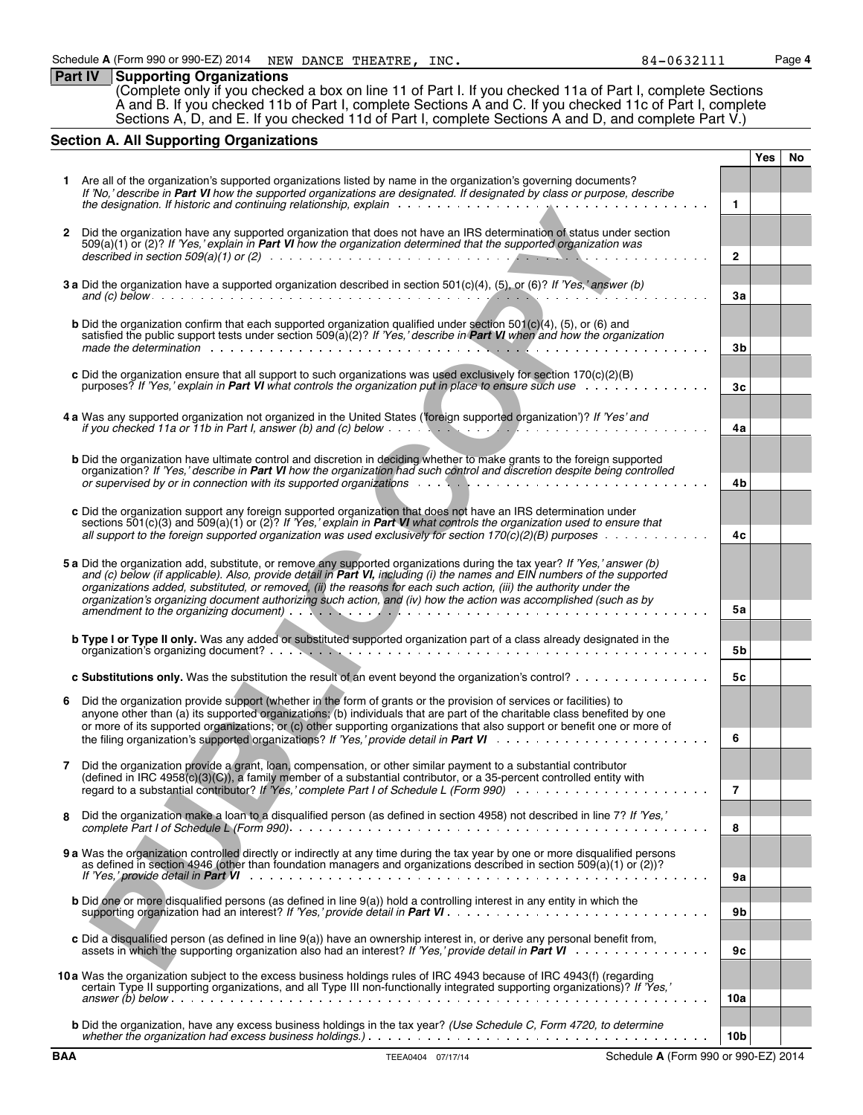**Part IV Supporting Organizations** (Complete only if you checked a box on line 11 of Part I. If you checked 11a of Part I, complete Sections A and B. If you checked 11b of Part I, complete Sections A and C. If you checked 11c of Part I, complete Sections A, D, and E. If you checked 11d of Part I, complete Sections A and D, and complete Part V.)

# **Section A. All Supporting Organizations**

| 1 Are all of the organization's supported organizations listed by name in the organization's governing documents?<br>If 'No,' describe in Part VI how the supported organizations are designated. If designated by class or purpose, describe<br>the designation. If historic and continuing relationship, explain with the designation. If historic and continuing relationship, explain<br>1<br>Did the organization have any supported organization that does not have an IRS determination of status under section<br>2<br>509(a)(1) or (2)? If 'Yes,' explain in Part VI how the organization determined that the supported organization was<br>$\overline{2}$<br>3 a Did the organization have a supported organization described in section 501(c)(4), (5), or (6)? If 'Yes,' answer (b)<br>3a<br><b>b</b> Did the organization confirm that each supported organization qualified under section $501(c)(4)$ , $(5)$ , or $(6)$ and<br>satisfied the public support tests under section 509(a)(2)? If 'Yes,' describe in Part VI when and how the organization<br>3b<br>c Did the organization ensure that all support to such organizations was used exclusively for section 170(c)(2)(B)<br>purposes? If 'Yes,' explain in Part VI what controls the organization put in place to ensure such use<br>3 <sub>c</sub><br>4 a Was any supported organization not organized in the United States ('foreign supported organization')? If 'Yes' and<br>if you checked 11a or 11b in Part I, answer (b) and (c) below $\cdots$ , $\cdots$ , $\cdots$ , $\cdots$ , $\cdots$ , $\cdots$ , $\cdots$ , $\cdots$ , $\cdots$<br>4a<br><b>b</b> Did the organization have ultimate control and discretion in deciding whether to make grants to the foreign supported<br>organization? If 'Yes,' describe in Part VI how the organization had such control and discretion despite being controlled<br>4b<br>c Did the organization support any foreign supported organization that does not have an IRS determination under<br>sections $501(c)(3)$ and $509(a)(1)$ or $(2)$ ? If 'Yes,' explain in <b>Part VI</b> what controls the organization used to ensure that<br>all support to the foreign supported organization was used exclusively for section 170(c)(2)(B) purposes $\ldots \ldots \ldots$<br>4c<br>5 a Did the organization add, substitute, or remove any supported organizations during the tax year? If 'Yes,' answer (b)<br>and (c) below (if applicable). Also, provide detail in Part VI, including (i) the names and EIN numbers of the supported<br>organizations added, substituted, or removed, (ii) the reasons for each such action, (iii) the authority under the<br>organization's organizing document authorizing such action, and (iv) how the action was accomplished (such as by<br>5а<br>amendment to the organizing document).<br>b Type I or Type II only. Was any added or substituted supported organization part of a class already designated in the<br>5b<br>c Substitutions only. Was the substitution the result of an event beyond the organization's control?<br>5c<br>Did the organization provide support (whether in the form of grants or the provision of services or facilities) to<br>6<br>anyone other than (a) its supported organizations; (b) individuals that are part of the charitable class benefited by one<br>or more of its supported organizations; or (c) other supporting organizations that also support or benefit one or more of<br>6<br>Did the organization provide a grant, loan, compensation, or other similar payment to a substantial contributor<br>(defined in IRC 4958(c)(3)(C)), a family member of a substantial contributor, or a 35-percent controlled entity with<br>regard to a substantial contributor? If 'Yes,' complete Part I of Schedule L (Form 990)<br>7<br>Did the organization make a loan to a disqualified person (as defined in section 4958) not described in line 7? If 'Yes,'<br>8<br>8<br>9 a Was the organization controlled directly or indirectly at any time during the tax year by one or more disqualified persons<br>as defined in section 4946 (other than foundation managers and organizations described in section 509(a)(1) or (2))?<br><b>9a</b><br><b>b</b> Did one or more disqualified persons (as defined in line $9(a)$ ) hold a controlling interest in any entity in which the<br>9b<br>c Did a disqualified person (as defined in line 9(a)) have an ownership interest in, or derive any personal benefit from,<br>9c<br>10a Was the organization subject to the excess business holdings rules of IRC 4943 because of IRC 4943(f) (regarding<br>certain Type II supporting organizations, and all Type III non-functionally integrated supporting organizations)? If 'Yes,'<br>10a<br><b>b</b> Did the organization, have any excess business holdings in the tax year? (Use Schedule C, Form 4720, to determine<br>10b<br>TEEA0404 07/17/14 Schedule A (Form 990 or 990-EZ) 2014<br><b>BAA</b> |  | <b>Yes</b> | No |
|-------------------------------------------------------------------------------------------------------------------------------------------------------------------------------------------------------------------------------------------------------------------------------------------------------------------------------------------------------------------------------------------------------------------------------------------------------------------------------------------------------------------------------------------------------------------------------------------------------------------------------------------------------------------------------------------------------------------------------------------------------------------------------------------------------------------------------------------------------------------------------------------------------------------------------------------------------------------------------------------------------------------------------------------------------------------------------------------------------------------------------------------------------------------------------------------------------------------------------------------------------------------------------------------------------------------------------------------------------------------------------------------------------------------------------------------------------------------------------------------------------------------------------------------------------------------------------------------------------------------------------------------------------------------------------------------------------------------------------------------------------------------------------------------------------------------------------------------------------------------------------------------------------------------------------------------------------------------------------------------------------------------------------------------------------------------------------------------------------------------------------------------------------------------------------------------------------------------------------------------------------------------------------------------------------------------------------------------------------------------------------------------------------------------------------------------------------------------------------------------------------------------------------------------------------------------------------------------------------------------------------------------------------------------------------------------------------------------------------------------------------------------------------------------------------------------------------------------------------------------------------------------------------------------------------------------------------------------------------------------------------------------------------------------------------------------------------------------------------------------------------------------------------------------------------------------------------------------------------------------------------------------------------------------------------------------------------------------------------------------------------------------------------------------------------------------------------------------------------------------------------------------------------------------------------------------------------------------------------------------------------------------------------------------------------------------------------------------------------------------------------------------------------------------------------------------------------------------------------------------------------------------------------------------------------------------------------------------------------------------------------------------------------------------------------------------------------------------------------------------------------------------------------------------------------------------------------------------------------------------------------------------------------------------------------------------------------------------------------------------------------------------------------------------------------------------------------------------------------------------------------------------------------------------------------------------------------------------------------------------------------------------------------------------------------------------------------------------------------------------------------------------------------------------------------------------------------------------------------------------------------------------------------------------------------------------------------------------------------------------------------------------------|--|------------|----|
|                                                                                                                                                                                                                                                                                                                                                                                                                                                                                                                                                                                                                                                                                                                                                                                                                                                                                                                                                                                                                                                                                                                                                                                                                                                                                                                                                                                                                                                                                                                                                                                                                                                                                                                                                                                                                                                                                                                                                                                                                                                                                                                                                                                                                                                                                                                                                                                                                                                                                                                                                                                                                                                                                                                                                                                                                                                                                                                                                                                                                                                                                                                                                                                                                                                                                                                                                                                                                                                                                                                                                                                                                                                                                                                                                                                                                                                                                                                                                                                                                                                                                                                                                                                                                                                                                                                                                                                                                                                                                                                                                                                                                                                                                                                                                                                                                                                                                                                                                                                                                         |  |            |    |
|                                                                                                                                                                                                                                                                                                                                                                                                                                                                                                                                                                                                                                                                                                                                                                                                                                                                                                                                                                                                                                                                                                                                                                                                                                                                                                                                                                                                                                                                                                                                                                                                                                                                                                                                                                                                                                                                                                                                                                                                                                                                                                                                                                                                                                                                                                                                                                                                                                                                                                                                                                                                                                                                                                                                                                                                                                                                                                                                                                                                                                                                                                                                                                                                                                                                                                                                                                                                                                                                                                                                                                                                                                                                                                                                                                                                                                                                                                                                                                                                                                                                                                                                                                                                                                                                                                                                                                                                                                                                                                                                                                                                                                                                                                                                                                                                                                                                                                                                                                                                                         |  |            |    |
|                                                                                                                                                                                                                                                                                                                                                                                                                                                                                                                                                                                                                                                                                                                                                                                                                                                                                                                                                                                                                                                                                                                                                                                                                                                                                                                                                                                                                                                                                                                                                                                                                                                                                                                                                                                                                                                                                                                                                                                                                                                                                                                                                                                                                                                                                                                                                                                                                                                                                                                                                                                                                                                                                                                                                                                                                                                                                                                                                                                                                                                                                                                                                                                                                                                                                                                                                                                                                                                                                                                                                                                                                                                                                                                                                                                                                                                                                                                                                                                                                                                                                                                                                                                                                                                                                                                                                                                                                                                                                                                                                                                                                                                                                                                                                                                                                                                                                                                                                                                                                         |  |            |    |
|                                                                                                                                                                                                                                                                                                                                                                                                                                                                                                                                                                                                                                                                                                                                                                                                                                                                                                                                                                                                                                                                                                                                                                                                                                                                                                                                                                                                                                                                                                                                                                                                                                                                                                                                                                                                                                                                                                                                                                                                                                                                                                                                                                                                                                                                                                                                                                                                                                                                                                                                                                                                                                                                                                                                                                                                                                                                                                                                                                                                                                                                                                                                                                                                                                                                                                                                                                                                                                                                                                                                                                                                                                                                                                                                                                                                                                                                                                                                                                                                                                                                                                                                                                                                                                                                                                                                                                                                                                                                                                                                                                                                                                                                                                                                                                                                                                                                                                                                                                                                                         |  |            |    |
|                                                                                                                                                                                                                                                                                                                                                                                                                                                                                                                                                                                                                                                                                                                                                                                                                                                                                                                                                                                                                                                                                                                                                                                                                                                                                                                                                                                                                                                                                                                                                                                                                                                                                                                                                                                                                                                                                                                                                                                                                                                                                                                                                                                                                                                                                                                                                                                                                                                                                                                                                                                                                                                                                                                                                                                                                                                                                                                                                                                                                                                                                                                                                                                                                                                                                                                                                                                                                                                                                                                                                                                                                                                                                                                                                                                                                                                                                                                                                                                                                                                                                                                                                                                                                                                                                                                                                                                                                                                                                                                                                                                                                                                                                                                                                                                                                                                                                                                                                                                                                         |  |            |    |
|                                                                                                                                                                                                                                                                                                                                                                                                                                                                                                                                                                                                                                                                                                                                                                                                                                                                                                                                                                                                                                                                                                                                                                                                                                                                                                                                                                                                                                                                                                                                                                                                                                                                                                                                                                                                                                                                                                                                                                                                                                                                                                                                                                                                                                                                                                                                                                                                                                                                                                                                                                                                                                                                                                                                                                                                                                                                                                                                                                                                                                                                                                                                                                                                                                                                                                                                                                                                                                                                                                                                                                                                                                                                                                                                                                                                                                                                                                                                                                                                                                                                                                                                                                                                                                                                                                                                                                                                                                                                                                                                                                                                                                                                                                                                                                                                                                                                                                                                                                                                                         |  |            |    |
|                                                                                                                                                                                                                                                                                                                                                                                                                                                                                                                                                                                                                                                                                                                                                                                                                                                                                                                                                                                                                                                                                                                                                                                                                                                                                                                                                                                                                                                                                                                                                                                                                                                                                                                                                                                                                                                                                                                                                                                                                                                                                                                                                                                                                                                                                                                                                                                                                                                                                                                                                                                                                                                                                                                                                                                                                                                                                                                                                                                                                                                                                                                                                                                                                                                                                                                                                                                                                                                                                                                                                                                                                                                                                                                                                                                                                                                                                                                                                                                                                                                                                                                                                                                                                                                                                                                                                                                                                                                                                                                                                                                                                                                                                                                                                                                                                                                                                                                                                                                                                         |  |            |    |
|                                                                                                                                                                                                                                                                                                                                                                                                                                                                                                                                                                                                                                                                                                                                                                                                                                                                                                                                                                                                                                                                                                                                                                                                                                                                                                                                                                                                                                                                                                                                                                                                                                                                                                                                                                                                                                                                                                                                                                                                                                                                                                                                                                                                                                                                                                                                                                                                                                                                                                                                                                                                                                                                                                                                                                                                                                                                                                                                                                                                                                                                                                                                                                                                                                                                                                                                                                                                                                                                                                                                                                                                                                                                                                                                                                                                                                                                                                                                                                                                                                                                                                                                                                                                                                                                                                                                                                                                                                                                                                                                                                                                                                                                                                                                                                                                                                                                                                                                                                                                                         |  |            |    |
|                                                                                                                                                                                                                                                                                                                                                                                                                                                                                                                                                                                                                                                                                                                                                                                                                                                                                                                                                                                                                                                                                                                                                                                                                                                                                                                                                                                                                                                                                                                                                                                                                                                                                                                                                                                                                                                                                                                                                                                                                                                                                                                                                                                                                                                                                                                                                                                                                                                                                                                                                                                                                                                                                                                                                                                                                                                                                                                                                                                                                                                                                                                                                                                                                                                                                                                                                                                                                                                                                                                                                                                                                                                                                                                                                                                                                                                                                                                                                                                                                                                                                                                                                                                                                                                                                                                                                                                                                                                                                                                                                                                                                                                                                                                                                                                                                                                                                                                                                                                                                         |  |            |    |
|                                                                                                                                                                                                                                                                                                                                                                                                                                                                                                                                                                                                                                                                                                                                                                                                                                                                                                                                                                                                                                                                                                                                                                                                                                                                                                                                                                                                                                                                                                                                                                                                                                                                                                                                                                                                                                                                                                                                                                                                                                                                                                                                                                                                                                                                                                                                                                                                                                                                                                                                                                                                                                                                                                                                                                                                                                                                                                                                                                                                                                                                                                                                                                                                                                                                                                                                                                                                                                                                                                                                                                                                                                                                                                                                                                                                                                                                                                                                                                                                                                                                                                                                                                                                                                                                                                                                                                                                                                                                                                                                                                                                                                                                                                                                                                                                                                                                                                                                                                                                                         |  |            |    |
|                                                                                                                                                                                                                                                                                                                                                                                                                                                                                                                                                                                                                                                                                                                                                                                                                                                                                                                                                                                                                                                                                                                                                                                                                                                                                                                                                                                                                                                                                                                                                                                                                                                                                                                                                                                                                                                                                                                                                                                                                                                                                                                                                                                                                                                                                                                                                                                                                                                                                                                                                                                                                                                                                                                                                                                                                                                                                                                                                                                                                                                                                                                                                                                                                                                                                                                                                                                                                                                                                                                                                                                                                                                                                                                                                                                                                                                                                                                                                                                                                                                                                                                                                                                                                                                                                                                                                                                                                                                                                                                                                                                                                                                                                                                                                                                                                                                                                                                                                                                                                         |  |            |    |
|                                                                                                                                                                                                                                                                                                                                                                                                                                                                                                                                                                                                                                                                                                                                                                                                                                                                                                                                                                                                                                                                                                                                                                                                                                                                                                                                                                                                                                                                                                                                                                                                                                                                                                                                                                                                                                                                                                                                                                                                                                                                                                                                                                                                                                                                                                                                                                                                                                                                                                                                                                                                                                                                                                                                                                                                                                                                                                                                                                                                                                                                                                                                                                                                                                                                                                                                                                                                                                                                                                                                                                                                                                                                                                                                                                                                                                                                                                                                                                                                                                                                                                                                                                                                                                                                                                                                                                                                                                                                                                                                                                                                                                                                                                                                                                                                                                                                                                                                                                                                                         |  |            |    |
|                                                                                                                                                                                                                                                                                                                                                                                                                                                                                                                                                                                                                                                                                                                                                                                                                                                                                                                                                                                                                                                                                                                                                                                                                                                                                                                                                                                                                                                                                                                                                                                                                                                                                                                                                                                                                                                                                                                                                                                                                                                                                                                                                                                                                                                                                                                                                                                                                                                                                                                                                                                                                                                                                                                                                                                                                                                                                                                                                                                                                                                                                                                                                                                                                                                                                                                                                                                                                                                                                                                                                                                                                                                                                                                                                                                                                                                                                                                                                                                                                                                                                                                                                                                                                                                                                                                                                                                                                                                                                                                                                                                                                                                                                                                                                                                                                                                                                                                                                                                                                         |  |            |    |
|                                                                                                                                                                                                                                                                                                                                                                                                                                                                                                                                                                                                                                                                                                                                                                                                                                                                                                                                                                                                                                                                                                                                                                                                                                                                                                                                                                                                                                                                                                                                                                                                                                                                                                                                                                                                                                                                                                                                                                                                                                                                                                                                                                                                                                                                                                                                                                                                                                                                                                                                                                                                                                                                                                                                                                                                                                                                                                                                                                                                                                                                                                                                                                                                                                                                                                                                                                                                                                                                                                                                                                                                                                                                                                                                                                                                                                                                                                                                                                                                                                                                                                                                                                                                                                                                                                                                                                                                                                                                                                                                                                                                                                                                                                                                                                                                                                                                                                                                                                                                                         |  |            |    |
|                                                                                                                                                                                                                                                                                                                                                                                                                                                                                                                                                                                                                                                                                                                                                                                                                                                                                                                                                                                                                                                                                                                                                                                                                                                                                                                                                                                                                                                                                                                                                                                                                                                                                                                                                                                                                                                                                                                                                                                                                                                                                                                                                                                                                                                                                                                                                                                                                                                                                                                                                                                                                                                                                                                                                                                                                                                                                                                                                                                                                                                                                                                                                                                                                                                                                                                                                                                                                                                                                                                                                                                                                                                                                                                                                                                                                                                                                                                                                                                                                                                                                                                                                                                                                                                                                                                                                                                                                                                                                                                                                                                                                                                                                                                                                                                                                                                                                                                                                                                                                         |  |            |    |
|                                                                                                                                                                                                                                                                                                                                                                                                                                                                                                                                                                                                                                                                                                                                                                                                                                                                                                                                                                                                                                                                                                                                                                                                                                                                                                                                                                                                                                                                                                                                                                                                                                                                                                                                                                                                                                                                                                                                                                                                                                                                                                                                                                                                                                                                                                                                                                                                                                                                                                                                                                                                                                                                                                                                                                                                                                                                                                                                                                                                                                                                                                                                                                                                                                                                                                                                                                                                                                                                                                                                                                                                                                                                                                                                                                                                                                                                                                                                                                                                                                                                                                                                                                                                                                                                                                                                                                                                                                                                                                                                                                                                                                                                                                                                                                                                                                                                                                                                                                                                                         |  |            |    |
|                                                                                                                                                                                                                                                                                                                                                                                                                                                                                                                                                                                                                                                                                                                                                                                                                                                                                                                                                                                                                                                                                                                                                                                                                                                                                                                                                                                                                                                                                                                                                                                                                                                                                                                                                                                                                                                                                                                                                                                                                                                                                                                                                                                                                                                                                                                                                                                                                                                                                                                                                                                                                                                                                                                                                                                                                                                                                                                                                                                                                                                                                                                                                                                                                                                                                                                                                                                                                                                                                                                                                                                                                                                                                                                                                                                                                                                                                                                                                                                                                                                                                                                                                                                                                                                                                                                                                                                                                                                                                                                                                                                                                                                                                                                                                                                                                                                                                                                                                                                                                         |  |            |    |
|                                                                                                                                                                                                                                                                                                                                                                                                                                                                                                                                                                                                                                                                                                                                                                                                                                                                                                                                                                                                                                                                                                                                                                                                                                                                                                                                                                                                                                                                                                                                                                                                                                                                                                                                                                                                                                                                                                                                                                                                                                                                                                                                                                                                                                                                                                                                                                                                                                                                                                                                                                                                                                                                                                                                                                                                                                                                                                                                                                                                                                                                                                                                                                                                                                                                                                                                                                                                                                                                                                                                                                                                                                                                                                                                                                                                                                                                                                                                                                                                                                                                                                                                                                                                                                                                                                                                                                                                                                                                                                                                                                                                                                                                                                                                                                                                                                                                                                                                                                                                                         |  |            |    |
|                                                                                                                                                                                                                                                                                                                                                                                                                                                                                                                                                                                                                                                                                                                                                                                                                                                                                                                                                                                                                                                                                                                                                                                                                                                                                                                                                                                                                                                                                                                                                                                                                                                                                                                                                                                                                                                                                                                                                                                                                                                                                                                                                                                                                                                                                                                                                                                                                                                                                                                                                                                                                                                                                                                                                                                                                                                                                                                                                                                                                                                                                                                                                                                                                                                                                                                                                                                                                                                                                                                                                                                                                                                                                                                                                                                                                                                                                                                                                                                                                                                                                                                                                                                                                                                                                                                                                                                                                                                                                                                                                                                                                                                                                                                                                                                                                                                                                                                                                                                                                         |  |            |    |
|                                                                                                                                                                                                                                                                                                                                                                                                                                                                                                                                                                                                                                                                                                                                                                                                                                                                                                                                                                                                                                                                                                                                                                                                                                                                                                                                                                                                                                                                                                                                                                                                                                                                                                                                                                                                                                                                                                                                                                                                                                                                                                                                                                                                                                                                                                                                                                                                                                                                                                                                                                                                                                                                                                                                                                                                                                                                                                                                                                                                                                                                                                                                                                                                                                                                                                                                                                                                                                                                                                                                                                                                                                                                                                                                                                                                                                                                                                                                                                                                                                                                                                                                                                                                                                                                                                                                                                                                                                                                                                                                                                                                                                                                                                                                                                                                                                                                                                                                                                                                                         |  |            |    |
|                                                                                                                                                                                                                                                                                                                                                                                                                                                                                                                                                                                                                                                                                                                                                                                                                                                                                                                                                                                                                                                                                                                                                                                                                                                                                                                                                                                                                                                                                                                                                                                                                                                                                                                                                                                                                                                                                                                                                                                                                                                                                                                                                                                                                                                                                                                                                                                                                                                                                                                                                                                                                                                                                                                                                                                                                                                                                                                                                                                                                                                                                                                                                                                                                                                                                                                                                                                                                                                                                                                                                                                                                                                                                                                                                                                                                                                                                                                                                                                                                                                                                                                                                                                                                                                                                                                                                                                                                                                                                                                                                                                                                                                                                                                                                                                                                                                                                                                                                                                                                         |  |            |    |
|                                                                                                                                                                                                                                                                                                                                                                                                                                                                                                                                                                                                                                                                                                                                                                                                                                                                                                                                                                                                                                                                                                                                                                                                                                                                                                                                                                                                                                                                                                                                                                                                                                                                                                                                                                                                                                                                                                                                                                                                                                                                                                                                                                                                                                                                                                                                                                                                                                                                                                                                                                                                                                                                                                                                                                                                                                                                                                                                                                                                                                                                                                                                                                                                                                                                                                                                                                                                                                                                                                                                                                                                                                                                                                                                                                                                                                                                                                                                                                                                                                                                                                                                                                                                                                                                                                                                                                                                                                                                                                                                                                                                                                                                                                                                                                                                                                                                                                                                                                                                                         |  |            |    |
|                                                                                                                                                                                                                                                                                                                                                                                                                                                                                                                                                                                                                                                                                                                                                                                                                                                                                                                                                                                                                                                                                                                                                                                                                                                                                                                                                                                                                                                                                                                                                                                                                                                                                                                                                                                                                                                                                                                                                                                                                                                                                                                                                                                                                                                                                                                                                                                                                                                                                                                                                                                                                                                                                                                                                                                                                                                                                                                                                                                                                                                                                                                                                                                                                                                                                                                                                                                                                                                                                                                                                                                                                                                                                                                                                                                                                                                                                                                                                                                                                                                                                                                                                                                                                                                                                                                                                                                                                                                                                                                                                                                                                                                                                                                                                                                                                                                                                                                                                                                                                         |  |            |    |
|                                                                                                                                                                                                                                                                                                                                                                                                                                                                                                                                                                                                                                                                                                                                                                                                                                                                                                                                                                                                                                                                                                                                                                                                                                                                                                                                                                                                                                                                                                                                                                                                                                                                                                                                                                                                                                                                                                                                                                                                                                                                                                                                                                                                                                                                                                                                                                                                                                                                                                                                                                                                                                                                                                                                                                                                                                                                                                                                                                                                                                                                                                                                                                                                                                                                                                                                                                                                                                                                                                                                                                                                                                                                                                                                                                                                                                                                                                                                                                                                                                                                                                                                                                                                                                                                                                                                                                                                                                                                                                                                                                                                                                                                                                                                                                                                                                                                                                                                                                                                                         |  |            |    |
|                                                                                                                                                                                                                                                                                                                                                                                                                                                                                                                                                                                                                                                                                                                                                                                                                                                                                                                                                                                                                                                                                                                                                                                                                                                                                                                                                                                                                                                                                                                                                                                                                                                                                                                                                                                                                                                                                                                                                                                                                                                                                                                                                                                                                                                                                                                                                                                                                                                                                                                                                                                                                                                                                                                                                                                                                                                                                                                                                                                                                                                                                                                                                                                                                                                                                                                                                                                                                                                                                                                                                                                                                                                                                                                                                                                                                                                                                                                                                                                                                                                                                                                                                                                                                                                                                                                                                                                                                                                                                                                                                                                                                                                                                                                                                                                                                                                                                                                                                                                                                         |  |            |    |
|                                                                                                                                                                                                                                                                                                                                                                                                                                                                                                                                                                                                                                                                                                                                                                                                                                                                                                                                                                                                                                                                                                                                                                                                                                                                                                                                                                                                                                                                                                                                                                                                                                                                                                                                                                                                                                                                                                                                                                                                                                                                                                                                                                                                                                                                                                                                                                                                                                                                                                                                                                                                                                                                                                                                                                                                                                                                                                                                                                                                                                                                                                                                                                                                                                                                                                                                                                                                                                                                                                                                                                                                                                                                                                                                                                                                                                                                                                                                                                                                                                                                                                                                                                                                                                                                                                                                                                                                                                                                                                                                                                                                                                                                                                                                                                                                                                                                                                                                                                                                                         |  |            |    |
|                                                                                                                                                                                                                                                                                                                                                                                                                                                                                                                                                                                                                                                                                                                                                                                                                                                                                                                                                                                                                                                                                                                                                                                                                                                                                                                                                                                                                                                                                                                                                                                                                                                                                                                                                                                                                                                                                                                                                                                                                                                                                                                                                                                                                                                                                                                                                                                                                                                                                                                                                                                                                                                                                                                                                                                                                                                                                                                                                                                                                                                                                                                                                                                                                                                                                                                                                                                                                                                                                                                                                                                                                                                                                                                                                                                                                                                                                                                                                                                                                                                                                                                                                                                                                                                                                                                                                                                                                                                                                                                                                                                                                                                                                                                                                                                                                                                                                                                                                                                                                         |  |            |    |
|                                                                                                                                                                                                                                                                                                                                                                                                                                                                                                                                                                                                                                                                                                                                                                                                                                                                                                                                                                                                                                                                                                                                                                                                                                                                                                                                                                                                                                                                                                                                                                                                                                                                                                                                                                                                                                                                                                                                                                                                                                                                                                                                                                                                                                                                                                                                                                                                                                                                                                                                                                                                                                                                                                                                                                                                                                                                                                                                                                                                                                                                                                                                                                                                                                                                                                                                                                                                                                                                                                                                                                                                                                                                                                                                                                                                                                                                                                                                                                                                                                                                                                                                                                                                                                                                                                                                                                                                                                                                                                                                                                                                                                                                                                                                                                                                                                                                                                                                                                                                                         |  |            |    |
|                                                                                                                                                                                                                                                                                                                                                                                                                                                                                                                                                                                                                                                                                                                                                                                                                                                                                                                                                                                                                                                                                                                                                                                                                                                                                                                                                                                                                                                                                                                                                                                                                                                                                                                                                                                                                                                                                                                                                                                                                                                                                                                                                                                                                                                                                                                                                                                                                                                                                                                                                                                                                                                                                                                                                                                                                                                                                                                                                                                                                                                                                                                                                                                                                                                                                                                                                                                                                                                                                                                                                                                                                                                                                                                                                                                                                                                                                                                                                                                                                                                                                                                                                                                                                                                                                                                                                                                                                                                                                                                                                                                                                                                                                                                                                                                                                                                                                                                                                                                                                         |  |            |    |
|                                                                                                                                                                                                                                                                                                                                                                                                                                                                                                                                                                                                                                                                                                                                                                                                                                                                                                                                                                                                                                                                                                                                                                                                                                                                                                                                                                                                                                                                                                                                                                                                                                                                                                                                                                                                                                                                                                                                                                                                                                                                                                                                                                                                                                                                                                                                                                                                                                                                                                                                                                                                                                                                                                                                                                                                                                                                                                                                                                                                                                                                                                                                                                                                                                                                                                                                                                                                                                                                                                                                                                                                                                                                                                                                                                                                                                                                                                                                                                                                                                                                                                                                                                                                                                                                                                                                                                                                                                                                                                                                                                                                                                                                                                                                                                                                                                                                                                                                                                                                                         |  |            |    |
|                                                                                                                                                                                                                                                                                                                                                                                                                                                                                                                                                                                                                                                                                                                                                                                                                                                                                                                                                                                                                                                                                                                                                                                                                                                                                                                                                                                                                                                                                                                                                                                                                                                                                                                                                                                                                                                                                                                                                                                                                                                                                                                                                                                                                                                                                                                                                                                                                                                                                                                                                                                                                                                                                                                                                                                                                                                                                                                                                                                                                                                                                                                                                                                                                                                                                                                                                                                                                                                                                                                                                                                                                                                                                                                                                                                                                                                                                                                                                                                                                                                                                                                                                                                                                                                                                                                                                                                                                                                                                                                                                                                                                                                                                                                                                                                                                                                                                                                                                                                                                         |  |            |    |
|                                                                                                                                                                                                                                                                                                                                                                                                                                                                                                                                                                                                                                                                                                                                                                                                                                                                                                                                                                                                                                                                                                                                                                                                                                                                                                                                                                                                                                                                                                                                                                                                                                                                                                                                                                                                                                                                                                                                                                                                                                                                                                                                                                                                                                                                                                                                                                                                                                                                                                                                                                                                                                                                                                                                                                                                                                                                                                                                                                                                                                                                                                                                                                                                                                                                                                                                                                                                                                                                                                                                                                                                                                                                                                                                                                                                                                                                                                                                                                                                                                                                                                                                                                                                                                                                                                                                                                                                                                                                                                                                                                                                                                                                                                                                                                                                                                                                                                                                                                                                                         |  |            |    |
|                                                                                                                                                                                                                                                                                                                                                                                                                                                                                                                                                                                                                                                                                                                                                                                                                                                                                                                                                                                                                                                                                                                                                                                                                                                                                                                                                                                                                                                                                                                                                                                                                                                                                                                                                                                                                                                                                                                                                                                                                                                                                                                                                                                                                                                                                                                                                                                                                                                                                                                                                                                                                                                                                                                                                                                                                                                                                                                                                                                                                                                                                                                                                                                                                                                                                                                                                                                                                                                                                                                                                                                                                                                                                                                                                                                                                                                                                                                                                                                                                                                                                                                                                                                                                                                                                                                                                                                                                                                                                                                                                                                                                                                                                                                                                                                                                                                                                                                                                                                                                         |  |            |    |
|                                                                                                                                                                                                                                                                                                                                                                                                                                                                                                                                                                                                                                                                                                                                                                                                                                                                                                                                                                                                                                                                                                                                                                                                                                                                                                                                                                                                                                                                                                                                                                                                                                                                                                                                                                                                                                                                                                                                                                                                                                                                                                                                                                                                                                                                                                                                                                                                                                                                                                                                                                                                                                                                                                                                                                                                                                                                                                                                                                                                                                                                                                                                                                                                                                                                                                                                                                                                                                                                                                                                                                                                                                                                                                                                                                                                                                                                                                                                                                                                                                                                                                                                                                                                                                                                                                                                                                                                                                                                                                                                                                                                                                                                                                                                                                                                                                                                                                                                                                                                                         |  |            |    |
|                                                                                                                                                                                                                                                                                                                                                                                                                                                                                                                                                                                                                                                                                                                                                                                                                                                                                                                                                                                                                                                                                                                                                                                                                                                                                                                                                                                                                                                                                                                                                                                                                                                                                                                                                                                                                                                                                                                                                                                                                                                                                                                                                                                                                                                                                                                                                                                                                                                                                                                                                                                                                                                                                                                                                                                                                                                                                                                                                                                                                                                                                                                                                                                                                                                                                                                                                                                                                                                                                                                                                                                                                                                                                                                                                                                                                                                                                                                                                                                                                                                                                                                                                                                                                                                                                                                                                                                                                                                                                                                                                                                                                                                                                                                                                                                                                                                                                                                                                                                                                         |  |            |    |
|                                                                                                                                                                                                                                                                                                                                                                                                                                                                                                                                                                                                                                                                                                                                                                                                                                                                                                                                                                                                                                                                                                                                                                                                                                                                                                                                                                                                                                                                                                                                                                                                                                                                                                                                                                                                                                                                                                                                                                                                                                                                                                                                                                                                                                                                                                                                                                                                                                                                                                                                                                                                                                                                                                                                                                                                                                                                                                                                                                                                                                                                                                                                                                                                                                                                                                                                                                                                                                                                                                                                                                                                                                                                                                                                                                                                                                                                                                                                                                                                                                                                                                                                                                                                                                                                                                                                                                                                                                                                                                                                                                                                                                                                                                                                                                                                                                                                                                                                                                                                                         |  |            |    |
|                                                                                                                                                                                                                                                                                                                                                                                                                                                                                                                                                                                                                                                                                                                                                                                                                                                                                                                                                                                                                                                                                                                                                                                                                                                                                                                                                                                                                                                                                                                                                                                                                                                                                                                                                                                                                                                                                                                                                                                                                                                                                                                                                                                                                                                                                                                                                                                                                                                                                                                                                                                                                                                                                                                                                                                                                                                                                                                                                                                                                                                                                                                                                                                                                                                                                                                                                                                                                                                                                                                                                                                                                                                                                                                                                                                                                                                                                                                                                                                                                                                                                                                                                                                                                                                                                                                                                                                                                                                                                                                                                                                                                                                                                                                                                                                                                                                                                                                                                                                                                         |  |            |    |
|                                                                                                                                                                                                                                                                                                                                                                                                                                                                                                                                                                                                                                                                                                                                                                                                                                                                                                                                                                                                                                                                                                                                                                                                                                                                                                                                                                                                                                                                                                                                                                                                                                                                                                                                                                                                                                                                                                                                                                                                                                                                                                                                                                                                                                                                                                                                                                                                                                                                                                                                                                                                                                                                                                                                                                                                                                                                                                                                                                                                                                                                                                                                                                                                                                                                                                                                                                                                                                                                                                                                                                                                                                                                                                                                                                                                                                                                                                                                                                                                                                                                                                                                                                                                                                                                                                                                                                                                                                                                                                                                                                                                                                                                                                                                                                                                                                                                                                                                                                                                                         |  |            |    |
|                                                                                                                                                                                                                                                                                                                                                                                                                                                                                                                                                                                                                                                                                                                                                                                                                                                                                                                                                                                                                                                                                                                                                                                                                                                                                                                                                                                                                                                                                                                                                                                                                                                                                                                                                                                                                                                                                                                                                                                                                                                                                                                                                                                                                                                                                                                                                                                                                                                                                                                                                                                                                                                                                                                                                                                                                                                                                                                                                                                                                                                                                                                                                                                                                                                                                                                                                                                                                                                                                                                                                                                                                                                                                                                                                                                                                                                                                                                                                                                                                                                                                                                                                                                                                                                                                                                                                                                                                                                                                                                                                                                                                                                                                                                                                                                                                                                                                                                                                                                                                         |  |            |    |
|                                                                                                                                                                                                                                                                                                                                                                                                                                                                                                                                                                                                                                                                                                                                                                                                                                                                                                                                                                                                                                                                                                                                                                                                                                                                                                                                                                                                                                                                                                                                                                                                                                                                                                                                                                                                                                                                                                                                                                                                                                                                                                                                                                                                                                                                                                                                                                                                                                                                                                                                                                                                                                                                                                                                                                                                                                                                                                                                                                                                                                                                                                                                                                                                                                                                                                                                                                                                                                                                                                                                                                                                                                                                                                                                                                                                                                                                                                                                                                                                                                                                                                                                                                                                                                                                                                                                                                                                                                                                                                                                                                                                                                                                                                                                                                                                                                                                                                                                                                                                                         |  |            |    |
|                                                                                                                                                                                                                                                                                                                                                                                                                                                                                                                                                                                                                                                                                                                                                                                                                                                                                                                                                                                                                                                                                                                                                                                                                                                                                                                                                                                                                                                                                                                                                                                                                                                                                                                                                                                                                                                                                                                                                                                                                                                                                                                                                                                                                                                                                                                                                                                                                                                                                                                                                                                                                                                                                                                                                                                                                                                                                                                                                                                                                                                                                                                                                                                                                                                                                                                                                                                                                                                                                                                                                                                                                                                                                                                                                                                                                                                                                                                                                                                                                                                                                                                                                                                                                                                                                                                                                                                                                                                                                                                                                                                                                                                                                                                                                                                                                                                                                                                                                                                                                         |  |            |    |
|                                                                                                                                                                                                                                                                                                                                                                                                                                                                                                                                                                                                                                                                                                                                                                                                                                                                                                                                                                                                                                                                                                                                                                                                                                                                                                                                                                                                                                                                                                                                                                                                                                                                                                                                                                                                                                                                                                                                                                                                                                                                                                                                                                                                                                                                                                                                                                                                                                                                                                                                                                                                                                                                                                                                                                                                                                                                                                                                                                                                                                                                                                                                                                                                                                                                                                                                                                                                                                                                                                                                                                                                                                                                                                                                                                                                                                                                                                                                                                                                                                                                                                                                                                                                                                                                                                                                                                                                                                                                                                                                                                                                                                                                                                                                                                                                                                                                                                                                                                                                                         |  |            |    |
|                                                                                                                                                                                                                                                                                                                                                                                                                                                                                                                                                                                                                                                                                                                                                                                                                                                                                                                                                                                                                                                                                                                                                                                                                                                                                                                                                                                                                                                                                                                                                                                                                                                                                                                                                                                                                                                                                                                                                                                                                                                                                                                                                                                                                                                                                                                                                                                                                                                                                                                                                                                                                                                                                                                                                                                                                                                                                                                                                                                                                                                                                                                                                                                                                                                                                                                                                                                                                                                                                                                                                                                                                                                                                                                                                                                                                                                                                                                                                                                                                                                                                                                                                                                                                                                                                                                                                                                                                                                                                                                                                                                                                                                                                                                                                                                                                                                                                                                                                                                                                         |  |            |    |
|                                                                                                                                                                                                                                                                                                                                                                                                                                                                                                                                                                                                                                                                                                                                                                                                                                                                                                                                                                                                                                                                                                                                                                                                                                                                                                                                                                                                                                                                                                                                                                                                                                                                                                                                                                                                                                                                                                                                                                                                                                                                                                                                                                                                                                                                                                                                                                                                                                                                                                                                                                                                                                                                                                                                                                                                                                                                                                                                                                                                                                                                                                                                                                                                                                                                                                                                                                                                                                                                                                                                                                                                                                                                                                                                                                                                                                                                                                                                                                                                                                                                                                                                                                                                                                                                                                                                                                                                                                                                                                                                                                                                                                                                                                                                                                                                                                                                                                                                                                                                                         |  |            |    |
|                                                                                                                                                                                                                                                                                                                                                                                                                                                                                                                                                                                                                                                                                                                                                                                                                                                                                                                                                                                                                                                                                                                                                                                                                                                                                                                                                                                                                                                                                                                                                                                                                                                                                                                                                                                                                                                                                                                                                                                                                                                                                                                                                                                                                                                                                                                                                                                                                                                                                                                                                                                                                                                                                                                                                                                                                                                                                                                                                                                                                                                                                                                                                                                                                                                                                                                                                                                                                                                                                                                                                                                                                                                                                                                                                                                                                                                                                                                                                                                                                                                                                                                                                                                                                                                                                                                                                                                                                                                                                                                                                                                                                                                                                                                                                                                                                                                                                                                                                                                                                         |  |            |    |
|                                                                                                                                                                                                                                                                                                                                                                                                                                                                                                                                                                                                                                                                                                                                                                                                                                                                                                                                                                                                                                                                                                                                                                                                                                                                                                                                                                                                                                                                                                                                                                                                                                                                                                                                                                                                                                                                                                                                                                                                                                                                                                                                                                                                                                                                                                                                                                                                                                                                                                                                                                                                                                                                                                                                                                                                                                                                                                                                                                                                                                                                                                                                                                                                                                                                                                                                                                                                                                                                                                                                                                                                                                                                                                                                                                                                                                                                                                                                                                                                                                                                                                                                                                                                                                                                                                                                                                                                                                                                                                                                                                                                                                                                                                                                                                                                                                                                                                                                                                                                                         |  |            |    |
|                                                                                                                                                                                                                                                                                                                                                                                                                                                                                                                                                                                                                                                                                                                                                                                                                                                                                                                                                                                                                                                                                                                                                                                                                                                                                                                                                                                                                                                                                                                                                                                                                                                                                                                                                                                                                                                                                                                                                                                                                                                                                                                                                                                                                                                                                                                                                                                                                                                                                                                                                                                                                                                                                                                                                                                                                                                                                                                                                                                                                                                                                                                                                                                                                                                                                                                                                                                                                                                                                                                                                                                                                                                                                                                                                                                                                                                                                                                                                                                                                                                                                                                                                                                                                                                                                                                                                                                                                                                                                                                                                                                                                                                                                                                                                                                                                                                                                                                                                                                                                         |  |            |    |
|                                                                                                                                                                                                                                                                                                                                                                                                                                                                                                                                                                                                                                                                                                                                                                                                                                                                                                                                                                                                                                                                                                                                                                                                                                                                                                                                                                                                                                                                                                                                                                                                                                                                                                                                                                                                                                                                                                                                                                                                                                                                                                                                                                                                                                                                                                                                                                                                                                                                                                                                                                                                                                                                                                                                                                                                                                                                                                                                                                                                                                                                                                                                                                                                                                                                                                                                                                                                                                                                                                                                                                                                                                                                                                                                                                                                                                                                                                                                                                                                                                                                                                                                                                                                                                                                                                                                                                                                                                                                                                                                                                                                                                                                                                                                                                                                                                                                                                                                                                                                                         |  |            |    |
|                                                                                                                                                                                                                                                                                                                                                                                                                                                                                                                                                                                                                                                                                                                                                                                                                                                                                                                                                                                                                                                                                                                                                                                                                                                                                                                                                                                                                                                                                                                                                                                                                                                                                                                                                                                                                                                                                                                                                                                                                                                                                                                                                                                                                                                                                                                                                                                                                                                                                                                                                                                                                                                                                                                                                                                                                                                                                                                                                                                                                                                                                                                                                                                                                                                                                                                                                                                                                                                                                                                                                                                                                                                                                                                                                                                                                                                                                                                                                                                                                                                                                                                                                                                                                                                                                                                                                                                                                                                                                                                                                                                                                                                                                                                                                                                                                                                                                                                                                                                                                         |  |            |    |
|                                                                                                                                                                                                                                                                                                                                                                                                                                                                                                                                                                                                                                                                                                                                                                                                                                                                                                                                                                                                                                                                                                                                                                                                                                                                                                                                                                                                                                                                                                                                                                                                                                                                                                                                                                                                                                                                                                                                                                                                                                                                                                                                                                                                                                                                                                                                                                                                                                                                                                                                                                                                                                                                                                                                                                                                                                                                                                                                                                                                                                                                                                                                                                                                                                                                                                                                                                                                                                                                                                                                                                                                                                                                                                                                                                                                                                                                                                                                                                                                                                                                                                                                                                                                                                                                                                                                                                                                                                                                                                                                                                                                                                                                                                                                                                                                                                                                                                                                                                                                                         |  |            |    |
|                                                                                                                                                                                                                                                                                                                                                                                                                                                                                                                                                                                                                                                                                                                                                                                                                                                                                                                                                                                                                                                                                                                                                                                                                                                                                                                                                                                                                                                                                                                                                                                                                                                                                                                                                                                                                                                                                                                                                                                                                                                                                                                                                                                                                                                                                                                                                                                                                                                                                                                                                                                                                                                                                                                                                                                                                                                                                                                                                                                                                                                                                                                                                                                                                                                                                                                                                                                                                                                                                                                                                                                                                                                                                                                                                                                                                                                                                                                                                                                                                                                                                                                                                                                                                                                                                                                                                                                                                                                                                                                                                                                                                                                                                                                                                                                                                                                                                                                                                                                                                         |  |            |    |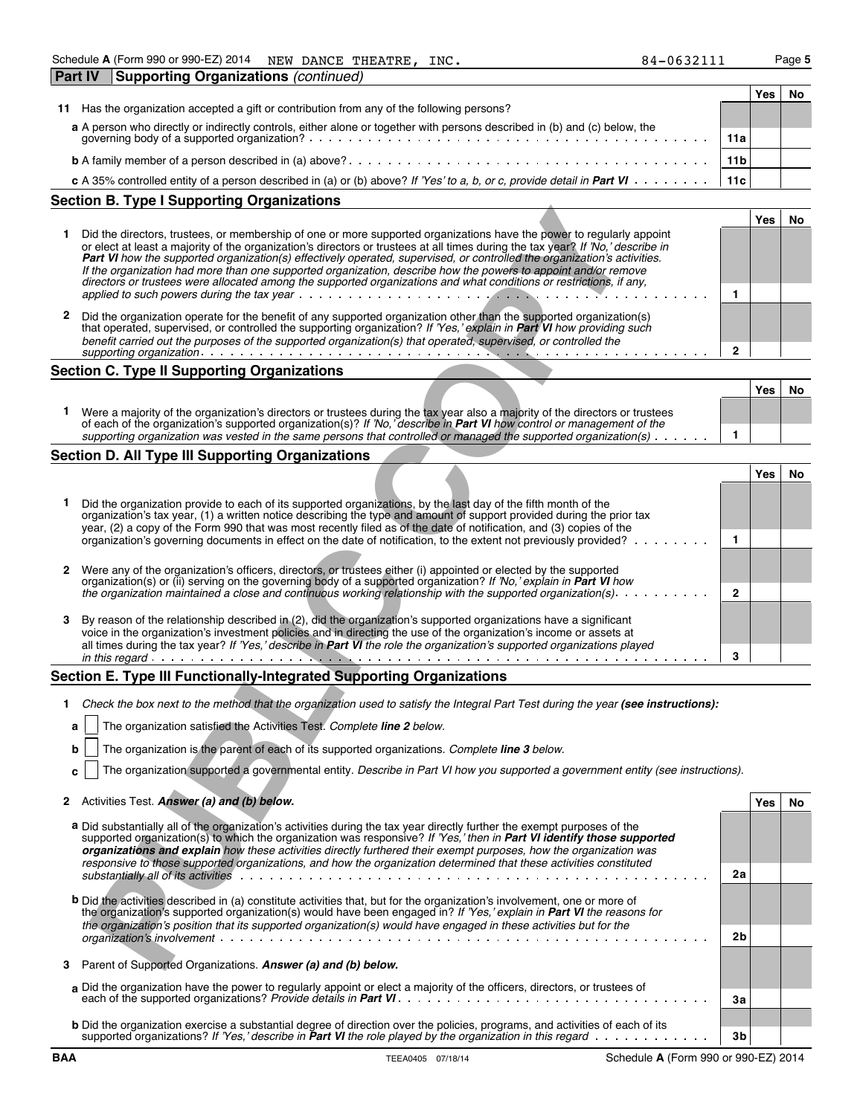**Part IV Supporting Organizations** *(continued)*

| + - - - - | 07-003411 | . . |
|-----------|-----------|-----|
|           |           |     |
|           |           |     |
|           |           |     |

|                                                                                                                            |                 | Yes |  |
|----------------------------------------------------------------------------------------------------------------------------|-----------------|-----|--|
| Has the organization accepted a gift or contribution from any of the following persons?<br>11                              |                 |     |  |
| a A person who directly or indirectly controls, either alone or together with persons described in (b) and (c) below, the  |                 |     |  |
|                                                                                                                            | 11a             |     |  |
|                                                                                                                            | 11 <sub>b</sub> |     |  |
| c A 35% controlled entity of a person described in (a) or (b) above? If 'Yes' to a, b, or c, provide detail in Part VI 11c |                 |     |  |
|                                                                                                                            |                 |     |  |

|   | Section B. Type I Supporting Organizations                                                                                                                                                                                                                                                                                                                                                                                                                                                                                                                                                                                    |     |    |
|---|-------------------------------------------------------------------------------------------------------------------------------------------------------------------------------------------------------------------------------------------------------------------------------------------------------------------------------------------------------------------------------------------------------------------------------------------------------------------------------------------------------------------------------------------------------------------------------------------------------------------------------|-----|----|
|   |                                                                                                                                                                                                                                                                                                                                                                                                                                                                                                                                                                                                                               | Yes | No |
|   | Did the directors, trustees, or membership of one or more supported organizations have the power to regularly appoint<br>or elect at least a majority of the organization's directors or trustees at all times during the tax year? If 'No,' describe in<br>Part VI how the supported organization(s) effectively operated, supervised, or controlled the organization's activities.<br>If the organization had more than one supported organization, describe how the powers to appoint and/or remove<br>directors or trustees were allocated among the supported organizations and what conditions or restrictions, if any, |     |    |
|   |                                                                                                                                                                                                                                                                                                                                                                                                                                                                                                                                                                                                                               |     |    |
| 2 | Did the organization operate for the benefit of any supported organization other than the supported organization(s)<br>that operated, supervised, or controlled the supporting organization? If 'Yes,' explain in <b>Part VI</b> how providing such<br>benefit carried out the purposes of the supported organization(s) that operated, supervised, or controlled the                                                                                                                                                                                                                                                         |     |    |
|   | supporting organization with a series of the contract of the series of the series of the series of the series                                                                                                                                                                                                                                                                                                                                                                                                                                                                                                                 |     |    |

## **Section C. Type II Supporting Organizations**

|                                                                                                                                                                                                                                                               | Yes |  |
|---------------------------------------------------------------------------------------------------------------------------------------------------------------------------------------------------------------------------------------------------------------|-----|--|
| Were a majority of the organization's directors or trustees during the tax year also a majority of the directors or trustees<br>of each of the organization's supported organization(s)? If 'No,' describe in <b>Part VI</b> how control or management of the |     |  |
| supporting organization was vested in the same persons that controlled or managed the supported organization(s) $\cdots$                                                                                                                                      |     |  |
|                                                                                                                                                                                                                                                               |     |  |

### **Section D. All Type III Supporting Organizations**

|    | Did the directors, trustees, or membership of one or more supported organizations have the power to regularly appoint<br>or elect at least a majority of the organization's directors or trustees at all times during the tax year? If 'No,' describe in<br><b>Part VI</b> how the supported organization(s) effectively operated, supervised, or controlled the organization's activities.                                                                                                   |              | Yes        | No |
|----|-----------------------------------------------------------------------------------------------------------------------------------------------------------------------------------------------------------------------------------------------------------------------------------------------------------------------------------------------------------------------------------------------------------------------------------------------------------------------------------------------|--------------|------------|----|
|    | If the organization had more than one supported organization, describe how the powers to appoint and/or remove<br>directors or trustees were allocated among the supported organizations and what conditions or restrictions, if any,<br>applied to such powers during the tax year $\ldots$ , $\ldots$ , $\ldots$                                                                                                                                                                            | 1            |            |    |
| 2  | Did the organization operate for the benefit of any supported organization other than the supported organization(s)<br>that operated, supervised, or controlled the supporting organization? If 'Yes,' explain in <b>Part VI</b> how providing such<br>benefit carried out the purposes of the supported organization(s) that operated, supervised, or controlled the                                                                                                                         | $\mathbf{2}$ |            |    |
|    | Section C. Type II Supporting Organizations                                                                                                                                                                                                                                                                                                                                                                                                                                                   |              |            |    |
|    |                                                                                                                                                                                                                                                                                                                                                                                                                                                                                               |              | Yes        | No |
| 1. | Were a majority of the organization's directors or trustees during the tax year also a majority of the directors or trustees<br>of each of the organization's supported organization(s)? If 'No, 'describe in <b>Part VI</b> how control or management of the<br>supporting organization was vested in the same persons that controlled or managed the supported organization(s) $\cdots \cdots$                                                                                              | 1            |            |    |
|    | Section D. All Type III Supporting Organizations                                                                                                                                                                                                                                                                                                                                                                                                                                              |              |            |    |
|    |                                                                                                                                                                                                                                                                                                                                                                                                                                                                                               |              | <b>Yes</b> | No |
|    | Did the organization provide to each of its supported organizations, by the last day of the fifth month of the<br>organization's tax year, (1) a written notice describing the type and amount of support provided during the prior tax<br>year, (2) a copy of the Form 990 that was most recently filed as of the date of notification, and (3) copies of the<br>organization's governing documents in effect on the date of notification, to the extent not previously provided?            | 1            |            |    |
| 2  | Were any of the organization's officers, directors, or trustees either (i) appointed or elected by the supported<br>organization(s) or (ii) serving on the governing body of a supported organization? If No, explain in Part VI how<br>the organization maintained a close and continuous working relationship with the supported organization(s).                                                                                                                                           | $\mathbf{2}$ |            |    |
| 3  | By reason of the relationship described in (2), did the organization's supported organizations have a significant<br>voice in the organization's investment policies and in directing the use of the organization's income or assets at<br>all times during the tax year? If 'Yes,' describe in Part VI the role the organization's supported organizations played<br>المتعالم المتمالين المتمالين المتمالين المتمالين المتمالين المتمالين المتمالين المتمالين المتمالين                      | 3            |            |    |
|    | Section E. Type III Functionally-Integrated Supporting Organizations                                                                                                                                                                                                                                                                                                                                                                                                                          |              |            |    |
| 1. | Check the box next to the method that the organization used to satisfy the Integral Part Test during the year (see instructions):                                                                                                                                                                                                                                                                                                                                                             |              |            |    |
|    | The organization satisfied the Activities Test. Complete line 2 below.<br>a                                                                                                                                                                                                                                                                                                                                                                                                                   |              |            |    |
|    | The organization is the parent of each of its supported organizations. Complete line 3 below.<br>b                                                                                                                                                                                                                                                                                                                                                                                            |              |            |    |
|    | The organization supported a governmental entity. Describe in Part VI how you supported a government entity (see instructions).<br>с                                                                                                                                                                                                                                                                                                                                                          |              |            |    |
|    | 2 Activities Test. Answer (a) and (b) below.                                                                                                                                                                                                                                                                                                                                                                                                                                                  |              | Yes        | No |
|    | a Did substantially all of the organization's activities during the tax year directly further the exempt purposes of the<br>supported organization(s) to which the organization was responsive? If 'Yes,' then in Part VI identify those supported<br>organizations and explain how these activities directly furthered their exempt purposes, how the organization was<br>responsive to those supported organizations, and how the organization determined that these activities constituted |              |            |    |
|    |                                                                                                                                                                                                                                                                                                                                                                                                                                                                                               | 2a           |            |    |
|    | <b>b</b> Did the activities described in (a) constitute activities that, but for the organization's involvement, one or more of<br>the organization's supported organization(s) would have been engaged in? If 'Yes,' explain in Part VI the reasons for<br>the organization's position that its supported organization(s) would have engaged in these activities but for the                                                                                                                 |              |            |    |
|    |                                                                                                                                                                                                                                                                                                                                                                                                                                                                                               | 2b           |            |    |
|    | 3 Parent of Supported Organizations. Answer (a) and (b) below.                                                                                                                                                                                                                                                                                                                                                                                                                                |              |            |    |

### **Section E. Type III Functionally-Integrated Supporting Organizations**

- 1 Check the box next to the method that the organization used to satisfy the Integral Part Test during the year (see instructions):
	- **a** The organization satisfied the Activities Test. *Complete line 2 below.*
	- **b** The organization is the parent of each of its supported organizations. *Complete line 3 below.*
	- **c** The organization supported a governmental entity. *Describe in Part VI how you supported a government entity (see instructions).*

| 2 Activities Test. Answer (a) and (b) below.<br>Yes |  | l No |
|-----------------------------------------------------|--|------|
|-----------------------------------------------------|--|------|

| a Did substantially all of the organization's activities during the tax year directly further the exempt purposes of the<br>supported organization(s) to which the organization was responsive? If 'Yes,' then in Part VI identify those supported<br>organizations and explain how these activities directly furthered their exempt purposes, how the organization was<br>responsive to those supported organizations, and how the organization determined that these activities constituted |                |  |
|-----------------------------------------------------------------------------------------------------------------------------------------------------------------------------------------------------------------------------------------------------------------------------------------------------------------------------------------------------------------------------------------------------------------------------------------------------------------------------------------------|----------------|--|
| substantially all of its activities enterpresent enterpresent contact to contact the contact of the contact of                                                                                                                                                                                                                                                                                                                                                                                | 2a             |  |
| <b>b</b> Did the activities described in (a) constitute activities that, but for the organization's involvement, one or more of<br>the organization's supported organization(s) would have been engaged in? If 'Yes,' explain in <b>Part VI</b> the reasons for<br>the organization's position that its supported organization(s) would have engaged in these activities but for the                                                                                                          |                |  |
|                                                                                                                                                                                                                                                                                                                                                                                                                                                                                               | 2 <sub>b</sub> |  |
| 3 Parent of Supported Organizations. Answer (a) and (b) below.                                                                                                                                                                                                                                                                                                                                                                                                                                |                |  |
| a Did the organization have the power to regularly appoint or elect a majority of the officers, directors, or trustees of                                                                                                                                                                                                                                                                                                                                                                     | 3a             |  |
| <b>b</b> Did the organization exercise a substantial degree of direction over the policies, programs, and activities of each of its<br>supported organizations? If 'Yes,' describe in <b>Part VI</b> the role played by the organization in this regard $\cdots$                                                                                                                                                                                                                              | 3b             |  |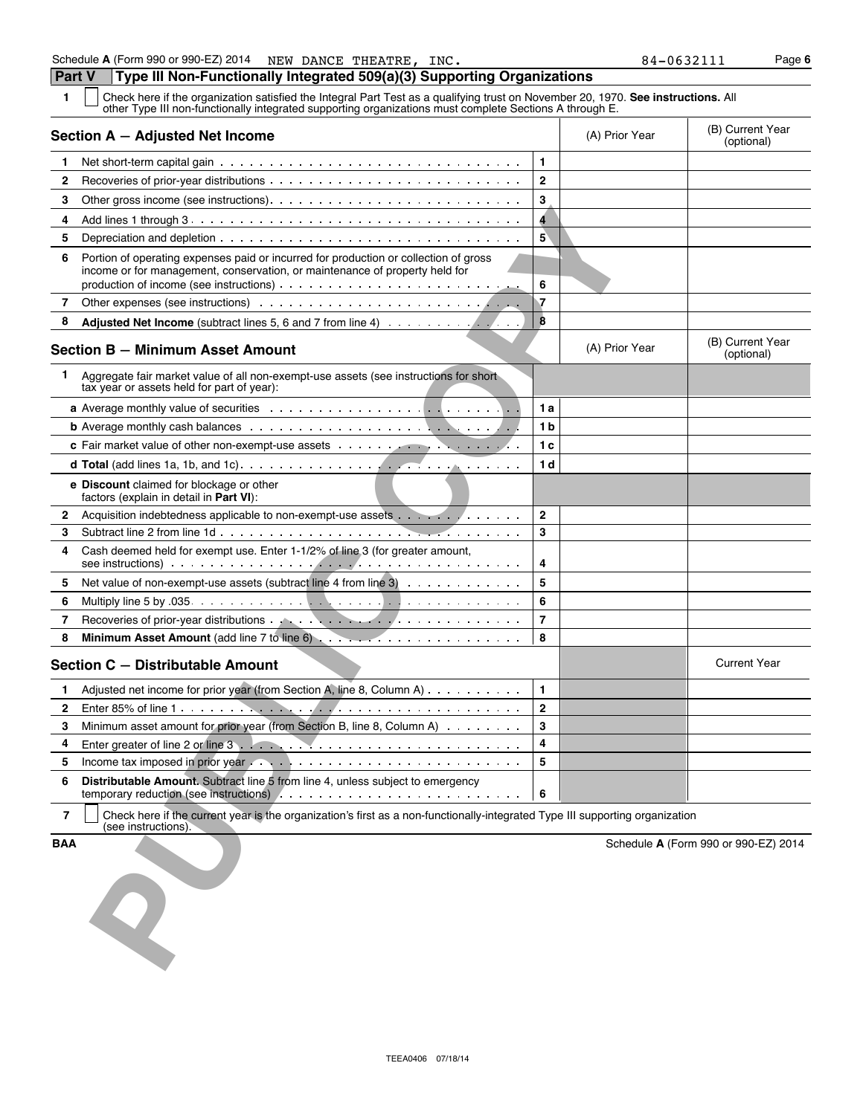**1** Check here if the organization satisfied the Integral Part Test as a qualifying trust on November 20, 1970. **See instructions.** All other Type III non-functionally integrated supporting organizations must complete Sections A through E.

| (B) Current Year<br>(optional)       |
|--------------------------------------|
|                                      |
|                                      |
|                                      |
|                                      |
|                                      |
|                                      |
|                                      |
|                                      |
| (B) Current Year<br>(optional)       |
|                                      |
|                                      |
|                                      |
|                                      |
|                                      |
|                                      |
|                                      |
|                                      |
|                                      |
|                                      |
|                                      |
|                                      |
|                                      |
| <b>Current Year</b>                  |
|                                      |
|                                      |
|                                      |
|                                      |
|                                      |
|                                      |
|                                      |
| Schedule A (Form 990 or 990-EZ) 2014 |
|                                      |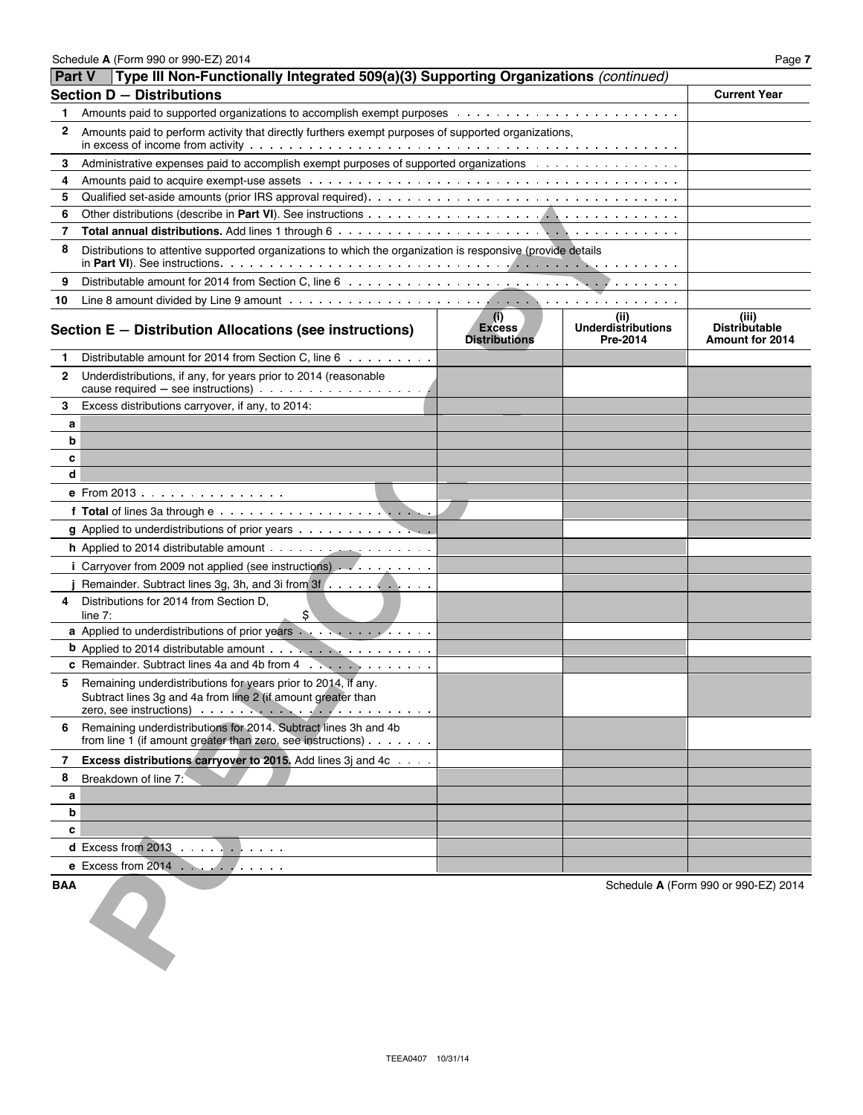| <b>Part V</b> | Type III Non-Functionally Integrated 509(a)(3) Supporting Organizations (continued)                                                                                                                                                              |                                              |                                               |                                                  |
|---------------|--------------------------------------------------------------------------------------------------------------------------------------------------------------------------------------------------------------------------------------------------|----------------------------------------------|-----------------------------------------------|--------------------------------------------------|
|               | Section D - Distributions                                                                                                                                                                                                                        |                                              |                                               | <b>Current Year</b>                              |
| 1             |                                                                                                                                                                                                                                                  |                                              |                                               |                                                  |
| 2             | Amounts paid to perform activity that directly furthers exempt purposes of supported organizations,                                                                                                                                              |                                              |                                               |                                                  |
| 3             | Administrative expenses paid to accomplish exempt purposes of supported organizations                                                                                                                                                            |                                              |                                               |                                                  |
| 4             |                                                                                                                                                                                                                                                  |                                              |                                               |                                                  |
| 5             |                                                                                                                                                                                                                                                  |                                              |                                               |                                                  |
| 6             |                                                                                                                                                                                                                                                  |                                              |                                               |                                                  |
| 7             |                                                                                                                                                                                                                                                  |                                              |                                               |                                                  |
| 8             | Distributions to attentive supported organizations to which the organization is responsive (provide details                                                                                                                                      |                                              |                                               |                                                  |
| 9             |                                                                                                                                                                                                                                                  |                                              |                                               |                                                  |
| 10            |                                                                                                                                                                                                                                                  |                                              |                                               |                                                  |
|               | Section E - Distribution Allocations (see instructions)                                                                                                                                                                                          | (i)<br><b>Excess</b><br><b>Distributions</b> | (ii)<br><b>Underdistributions</b><br>Pre-2014 | (iii)<br>Distributable<br><b>Amount for 2014</b> |
| 1             | Distributable amount for 2014 from Section C, line 6                                                                                                                                                                                             |                                              |                                               |                                                  |
| 2             | Underdistributions, if any, for years prior to 2014 (reasonable<br>cause required $-$ see instructions) $\ldots \ldots \ldots \ldots \ldots \ldots$                                                                                              |                                              |                                               |                                                  |
| 3             | Excess distributions carryover, if any, to 2014:                                                                                                                                                                                                 |                                              |                                               |                                                  |
| а             |                                                                                                                                                                                                                                                  |                                              |                                               |                                                  |
| b             |                                                                                                                                                                                                                                                  |                                              |                                               |                                                  |
| c             |                                                                                                                                                                                                                                                  |                                              |                                               |                                                  |
| d             |                                                                                                                                                                                                                                                  |                                              |                                               |                                                  |
|               | e From 2013                                                                                                                                                                                                                                      |                                              |                                               |                                                  |
|               |                                                                                                                                                                                                                                                  |                                              |                                               |                                                  |
|               | g Applied to underdistributions of prior years                                                                                                                                                                                                   |                                              |                                               |                                                  |
|               | <b>h</b> Applied to 2014 distributable amount $\cdots$                                                                                                                                                                                           |                                              |                                               |                                                  |
|               | i Carryover from 2009 not applied (see instructions) $\ldots$                                                                                                                                                                                    |                                              |                                               |                                                  |
|               | Remainder. Subtract lines 3g, 3h, and 3i from 3f                                                                                                                                                                                                 |                                              |                                               |                                                  |
| 4             | Distributions for 2014 from Section D.<br>\$`<br>line $7:$                                                                                                                                                                                       |                                              |                                               |                                                  |
|               | a Applied to underdistributions of prior years expressions of the state of the state of the Applied to understanding the state of the state of the Applied to understanding the Applied Section of the Applied Section 4.                        |                                              |                                               |                                                  |
|               |                                                                                                                                                                                                                                                  |                                              |                                               |                                                  |
|               | c Remainder. Subtract lines 4a and 4b from 4                                                                                                                                                                                                     |                                              |                                               |                                                  |
| 5             | Remaining underdistributions for years prior to 2014, if any.<br>Subtract lines 3g and 4a from line 2 (if amount greater than<br>zero, see instructions) with the contract of the second second second second second second second second second |                                              |                                               |                                                  |
| 6             | Remaining underdistributions for 2014. Subtract lines 3h and 4b<br>from line 1 (if amount greater than zero, see instructions) $\cdots$                                                                                                          |                                              |                                               |                                                  |
| 7             | Excess distributions carryover to 2015. Add lines 3j and 4c                                                                                                                                                                                      |                                              |                                               |                                                  |
| 8             | Breakdown of line 7:                                                                                                                                                                                                                             |                                              |                                               |                                                  |
| а             |                                                                                                                                                                                                                                                  |                                              |                                               |                                                  |
| b             |                                                                                                                                                                                                                                                  |                                              |                                               |                                                  |
| c             |                                                                                                                                                                                                                                                  |                                              |                                               |                                                  |
|               | d Excess from $2013$                                                                                                                                                                                                                             |                                              |                                               |                                                  |
|               | $e$ Excess from 2014 $\cdots$                                                                                                                                                                                                                    |                                              |                                               |                                                  |
| BAA           |                                                                                                                                                                                                                                                  |                                              |                                               | Schedule A (Form 990 or 990-EZ) 2014             |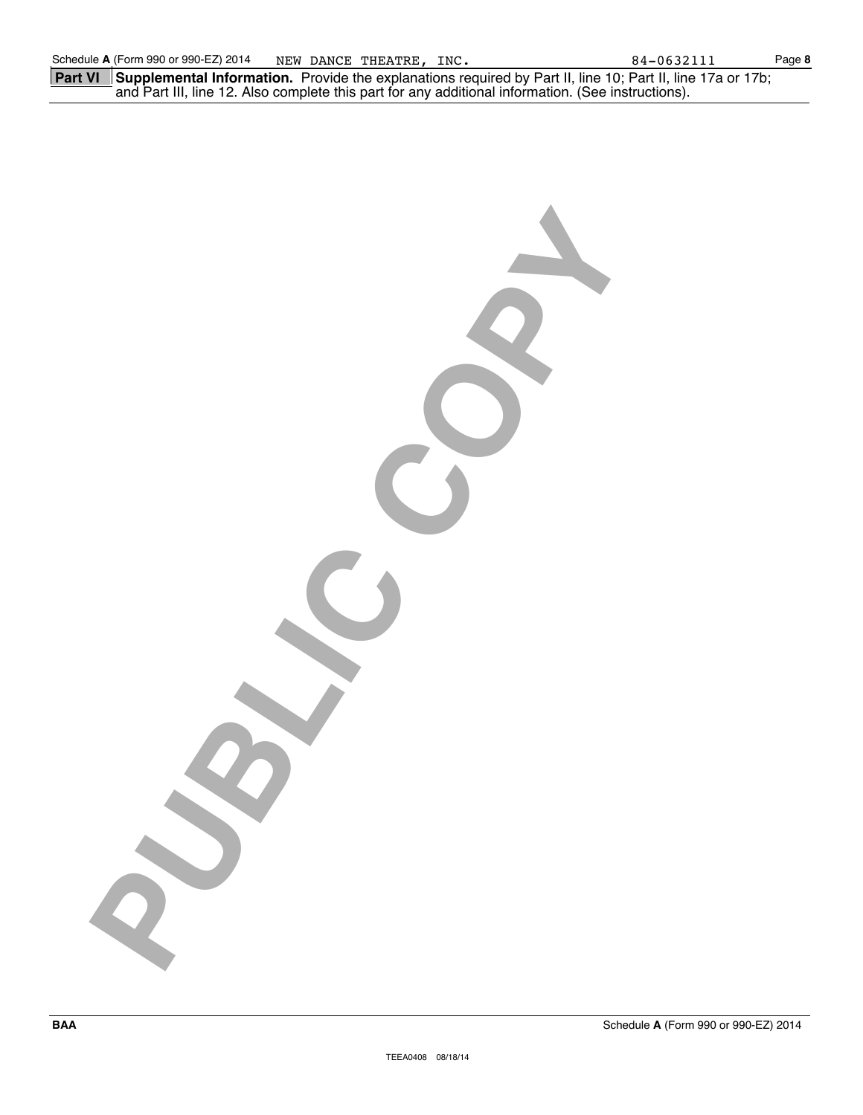|  | <b>Part VI</b> Supplemental Information. Provide the explanations required by Part II, line 10; Part II, line 17a or 17b; |  |
|--|---------------------------------------------------------------------------------------------------------------------------|--|
|  | and Part III, line 12. Also complete this part for any additional information. (See instructions).                        |  |

**PUBLIC COPY**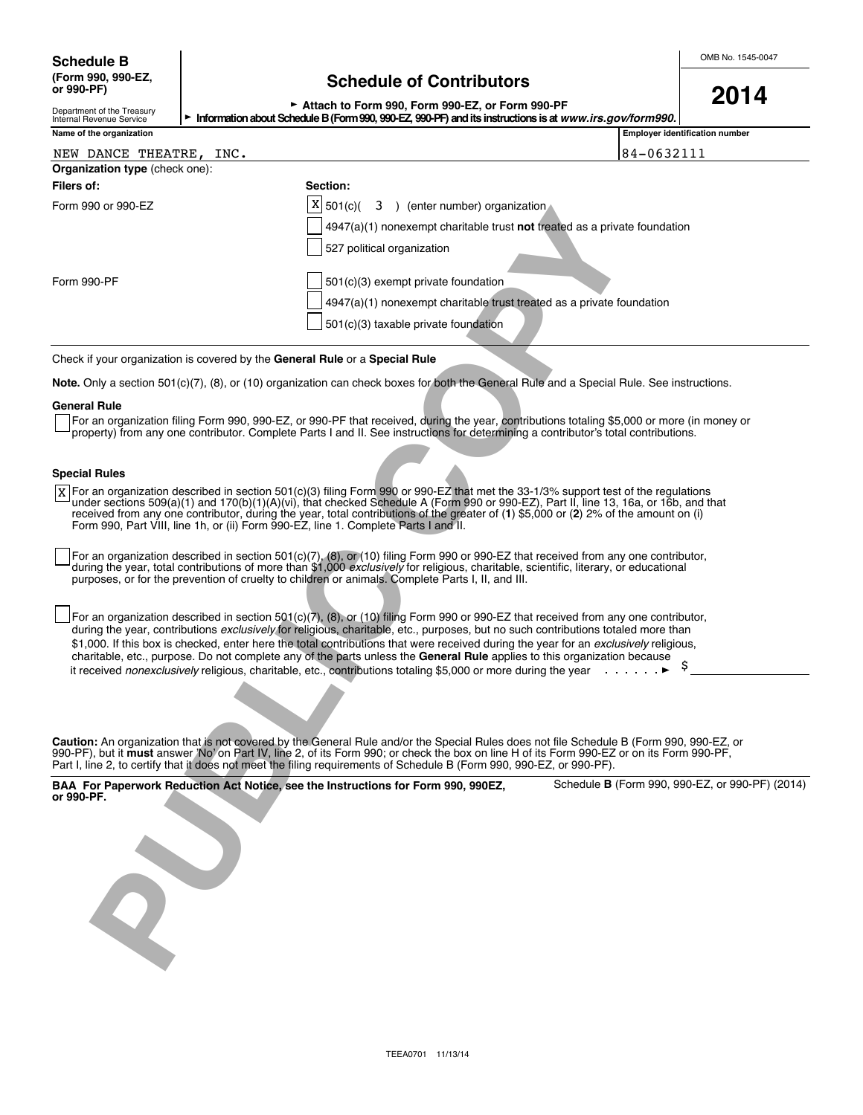# Schedule B<br>
(Form 990, 990-EZ,<br>
or 990-PF)<br> **Schedule of Contributors**<br> **OO11 Schedule of Contributors**

| ► Attach to Form 990, Form 990-EZ, or Form 990-PF                                                     |  |  |
|-------------------------------------------------------------------------------------------------------|--|--|
| ion about Schedule B (Form 990, 990-F7, 990-PF) and its instructions is at <i>www.irs.cov/form990</i> |  |  |

<sup>G</sup>**Attach to Form 990, Form 990-EZ, or Form 990-PF 2014**

| <b>Employer identification number</b><br>84-0632111<br>$4947(a)(1)$ nonexempt charitable trust not treated as a private foundation<br>4947(a)(1) nonexempt charitable trust treated as a private foundation<br>Note. Only a section 501(c)(7), (8), or (10) organization can check boxes for both the General Rule and a Special Rule. See instructions.<br>For an organization filing Form 990, 990-EZ, or 990-PF that received, during the year, contributions totaling \$5,000 or more (in money or<br>property) from any one contributor. Complete Parts I and II. See instructions for determining a contributor's total contributions.<br>X For an organization described in section 501(c)(3) filing Form 990 or 990-EZ that met the 33-1/3% support test of the regulations<br>under sections 509(a)(1) and 170(b)(1)(A)(vi), that checked Schedule A (Form 990 or 990-EZ), Part II, line 13, 16a, or 16b, and that |
|-----------------------------------------------------------------------------------------------------------------------------------------------------------------------------------------------------------------------------------------------------------------------------------------------------------------------------------------------------------------------------------------------------------------------------------------------------------------------------------------------------------------------------------------------------------------------------------------------------------------------------------------------------------------------------------------------------------------------------------------------------------------------------------------------------------------------------------------------------------------------------------------------------------------------------|
|                                                                                                                                                                                                                                                                                                                                                                                                                                                                                                                                                                                                                                                                                                                                                                                                                                                                                                                             |
|                                                                                                                                                                                                                                                                                                                                                                                                                                                                                                                                                                                                                                                                                                                                                                                                                                                                                                                             |
|                                                                                                                                                                                                                                                                                                                                                                                                                                                                                                                                                                                                                                                                                                                                                                                                                                                                                                                             |
|                                                                                                                                                                                                                                                                                                                                                                                                                                                                                                                                                                                                                                                                                                                                                                                                                                                                                                                             |
|                                                                                                                                                                                                                                                                                                                                                                                                                                                                                                                                                                                                                                                                                                                                                                                                                                                                                                                             |
|                                                                                                                                                                                                                                                                                                                                                                                                                                                                                                                                                                                                                                                                                                                                                                                                                                                                                                                             |
|                                                                                                                                                                                                                                                                                                                                                                                                                                                                                                                                                                                                                                                                                                                                                                                                                                                                                                                             |
|                                                                                                                                                                                                                                                                                                                                                                                                                                                                                                                                                                                                                                                                                                                                                                                                                                                                                                                             |
|                                                                                                                                                                                                                                                                                                                                                                                                                                                                                                                                                                                                                                                                                                                                                                                                                                                                                                                             |
|                                                                                                                                                                                                                                                                                                                                                                                                                                                                                                                                                                                                                                                                                                                                                                                                                                                                                                                             |
|                                                                                                                                                                                                                                                                                                                                                                                                                                                                                                                                                                                                                                                                                                                                                                                                                                                                                                                             |
|                                                                                                                                                                                                                                                                                                                                                                                                                                                                                                                                                                                                                                                                                                                                                                                                                                                                                                                             |
|                                                                                                                                                                                                                                                                                                                                                                                                                                                                                                                                                                                                                                                                                                                                                                                                                                                                                                                             |
|                                                                                                                                                                                                                                                                                                                                                                                                                                                                                                                                                                                                                                                                                                                                                                                                                                                                                                                             |
|                                                                                                                                                                                                                                                                                                                                                                                                                                                                                                                                                                                                                                                                                                                                                                                                                                                                                                                             |
|                                                                                                                                                                                                                                                                                                                                                                                                                                                                                                                                                                                                                                                                                                                                                                                                                                                                                                                             |
|                                                                                                                                                                                                                                                                                                                                                                                                                                                                                                                                                                                                                                                                                                                                                                                                                                                                                                                             |
|                                                                                                                                                                                                                                                                                                                                                                                                                                                                                                                                                                                                                                                                                                                                                                                                                                                                                                                             |
| received from any one contributor, during the year, total contributions of the greater of (1) \$5,000 or (2) 2% of the amount on (i)                                                                                                                                                                                                                                                                                                                                                                                                                                                                                                                                                                                                                                                                                                                                                                                        |
| For an organization described in section $501(c)(7)$ , (8), or (10) filing Form 990 or 990-EZ that received from any one contributor,<br>during the year, total contributions of more than \$1,000 exclusively for religious, charitable, scientific, literary, or educational                                                                                                                                                                                                                                                                                                                                                                                                                                                                                                                                                                                                                                              |
| For an organization described in section 501(c)(7), (8), or (10) filing Form 990 or 990-EZ that received from any one contributor,<br>during the year, contributions exclusively for religious, charitable, etc., purposes, but no such contributions totaled more than<br>\$1,000. If this box is checked, enter here the total contributions that were received during the year for an exclusively religious,<br>charitable, etc., purpose. Do not complete any of the parts unless the General Rule applies to this organization because<br><b>Contractor</b>                                                                                                                                                                                                                                                                                                                                                            |
|                                                                                                                                                                                                                                                                                                                                                                                                                                                                                                                                                                                                                                                                                                                                                                                                                                                                                                                             |
| Caution: An organization that is not covered by the General Rule and/or the Special Rules does not file Schedule B (Form 990, 990-EZ, or<br>990-PF), but it must answer 'No' on Part IV, line 2, of its Form 990; or check the box on line H of its Form 990-EZ or on its Form 990-PF,                                                                                                                                                                                                                                                                                                                                                                                                                                                                                                                                                                                                                                      |
| Schedule B (Form 990, 990-EZ, or 990-PF) (2014)                                                                                                                                                                                                                                                                                                                                                                                                                                                                                                                                                                                                                                                                                                                                                                                                                                                                             |
|                                                                                                                                                                                                                                                                                                                                                                                                                                                                                                                                                                                                                                                                                                                                                                                                                                                                                                                             |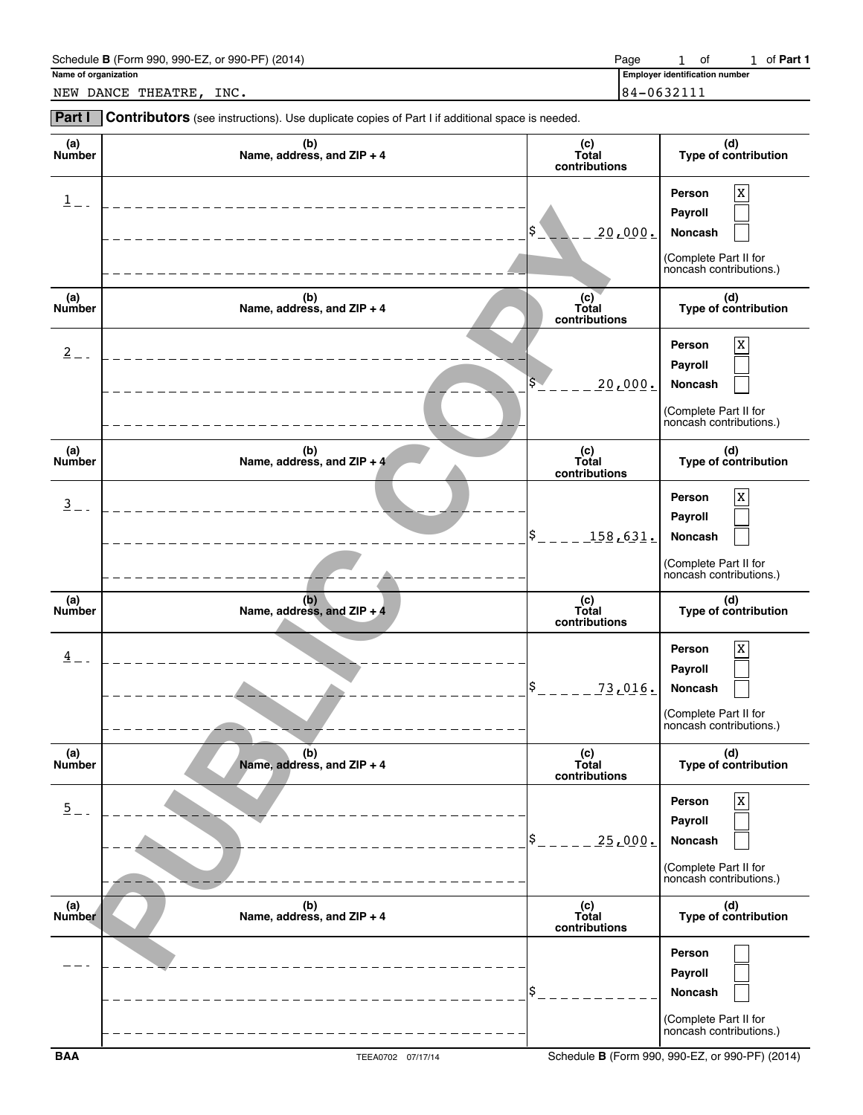| Schedule B (Form 990,<br>, 990-EZ, or 990-PF) (2014)<br>Paqe |  | οf | of <b>Part</b> |
|--------------------------------------------------------------|--|----|----------------|
|--------------------------------------------------------------|--|----|----------------|

**Name of organization Employer identification numbers are all the set of organization numbers of**  $\overline{E}$  **in the set of**  $\overline{E}$  **in the set of**  $\overline{E}$  **in the set of**  $\overline{E}$  **in the set of**  $\overline{E}$  **in the set of**  $\overline{E}$ 1 of 1 of Part 1

NEW DANCE THEATRE, INC. 84-0632111

**Part I** Contributors (see instructions). Use duplicate copies of Part I if additional space is needed.

| (a)<br>Number           | (b)<br>Name, address, and ZIP + 4    | (c)<br>Total<br>contributions | (d)<br>Type of contribution                                                                     |
|-------------------------|--------------------------------------|-------------------------------|-------------------------------------------------------------------------------------------------|
| $\overline{\mathbf{1}}$ |                                      | \$<br>20,000.                 | X<br>Person<br>Payroll<br>Noncash<br>(Complete Part II for<br>noncash contributions.)           |
| (a)<br>Number           | (b)<br>Name, address, and ZIP + 4    | (c)<br>Total<br>contributions | (d)<br>Type of contribution                                                                     |
| $2 -$                   |                                      | <u> 20,000.</u>               | X<br>Person<br>Payroll<br>Noncash<br>(Complete Part II for<br>noncash contributions.)           |
| (a)<br>Number           | (b)<br>Name, address, and ZIP + $4'$ | (c)<br>Total<br>contributions | (d)<br>Type of contribution                                                                     |
| $\frac{3}{2}$ -         |                                      | \$<br>_1 <u>58,631.</u>       | X<br>Person<br>Payroll<br>Noncash<br>(Complete Part II for<br>noncash contributions.)           |
| (a)<br>Number           | (b)<br>Name, address, and ZIP + 4    | (c)<br>Total<br>contributions | (d)<br>Type of contribution                                                                     |
| $\frac{4}{1}$ -         |                                      | \$<br>73,016.                 | $\mathbf X$<br>Person<br>Payroll<br>Noncash<br>(Complete Part II for<br>noncash contributions.) |
| (a)<br><b>Number</b>    | (b)<br>Name, address, and ZIP + 4    | (c)<br>Total<br>contributions | (d)<br>Type of contribution                                                                     |
| $\overline{5}$ .        |                                      | \$<br>25,000.                 | $\mathbf x$<br>Person<br>Payroll<br>Noncash<br>(Complete Part II for<br>noncash contributions.) |
| (a)<br>Number           | (b)<br>Name, address, and ZIP + 4    | (c)<br>Total<br>contributions | (d)<br>Type of contribution                                                                     |
|                         |                                      | \$                            | Person<br>Payroll<br>Noncash<br>(Complete Part II for                                           |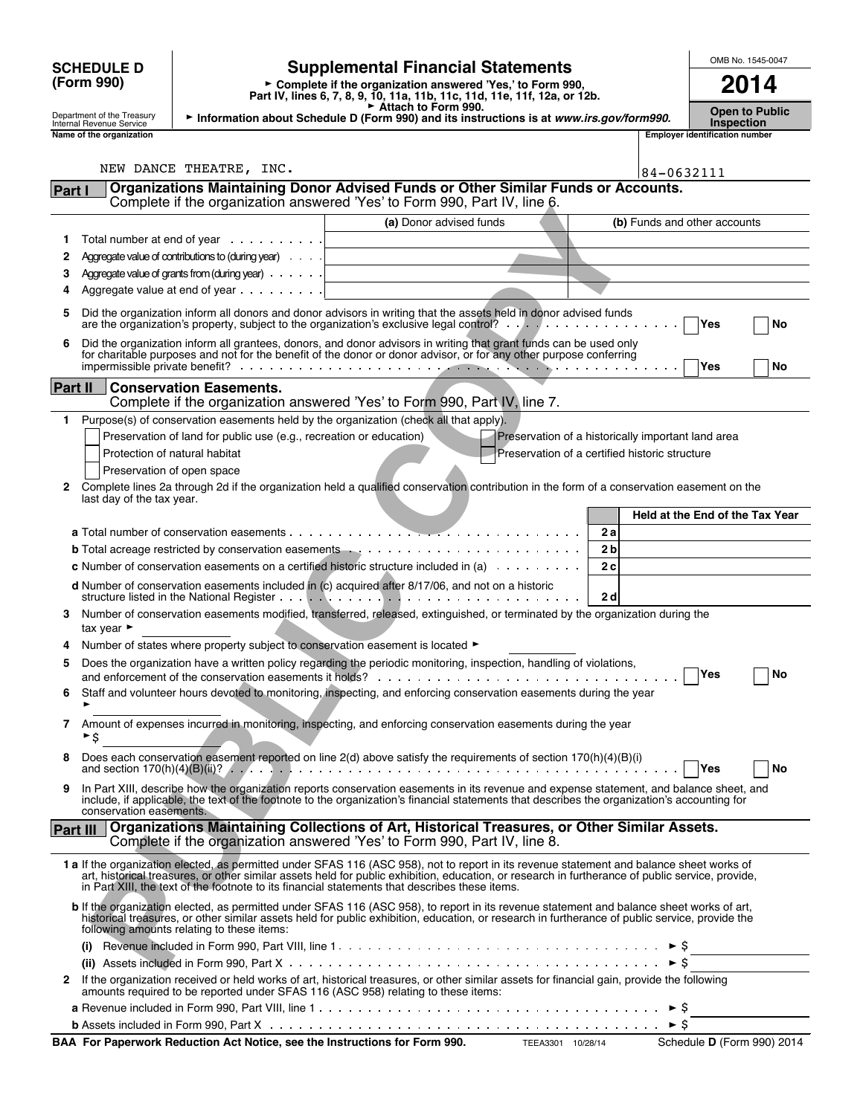| OMB No. 1545-0047<br><b>Supplemental Financial Statements</b><br><b>SCHEDULE D</b>                                                                                                                                                                                                                                                                                                              |                                                    |  |  |  |
|-------------------------------------------------------------------------------------------------------------------------------------------------------------------------------------------------------------------------------------------------------------------------------------------------------------------------------------------------------------------------------------------------|----------------------------------------------------|--|--|--|
| (Form 990)<br>► Complete if the organization answered 'Yes,' to Form 990,<br>Part IV, lines 6, 7, 8, 9, 10, 11a, 11b, 11c, 11d, 11e, 11f, 12a, or 12b.                                                                                                                                                                                                                                          | 2014                                               |  |  |  |
| Attach to Form 990.<br>Department of the Treasury<br>Information about Schedule D (Form 990) and its instructions is at www.irs.gov/form990.<br>Internal Revenue Service                                                                                                                                                                                                                        | <b>Open to Public</b><br><b>Inspection</b>         |  |  |  |
| Name of the organization                                                                                                                                                                                                                                                                                                                                                                        | <b>Emplover identification number</b>              |  |  |  |
| NEW DANCE THEATRE, INC.                                                                                                                                                                                                                                                                                                                                                                         | 84-0632111                                         |  |  |  |
| Organizations Maintaining Donor Advised Funds or Other Similar Funds or Accounts.<br>Part I                                                                                                                                                                                                                                                                                                     |                                                    |  |  |  |
| Complete if the organization answered 'Yes' to Form 990, Part IV, line 6.                                                                                                                                                                                                                                                                                                                       |                                                    |  |  |  |
| (a) Donor advised funds                                                                                                                                                                                                                                                                                                                                                                         | (b) Funds and other accounts                       |  |  |  |
| Total number at end of year $\cdots$<br>1.                                                                                                                                                                                                                                                                                                                                                      |                                                    |  |  |  |
| Aggregate value of contributions to (during year)<br>2                                                                                                                                                                                                                                                                                                                                          |                                                    |  |  |  |
| Aggregate value of grants from (during year) $\ldots$ .<br>3<br>Aggregate value at end of year $\ldots$<br>4                                                                                                                                                                                                                                                                                    |                                                    |  |  |  |
| Did the organization inform all donors and donor advisors in writing that the assets held in donor advised funds<br>5<br>Yes<br>are the organization's property, subject to the organization's exclusive legal control? $\ldots$ , $\ldots$ , $\ldots$<br>No                                                                                                                                    |                                                    |  |  |  |
| Did the organization inform all grantees, donors, and donor advisors in writing that grant funds can be used only<br>6<br>for charitable purposes and not for the benefit of the donor or donor advisor, or for any other purpose conferring                                                                                                                                                    |                                                    |  |  |  |
|                                                                                                                                                                                                                                                                                                                                                                                                 | Yes<br>No                                          |  |  |  |
| Part II<br><b>Conservation Easements.</b><br>Complete if the organization answered 'Yes' to Form 990, Part IV, line 7.                                                                                                                                                                                                                                                                          |                                                    |  |  |  |
| Purpose(s) of conservation easements held by the organization (check all that apply).<br>1.                                                                                                                                                                                                                                                                                                     |                                                    |  |  |  |
| Preservation of land for public use (e.g., recreation or education)                                                                                                                                                                                                                                                                                                                             | Preservation of a historically important land area |  |  |  |
| Protection of natural habitat                                                                                                                                                                                                                                                                                                                                                                   | Preservation of a certified historic structure     |  |  |  |
| Preservation of open space                                                                                                                                                                                                                                                                                                                                                                      |                                                    |  |  |  |
| Complete lines 2a through 2d if the organization held a qualified conservation contribution in the form of a conservation easement on the<br>2<br>last day of the tax year.                                                                                                                                                                                                                     |                                                    |  |  |  |
|                                                                                                                                                                                                                                                                                                                                                                                                 | Held at the End of the Tax Year                    |  |  |  |
|                                                                                                                                                                                                                                                                                                                                                                                                 | 2a                                                 |  |  |  |
|                                                                                                                                                                                                                                                                                                                                                                                                 | 2 <sub>b</sub>                                     |  |  |  |
| <b>c</b> Number of conservation easements on a certified historic structure included in (a) $\ldots \ldots \ldots$                                                                                                                                                                                                                                                                              | 2c                                                 |  |  |  |
| d Number of conservation easements included in (c) acquired after 8/17/06, and not on a historic<br>2d                                                                                                                                                                                                                                                                                          |                                                    |  |  |  |
| Number of conservation easements modified, transferred, released, extinguished, or terminated by the organization during the<br>3<br>tax year $\blacktriangleright$                                                                                                                                                                                                                             |                                                    |  |  |  |
| Number of states where property subject to conservation easement is located ►<br>4                                                                                                                                                                                                                                                                                                              |                                                    |  |  |  |
| Does the organization have a written policy regarding the periodic monitoring, inspection, handling of violations,<br>5                                                                                                                                                                                                                                                                         | <b>Yes</b><br>No                                   |  |  |  |
| Staff and volunteer hours devoted to monitoring, inspecting, and enforcing conservation easements during the year<br>6                                                                                                                                                                                                                                                                          |                                                    |  |  |  |
| Amount of expenses incurred in monitoring, inspecting, and enforcing conservation easements during the year<br>7<br>►\$                                                                                                                                                                                                                                                                         |                                                    |  |  |  |
| Does each conservation easement reported on line 2(d) above satisfy the requirements of section 170(h)(4)(B)(i)<br>8<br>and section 170(h)(4)(B)(ii)? $\ldots$ , $\ldots$ , $\ldots$ , $\ldots$ , $\ldots$ , $\ldots$ , $\ldots$ , $\ldots$ , $\ldots$ , $\ldots$ , $\ldots$ , $\ldots$ , $\ldots$ , $\ldots$ , $\ldots$ , $\ldots$ , $\ldots$                                                  | Yes<br>No                                          |  |  |  |
| In Part XIII, describe how the organization reports conservation easements in its revenue and expense statement, and balance sheet, and<br>9<br>include, if applicable, the text of the footnote to the organization's financial statements that describes the organization's accounting for<br>conservation easements.                                                                         |                                                    |  |  |  |
| <b>Organizations Maintaining Collections of Art, Historical Treasures, or Other Similar Assets.</b><br>Part III<br>Complete if the organization answered 'Yes' to Form 990, Part IV, line 8.                                                                                                                                                                                                    |                                                    |  |  |  |
| 1 a If the organization elected, as permitted under SFAS 116 (ASC 958), not to report in its revenue statement and balance sheet works of<br>art, historical treasures, or other similar assets held for public exhibition, education, or research in furtherance of public service, provide,<br>in Part XIII, the text of the footnote to its financial statements that describes these items. |                                                    |  |  |  |
| b If the organization elected, as permitted under SFAS 116 (ASC 958), to report in its revenue statement and balance sheet works of art,<br>historical treasures, or other similar assets held for public exhibition, education, or research in furtherance of public service, provide the                                                                                                      |                                                    |  |  |  |
| following amounts relating to these items:                                                                                                                                                                                                                                                                                                                                                      |                                                    |  |  |  |
|                                                                                                                                                                                                                                                                                                                                                                                                 | ►Ş                                                 |  |  |  |
|                                                                                                                                                                                                                                                                                                                                                                                                 | ► \$                                               |  |  |  |
| If the organization received or held works of art, historical treasures, or other similar assets for financial gain, provide the following<br>2<br>amounts required to be reported under SFAS 116 (ASC 958) relating to these items:                                                                                                                                                            | $\blacktriangleright$ S                            |  |  |  |

| BAA For Paperwork Reduction Act Notice, see the Instructions for Form 990.<br>TEEA3301 10/28/14 | Schedul |
|-------------------------------------------------------------------------------------------------|---------|
|-------------------------------------------------------------------------------------------------|---------|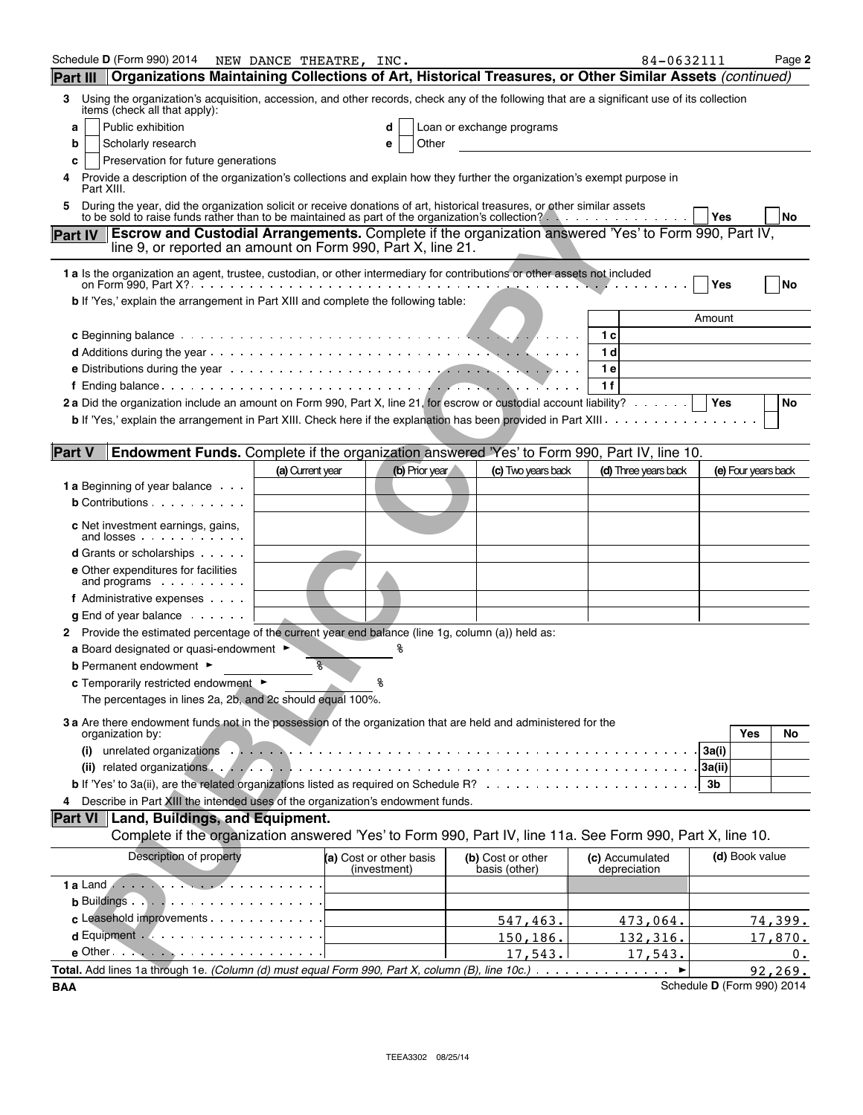| Schedule D (Form 990) 2014                                                                                                                                                                                                            | NEW DANCE THEATRE, INC. |                         |                           | 84-0632111           |        |                     | Page 2            |
|---------------------------------------------------------------------------------------------------------------------------------------------------------------------------------------------------------------------------------------|-------------------------|-------------------------|---------------------------|----------------------|--------|---------------------|-------------------|
| Organizations Maintaining Collections of Art, Historical Treasures, or Other Similar Assets (continued)<br><b>Part III</b>                                                                                                            |                         |                         |                           |                      |        |                     |                   |
| Using the organization's acquisition, accession, and other records, check any of the following that are a significant use of its collection<br>3<br>items (check all that apply):                                                     |                         |                         |                           |                      |        |                     |                   |
| Public exhibition<br>a                                                                                                                                                                                                                |                         |                         | Loan or exchange programs |                      |        |                     |                   |
| Scholarly research<br>b                                                                                                                                                                                                               |                         | Other<br>e              |                           |                      |        |                     |                   |
| Preservation for future generations<br>c                                                                                                                                                                                              |                         |                         |                           |                      |        |                     |                   |
| Provide a description of the organization's collections and explain how they further the organization's exempt purpose in<br>Part XIII.                                                                                               |                         |                         |                           |                      |        |                     |                   |
| During the year, did the organization solicit or receive donations of art, historical treasures, or other similar assets                                                                                                              |                         |                         |                           |                      | Yes    |                     | <b>No</b>         |
| <b>Escrow and Custodial Arrangements.</b> Complete if the organization answered 'Yes' to Form 990, Part IV,<br><b>Part IV</b>                                                                                                         |                         |                         |                           |                      |        |                     |                   |
| line 9, or reported an amount on Form 990, Part X, line 21.                                                                                                                                                                           |                         |                         |                           |                      |        |                     |                   |
| 1 a Is the organization an agent, trustee, custodian, or other intermediary for contributions or other assets not included                                                                                                            |                         |                         |                           |                      | Yes    |                     | <b>No</b>         |
| b If 'Yes,' explain the arrangement in Part XIII and complete the following table:                                                                                                                                                    |                         |                         |                           |                      |        |                     |                   |
|                                                                                                                                                                                                                                       |                         |                         |                           |                      | Amount |                     |                   |
|                                                                                                                                                                                                                                       |                         |                         |                           | 1 c                  |        |                     |                   |
| <b>e</b> Distributions during the year $\cdots$ $\cdots$ $\cdots$ $\cdots$ $\cdots$ $\cdots$ $\cdots$ $\cdots$ $\cdots$ $\cdots$ $\cdots$ $\cdots$                                                                                    |                         |                         |                           | 1 d<br>1 e           |        |                     |                   |
|                                                                                                                                                                                                                                       |                         |                         |                           | 1 f                  |        |                     |                   |
| 2 a Did the organization include an amount on Form 990, Part X, line 21, for escrow or custodial account liability?                                                                                                                   |                         |                         |                           |                      | Yes    |                     | No                |
|                                                                                                                                                                                                                                       |                         |                         |                           |                      |        |                     |                   |
|                                                                                                                                                                                                                                       |                         |                         |                           |                      |        |                     |                   |
| <b>Endowment Funds.</b> Complete if the organization answered 'Yes' to Form 990, Part IV, line 10.<br><b>Part V</b>                                                                                                                   |                         |                         |                           |                      |        |                     |                   |
| <b>1 a</b> Beginning of year balance                                                                                                                                                                                                  | (a) Current year        | (b) Prior year          | (c) Two years back        | (d) Three years back |        | (e) Four years back |                   |
| <b>b</b> Contributions $\cdots$                                                                                                                                                                                                       |                         |                         |                           |                      |        |                     |                   |
|                                                                                                                                                                                                                                       |                         |                         |                           |                      |        |                     |                   |
| c Net investment earnings, gains,<br>and losses expansion and losses                                                                                                                                                                  |                         |                         |                           |                      |        |                     |                   |
| <b>d</b> Grants or scholarships                                                                                                                                                                                                       |                         |                         |                           |                      |        |                     |                   |
| e Other expenditures for facilities<br>and programs $\cdots$                                                                                                                                                                          |                         |                         |                           |                      |        |                     |                   |
| f Administrative expenses                                                                                                                                                                                                             |                         |                         |                           |                      |        |                     |                   |
| $g$ End of year balance $\cdots$                                                                                                                                                                                                      |                         |                         |                           |                      |        |                     |                   |
| 2 Provide the estimated percentage of the current year end balance (line 1g, column (a)) held as:                                                                                                                                     |                         |                         |                           |                      |        |                     |                   |
| a Board designated or quasi-endowment $\blacktriangleright$<br><b>b</b> Permanent endowment ►                                                                                                                                         | g.                      |                         |                           |                      |        |                     |                   |
| c Temporarily restricted endowment ▶                                                                                                                                                                                                  |                         |                         |                           |                      |        |                     |                   |
| The percentages in lines 2a, 2b, and 2c should equal 100%.                                                                                                                                                                            |                         |                         |                           |                      |        |                     |                   |
| 3 a Are there endowment funds not in the possession of the organization that are held and administered for the                                                                                                                        |                         |                         |                           |                      |        |                     |                   |
| organization by:                                                                                                                                                                                                                      |                         |                         |                           |                      |        | Yes                 | No                |
| unrelated organizations in the contract of the contract of the contract of the contract of the contract of the contract of the contract of the contract of the contract of the contract of the contract of the contract of the<br>(i) |                         |                         |                           |                      | 3a(i)  |                     |                   |
|                                                                                                                                                                                                                                       |                         |                         |                           |                      | 3a(ii) |                     |                   |
|                                                                                                                                                                                                                                       |                         |                         |                           |                      | 3b     |                     |                   |
| Describe in Part XIII the intended uses of the organization's endowment funds.<br>4<br>Part VI   Land, Buildings, and Equipment.                                                                                                      |                         |                         |                           |                      |        |                     |                   |
| Complete if the organization answered 'Yes' to Form 990, Part IV, line 11a. See Form 990, Part X, line 10.                                                                                                                            |                         |                         |                           |                      |        |                     |                   |
| Description of property                                                                                                                                                                                                               |                         | (a) Cost or other basis | (b) Cost or other         | (c) Accumulated      |        | (d) Book value      |                   |
|                                                                                                                                                                                                                                       |                         | (investment)            | basis (other)             | depreciation         |        |                     |                   |
|                                                                                                                                                                                                                                       |                         |                         |                           |                      |        |                     |                   |
|                                                                                                                                                                                                                                       |                         |                         |                           |                      |        |                     |                   |
| c Leasehold improvements                                                                                                                                                                                                              |                         |                         | 547,463.                  | 473,064.             |        |                     | <u>74,399.</u>    |
|                                                                                                                                                                                                                                       |                         |                         | 150, 186.                 | <u>132,316.</u>      |        |                     | 17,870.           |
| $e$ Other $\cdots$ $\cdots$ $\cdots$ $\cdots$ $\cdots$ $\cdots$<br>Total. Add lines 1a through 1e. (Column (d) must equal Form 990, Part X, column (B), line 10c.)                                                                    |                         |                         | 17,543.                   | 17,543.              |        |                     | $0$ .<br>92, 269. |
|                                                                                                                                                                                                                                       |                         |                         |                           |                      |        |                     |                   |

**BAA** Schedule **D** (Form 990) 2014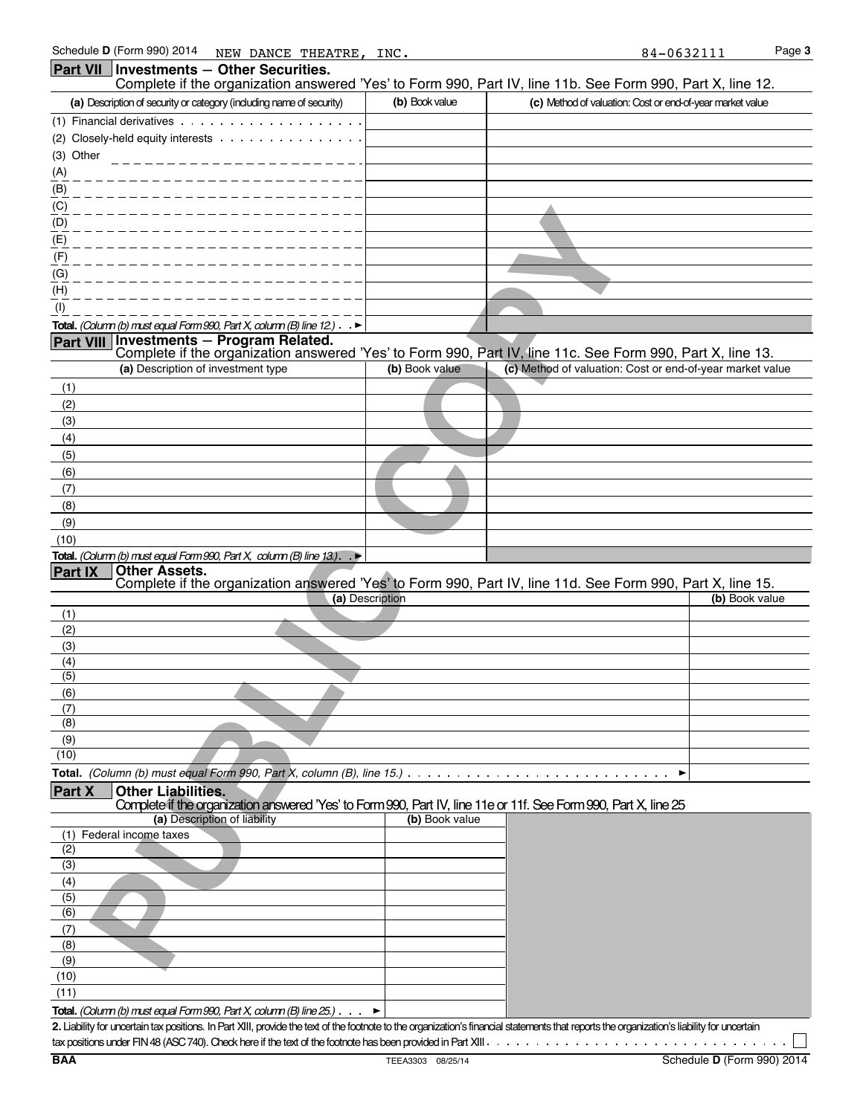|                  | Schedule D (Form 990) 2014<br>NEW DANCE THEATRE, INC.                                                            |                 | 84-0632111                                                                                                 | Page 3 |
|------------------|------------------------------------------------------------------------------------------------------------------|-----------------|------------------------------------------------------------------------------------------------------------|--------|
|                  | Part VII   Investments - Other Securities.                                                                       |                 |                                                                                                            |        |
|                  |                                                                                                                  |                 | Complete if the organization answered 'Yes' to Form 990, Part IV, line 11b. See Form 990, Part X, line 12. |        |
|                  | (a) Description of security or category (including name of security)                                             | (b) Book value  | (c) Method of valuation: Cost or end-of-year market value                                                  |        |
|                  | (1) Financial derivatives                                                                                        |                 |                                                                                                            |        |
|                  | (2) Closely-held equity interests                                                                                |                 |                                                                                                            |        |
| (3) Other        |                                                                                                                  |                 |                                                                                                            |        |
|                  |                                                                                                                  |                 |                                                                                                            |        |
| (A)              |                                                                                                                  |                 |                                                                                                            |        |
| (B)              |                                                                                                                  |                 |                                                                                                            |        |
| (C)              |                                                                                                                  |                 |                                                                                                            |        |
| (D)              |                                                                                                                  |                 |                                                                                                            |        |
| (E)              |                                                                                                                  |                 |                                                                                                            |        |
| (F)              |                                                                                                                  |                 |                                                                                                            |        |
| (G)              |                                                                                                                  |                 |                                                                                                            |        |
| (H)              |                                                                                                                  |                 |                                                                                                            |        |
| (1)              |                                                                                                                  |                 |                                                                                                            |        |
|                  | Total. (Column (b) must equal Form 990, Part X, column (B) line 12.) $\rightarrow$                               |                 |                                                                                                            |        |
| <b>Part VIII</b> | Investments - Program Related.                                                                                   |                 |                                                                                                            |        |
|                  |                                                                                                                  |                 | Complete if the organization answered 'Yes' to Form 990, Part IV, line 11c. See Form 990, Part X, line 13. |        |
|                  | (a) Description of investment type                                                                               | (b) Book value  | (c) Method of valuation: Cost or end-of-year market value                                                  |        |
| (1)              |                                                                                                                  |                 |                                                                                                            |        |
| (2)              |                                                                                                                  |                 |                                                                                                            |        |
| (3)              |                                                                                                                  |                 |                                                                                                            |        |
| (4)              |                                                                                                                  |                 |                                                                                                            |        |
| (5)              |                                                                                                                  |                 |                                                                                                            |        |
| (6)              |                                                                                                                  |                 |                                                                                                            |        |
|                  |                                                                                                                  |                 |                                                                                                            |        |
| (7)              |                                                                                                                  |                 |                                                                                                            |        |
| (8)              |                                                                                                                  |                 |                                                                                                            |        |
| (9)              |                                                                                                                  |                 |                                                                                                            |        |
| (10)             |                                                                                                                  |                 |                                                                                                            |        |
|                  | Total. (Column (b) must equal Form 990, Part X, column (B) line 13.). $\blacktriangleright$                      |                 |                                                                                                            |        |
| <b>Part IX</b>   | <b>Other Assets.</b>                                                                                             |                 | Complete if the organization answered 'Yes' to Form 990, Part IV, line 11d. See Form 990, Part X, line 15. |        |
|                  |                                                                                                                  | (a) Description | (b) Book value                                                                                             |        |
| (1)              |                                                                                                                  |                 |                                                                                                            |        |
| (2)              |                                                                                                                  |                 |                                                                                                            |        |
| (3)              |                                                                                                                  |                 |                                                                                                            |        |
| (4)              |                                                                                                                  |                 |                                                                                                            |        |
| (5)              |                                                                                                                  |                 |                                                                                                            |        |
| (6)              |                                                                                                                  |                 |                                                                                                            |        |
| (7)              |                                                                                                                  |                 |                                                                                                            |        |
| (8)              |                                                                                                                  |                 |                                                                                                            |        |
| (9)              |                                                                                                                  |                 |                                                                                                            |        |
| (10)             |                                                                                                                  |                 |                                                                                                            |        |
|                  | Total. (Column (b) must equal Form 990, Part X, column (B), line 15.)                                            |                 |                                                                                                            |        |
| <b>Part X</b>    | <b>Other Liabilities.</b>                                                                                        |                 |                                                                                                            |        |
|                  | Complete if the organization answered 'Yes' to Form 990, Part IV, line 11e or 11f. See Form 990, Part X, line 25 |                 |                                                                                                            |        |
|                  | (a) Description of liability                                                                                     | (b) Book value  |                                                                                                            |        |
|                  | (1) Federal income taxes                                                                                         |                 |                                                                                                            |        |
| (2)              |                                                                                                                  |                 |                                                                                                            |        |
| (3)              |                                                                                                                  |                 |                                                                                                            |        |
| (4)              |                                                                                                                  |                 |                                                                                                            |        |
| (5)              |                                                                                                                  |                 |                                                                                                            |        |
| (6)              |                                                                                                                  |                 |                                                                                                            |        |
| (7)              |                                                                                                                  |                 |                                                                                                            |        |
| (8)              |                                                                                                                  |                 |                                                                                                            |        |
| (9)              |                                                                                                                  |                 |                                                                                                            |        |
|                  |                                                                                                                  |                 |                                                                                                            |        |

(10) (11)

**Total.** *(Column (b) must equal Form 990, Part X, column (B) line 25.)*

2. Liability for uncertain tax positions. In Part XIII, provide the text of the footnote to the organization's financial statements that reports the organization's liability for uncertain tax positions under FIN 48 (ASC 740). Check here if the text of the footnote has been provided in Part XIII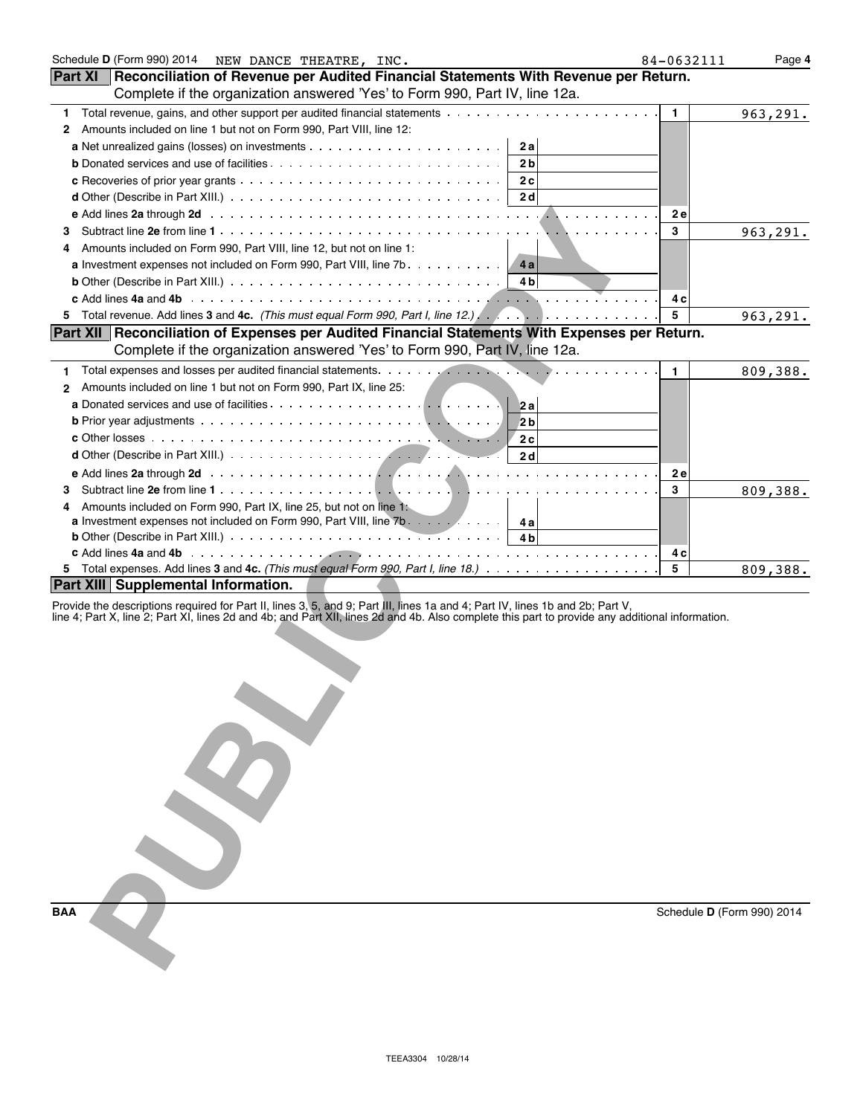| Schedule D (Form 990) 2014 NEW DANCE THEATRE, INC.                                                                                                                                                                                                                               | 84-0632111                 | Page 4   |
|----------------------------------------------------------------------------------------------------------------------------------------------------------------------------------------------------------------------------------------------------------------------------------|----------------------------|----------|
| Reconciliation of Revenue per Audited Financial Statements With Revenue per Return.<br><b>Part XI</b>                                                                                                                                                                            |                            |          |
| Complete if the organization answered 'Yes' to Form 990, Part IV, line 12a.                                                                                                                                                                                                      |                            |          |
| Total revenue, gains, and other support per audited financial statements<br>1                                                                                                                                                                                                    | 1                          | 963,291. |
| Amounts included on line 1 but not on Form 990, Part VIII, line 12:<br>2                                                                                                                                                                                                         |                            |          |
| 2a                                                                                                                                                                                                                                                                               |                            |          |
| 2 <sub>b</sub>                                                                                                                                                                                                                                                                   |                            |          |
| 2c                                                                                                                                                                                                                                                                               |                            |          |
| <b>d</b> Other (Describe in Part XIII.) $\ldots$ $\ldots$ $\ldots$ $\ldots$ $\ldots$ $\ldots$ $\ldots$ $\ldots$ $\ldots$ $\ldots$<br>2 <sub>d</sub>                                                                                                                              |                            |          |
|                                                                                                                                                                                                                                                                                  | <b>2e</b>                  |          |
| з                                                                                                                                                                                                                                                                                | 3                          | 963,291. |
| Amounts included on Form 990, Part VIII, line 12, but not on line 1:<br>4                                                                                                                                                                                                        |                            |          |
| <b>a</b> Investment expenses not included on Form 990, Part VIII, line 7b<br>4a                                                                                                                                                                                                  |                            |          |
| <b>b</b> Other (Describe in Part XIII.) $\ldots \ldots \ldots \ldots \ldots \ldots \ldots \ldots \ldots \ldots \ldots$<br>4 b                                                                                                                                                    |                            |          |
|                                                                                                                                                                                                                                                                                  | 4 c                        |          |
| Total revenue. Add lines 3 and 4c. (This must equal Form 990, Part I, line 12.) Allows Alley Alley Andrew Add<br>5.                                                                                                                                                              | 5                          | 963,291. |
| Part XII   Reconciliation of Expenses per Audited Financial Statements With Expenses per Return.                                                                                                                                                                                 |                            |          |
| Complete if the organization answered 'Yes' to Form 990, Part IV, line 12a.                                                                                                                                                                                                      |                            |          |
|                                                                                                                                                                                                                                                                                  |                            |          |
| 1                                                                                                                                                                                                                                                                                | 1.                         | 809,388. |
| Amounts included on line 1 but not on Form 990, Part IX, line 25:<br>$\overline{2}$                                                                                                                                                                                              |                            |          |
| 2a                                                                                                                                                                                                                                                                               |                            |          |
| 2 <sub>b</sub>                                                                                                                                                                                                                                                                   |                            |          |
| 2c                                                                                                                                                                                                                                                                               |                            |          |
| 2d                                                                                                                                                                                                                                                                               |                            |          |
| e Add lines 2a through 2d (a) and a series of the series of the series of the series of the series of the series of the series of the series of the series of the series of the series of the series of the series of the seri                                                   | <b>2e</b>                  |          |
| 3                                                                                                                                                                                                                                                                                | 3                          | 809,388. |
| Amounts included on Form 990, Part IX, line 25, but not on line 1:<br>4                                                                                                                                                                                                          |                            |          |
| a Investment expenses not included on Form 990, Part VIII, line 7b.<br>4 a                                                                                                                                                                                                       |                            |          |
| 4 <sub>b</sub>                                                                                                                                                                                                                                                                   |                            |          |
|                                                                                                                                                                                                                                                                                  | 4 c                        |          |
|                                                                                                                                                                                                                                                                                  | 5                          | 809,388. |
| <b>Part XIII   Supplemental Information.</b>                                                                                                                                                                                                                                     |                            |          |
| Provide the descriptions required for Part II, lines 3, 5, and 9; Part III, lines 1a and 4; Part IV, lines 1b and 2b; Part V,<br>line 4; Part X, line 2; Part XI, lines 2d and 4b; and Part XII, lines 2d and 4b. Also complete this part to provide any additional information. |                            |          |
| <b>BAA</b>                                                                                                                                                                                                                                                                       | Schedule D (Form 990) 2014 |          |
|                                                                                                                                                                                                                                                                                  |                            |          |
|                                                                                                                                                                                                                                                                                  |                            |          |
|                                                                                                                                                                                                                                                                                  |                            |          |

| <b>BAA</b> |  |
|------------|--|
|            |  |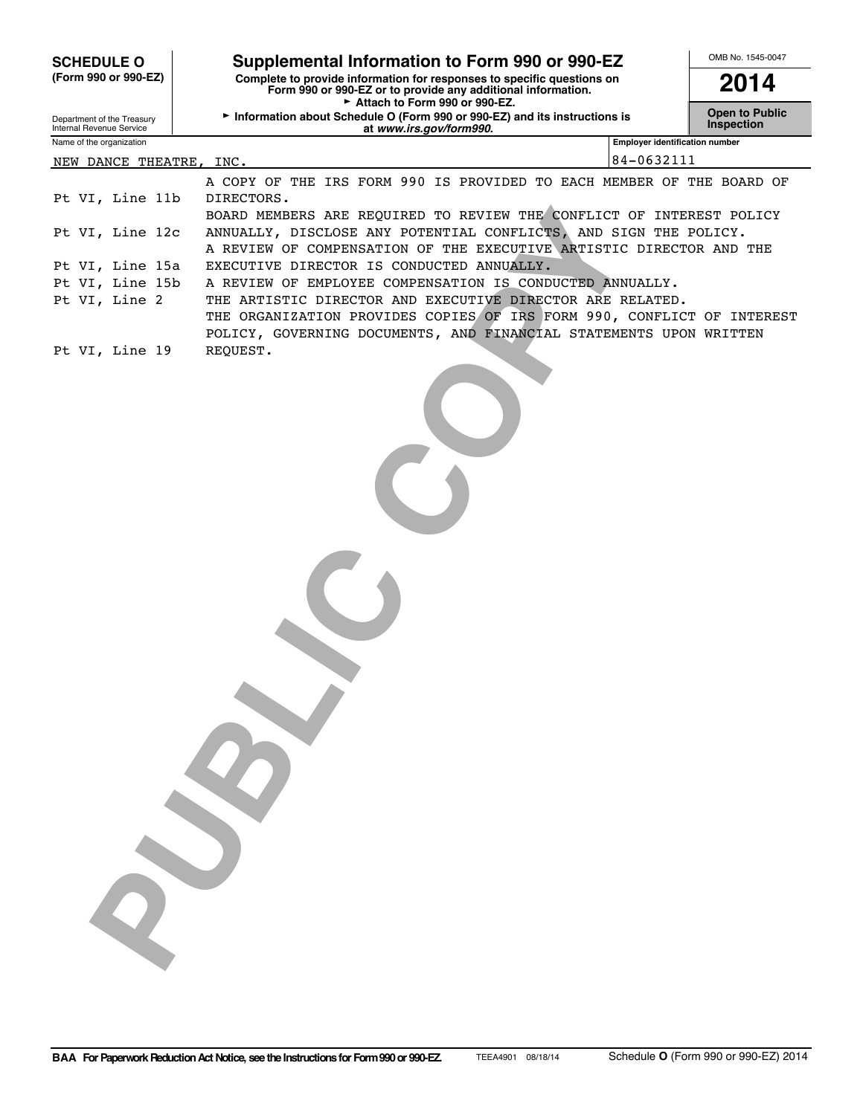|                                                                                                                                                                | <b>SCHEDULE O</b>                                                                                | Supplemental Information to Form 990 or 990-EZ                                                             |                                       | OMB No. 1545-0047                   |  |  |
|----------------------------------------------------------------------------------------------------------------------------------------------------------------|--------------------------------------------------------------------------------------------------|------------------------------------------------------------------------------------------------------------|---------------------------------------|-------------------------------------|--|--|
| (Form 990 or 990-EZ)<br>Complete to provide information for responses to specific questions on<br>Form 990 or 990-EZ or to provide any additional information. |                                                                                                  |                                                                                                            |                                       | 2014                                |  |  |
|                                                                                                                                                                | Department of the Treasury                                                                       | Attach to Form 990 or 990-EZ.<br>Information about Schedule O (Form 990 or 990-EZ) and its instructions is |                                       | <b>Open to Public</b><br>Inspection |  |  |
|                                                                                                                                                                | Internal Revenue Service<br>Name of the organization                                             | at www.irs.gov/form990.                                                                                    | <b>Employer identification number</b> |                                     |  |  |
|                                                                                                                                                                |                                                                                                  | NEW DANCE THEATRE, INC.                                                                                    | 84-0632111                            |                                     |  |  |
|                                                                                                                                                                |                                                                                                  | A COPY OF THE IRS FORM 990 IS PROVIDED TO EACH MEMBER OF THE BOARD OF                                      |                                       |                                     |  |  |
|                                                                                                                                                                | Pt VI, Line 11b                                                                                  | DIRECTORS.                                                                                                 |                                       |                                     |  |  |
|                                                                                                                                                                |                                                                                                  | BOARD MEMBERS ARE REQUIRED TO REVIEW THE CONFLICT OF INTEREST POLICY                                       |                                       |                                     |  |  |
|                                                                                                                                                                | Pt VI, Line 12c                                                                                  | ANNUALLY, DISCLOSE ANY POTENTIAL CONFLICTS, AND SIGN THE POLICY.                                           |                                       |                                     |  |  |
|                                                                                                                                                                |                                                                                                  | A REVIEW OF COMPENSATION OF THE EXECUTIVE ARTISTIC DIRECTOR AND THE                                        |                                       |                                     |  |  |
|                                                                                                                                                                | Pt VI, Line 15a                                                                                  | EXECUTIVE DIRECTOR IS CONDUCTED ANNUALLY.                                                                  |                                       |                                     |  |  |
|                                                                                                                                                                | Pt VI, Line 15b                                                                                  | A REVIEW OF EMPLOYEE COMPENSATION IS CONDUCTED ANNUALLY.                                                   |                                       |                                     |  |  |
|                                                                                                                                                                | Pt VI, Line 2                                                                                    | THE ARTISTIC DIRECTOR AND EXECUTIVE DIRECTOR ARE RELATED.                                                  |                                       |                                     |  |  |
|                                                                                                                                                                |                                                                                                  | THE ORGANIZATION PROVIDES COPIES OF IRS FORM 990, CONFLICT OF INTEREST                                     |                                       |                                     |  |  |
|                                                                                                                                                                |                                                                                                  |                                                                                                            |                                       |                                     |  |  |
|                                                                                                                                                                |                                                                                                  |                                                                                                            |                                       |                                     |  |  |
|                                                                                                                                                                | POLICY, GOVERNING DOCUMENTS, AND FINANCIAL STATEMENTS UPON WRITTEN<br>Pt VI, Line 19<br>REQUEST. |                                                                                                            |                                       |                                     |  |  |
|                                                                                                                                                                |                                                                                                  |                                                                                                            |                                       |                                     |  |  |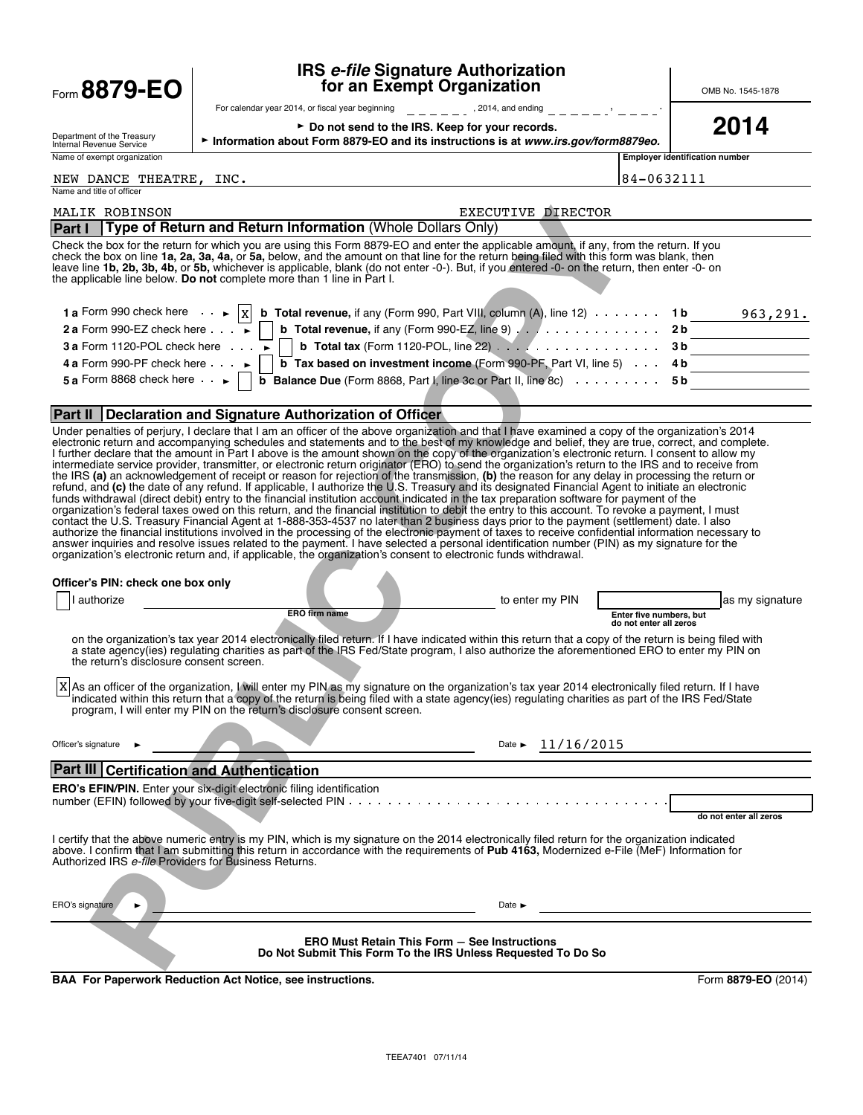| Form 8879-EO                                                                                           | <b>IRS e-file Signature Authorization</b><br>for an Exempt Organization                                                                                                                                                                                                                                                                                                                                                                                                                                                                                                                                                                                                                                                                                                                                                                                                                                                                                                                                                                                                                                                                                                                                                                                                                                                                                                                                                                                                          | OMB No. 1545-1878                                                    |
|--------------------------------------------------------------------------------------------------------|----------------------------------------------------------------------------------------------------------------------------------------------------------------------------------------------------------------------------------------------------------------------------------------------------------------------------------------------------------------------------------------------------------------------------------------------------------------------------------------------------------------------------------------------------------------------------------------------------------------------------------------------------------------------------------------------------------------------------------------------------------------------------------------------------------------------------------------------------------------------------------------------------------------------------------------------------------------------------------------------------------------------------------------------------------------------------------------------------------------------------------------------------------------------------------------------------------------------------------------------------------------------------------------------------------------------------------------------------------------------------------------------------------------------------------------------------------------------------------|----------------------------------------------------------------------|
|                                                                                                        | $      \cdot$ , 2014, and ending $     \cdot$ $\cdot$ $  -$<br>For calendar year 2014, or fiscal year beginning                                                                                                                                                                                                                                                                                                                                                                                                                                                                                                                                                                                                                                                                                                                                                                                                                                                                                                                                                                                                                                                                                                                                                                                                                                                                                                                                                                  |                                                                      |
| Department of the Treasury<br>Internal Revenue Service                                                 | ► Do not send to the IRS. Keep for your records.<br>Information about Form 8879-EO and its instructions is at www.irs.gov/form8879eo.                                                                                                                                                                                                                                                                                                                                                                                                                                                                                                                                                                                                                                                                                                                                                                                                                                                                                                                                                                                                                                                                                                                                                                                                                                                                                                                                            | 2014                                                                 |
| Name of exempt organization                                                                            |                                                                                                                                                                                                                                                                                                                                                                                                                                                                                                                                                                                                                                                                                                                                                                                                                                                                                                                                                                                                                                                                                                                                                                                                                                                                                                                                                                                                                                                                                  | <b>Employer identification number</b>                                |
| NEW DANCE THEATRE,<br>Name and title of officer                                                        | INC.                                                                                                                                                                                                                                                                                                                                                                                                                                                                                                                                                                                                                                                                                                                                                                                                                                                                                                                                                                                                                                                                                                                                                                                                                                                                                                                                                                                                                                                                             | 84-0632111                                                           |
| MALIK ROBINSON                                                                                         | EXECUTIVE DIRECTOR                                                                                                                                                                                                                                                                                                                                                                                                                                                                                                                                                                                                                                                                                                                                                                                                                                                                                                                                                                                                                                                                                                                                                                                                                                                                                                                                                                                                                                                               |                                                                      |
| Part I                                                                                                 | Type of Return and Return Information (Whole Dollars Only)<br>Check the box for the return for which you are using this Form 8879-EO and enter the applicable amount, if any, from the return. If you<br>check the box on line 1a, 2a, 3a, 4a, or 5a, below, and the amount on that line for the return being filed with this form was blank, then<br>leave line 1b, 2b, 3b, 4b, or 5b, whichever is applicable, blank (do not enter -0-). But, if you entered -0- on the return, then enter -0- on<br>the applicable line below. Do not complete more than 1 line in Part I.                                                                                                                                                                                                                                                                                                                                                                                                                                                                                                                                                                                                                                                                                                                                                                                                                                                                                                    |                                                                      |
| 1 a Form 990 check here $\ \mathbf{x}\ $<br>2 a Form 990-EZ check here $\cdots$                        | <b>b</b> Total revenue, if any (Form 990, Part VIII, column $(A)$ , line 12) $\cdots \cdots$ 1b 963, 291.<br><b>b</b> Total revenue, if any (Form 990-EZ, line 9) $\ldots$ 2b                                                                                                                                                                                                                                                                                                                                                                                                                                                                                                                                                                                                                                                                                                                                                                                                                                                                                                                                                                                                                                                                                                                                                                                                                                                                                                    |                                                                      |
| 3 a Form 1120-POL check here $\cdots$                                                                  | <b>b</b> Total tax (Form 1120-POL, line 22) $\ldots$ 3b                                                                                                                                                                                                                                                                                                                                                                                                                                                                                                                                                                                                                                                                                                                                                                                                                                                                                                                                                                                                                                                                                                                                                                                                                                                                                                                                                                                                                          |                                                                      |
| 4 a Form 990-PF check here $\cdots$<br>5 a Form 8868 check here $\begin{array}{c} \bullet \end{array}$ | <b>b</b> Tax based on investment income (Form 990-PF, Part VI, line 5) $\ldots$ 4 b<br><b>b</b> Balance Due (Form 8868, Part I, line 3c or Part II, line 8c) $\ldots \ldots \ldots$ 5b                                                                                                                                                                                                                                                                                                                                                                                                                                                                                                                                                                                                                                                                                                                                                                                                                                                                                                                                                                                                                                                                                                                                                                                                                                                                                           |                                                                      |
|                                                                                                        |                                                                                                                                                                                                                                                                                                                                                                                                                                                                                                                                                                                                                                                                                                                                                                                                                                                                                                                                                                                                                                                                                                                                                                                                                                                                                                                                                                                                                                                                                  |                                                                      |
|                                                                                                        | Part II Declaration and Signature Authorization of Officer                                                                                                                                                                                                                                                                                                                                                                                                                                                                                                                                                                                                                                                                                                                                                                                                                                                                                                                                                                                                                                                                                                                                                                                                                                                                                                                                                                                                                       |                                                                      |
|                                                                                                        | I further declare that the amount in Part I above is the amount shown on the copy of the organization's electronic return. I consent to allow my<br>intermediate service provider, transmitter, or electronic return originator (ERO) to send the organization's return to the IRS and to receive from<br>the IRS (a) an acknowledgement of receipt or reason for rejection of the transmission, (b) the reason for any delay in processing the return or<br>refund, and (c) the date of any refund. If applicable, I authorize the U.S. Treasury and its designated Financial Agent to initiate an electronic<br>funds withdrawal (direct debit) entry to the financial institution account indicated in the tax preparation software for payment of the<br>organization's federal taxes owed on this return, and the financial institution to debit the entry to this account. To revoke a payment, I must<br>contact the U.S. Treasury Financial Agent at 1-888-353-4537 no later than 2 business days prior to the payment (settlement) date. I also<br>authorize the financial institutions involved in the processing of the electronic payment of taxes to receive confidential information necessary to<br>answer inquiries and resolve issues related to the payment. I have selected a personal identification number (PIN) as my signature for the<br>organization's electronic return and, if applicable, the organization's consent to electronic funds withdrawal. |                                                                      |
| Officer's PIN: check one box only<br>I authorize                                                       | to enter my PIN<br><b>ERO firm name</b>                                                                                                                                                                                                                                                                                                                                                                                                                                                                                                                                                                                                                                                                                                                                                                                                                                                                                                                                                                                                                                                                                                                                                                                                                                                                                                                                                                                                                                          | as my signature<br>Enter five numbers, but<br>do not enter all zeros |
| the return's disclosure consent screen.                                                                | on the organization's tax year 2014 electronically filed return. If I have indicated within this return that a copy of the return is being filed with<br>a state agency(ies) regulating charities as part of the IRS Fed/State program, I also authorize the aforementioned ERO to enter my PIN on                                                                                                                                                                                                                                                                                                                                                                                                                                                                                                                                                                                                                                                                                                                                                                                                                                                                                                                                                                                                                                                                                                                                                                               |                                                                      |
|                                                                                                        | X As an officer of the organization, I will enter my PIN as my signature on the organization's tax year 2014 electronically filed return. If I have<br>indicated within this return that a copy of the return is being filed with a state agency(ies) regulating charities as part of the IRS Fed/State<br>program. I will enter my PIN on the return's disclosure consent screen.                                                                                                                                                                                                                                                                                                                                                                                                                                                                                                                                                                                                                                                                                                                                                                                                                                                                                                                                                                                                                                                                                               |                                                                      |
| Officer's signature                                                                                    | Date $\triangleright$ 11/16/2015<br><u> 1989 - Johann Barbara, martxa a shekara 1980 - An</u>                                                                                                                                                                                                                                                                                                                                                                                                                                                                                                                                                                                                                                                                                                                                                                                                                                                                                                                                                                                                                                                                                                                                                                                                                                                                                                                                                                                    |                                                                      |
| Part III Certification and Authentication                                                              |                                                                                                                                                                                                                                                                                                                                                                                                                                                                                                                                                                                                                                                                                                                                                                                                                                                                                                                                                                                                                                                                                                                                                                                                                                                                                                                                                                                                                                                                                  |                                                                      |
|                                                                                                        | ERO's EFIN/PIN. Enter your six-digit electronic filing identification                                                                                                                                                                                                                                                                                                                                                                                                                                                                                                                                                                                                                                                                                                                                                                                                                                                                                                                                                                                                                                                                                                                                                                                                                                                                                                                                                                                                            | do not enter all zeros                                               |
| Authorized IRS e-file Providers for Business Returns.                                                  | I certify that the above numeric entry is my PIN, which is my signature on the 2014 electronically filed return for the organization indicated<br>above. I confirm that I am submitting this return in accordance with the requirements of Pub 4163, Modernized e-File (MeF) Information for                                                                                                                                                                                                                                                                                                                                                                                                                                                                                                                                                                                                                                                                                                                                                                                                                                                                                                                                                                                                                                                                                                                                                                                     |                                                                      |
| ERO's signature<br>$\blacktriangleright$                                                               | Date $\blacktriangleright$                                                                                                                                                                                                                                                                                                                                                                                                                                                                                                                                                                                                                                                                                                                                                                                                                                                                                                                                                                                                                                                                                                                                                                                                                                                                                                                                                                                                                                                       |                                                                      |
|                                                                                                        | <b>ERO Must Retain This Form - See Instructions</b><br>Do Not Submit This Form To the IRS Unless Requested To Do So                                                                                                                                                                                                                                                                                                                                                                                                                                                                                                                                                                                                                                                                                                                                                                                                                                                                                                                                                                                                                                                                                                                                                                                                                                                                                                                                                              |                                                                      |
|                                                                                                        | <b>BAA For Paperwork Reduction Act Notice, see instructions.</b>                                                                                                                                                                                                                                                                                                                                                                                                                                                                                                                                                                                                                                                                                                                                                                                                                                                                                                                                                                                                                                                                                                                                                                                                                                                                                                                                                                                                                 | Form 8879-EO (2014)                                                  |